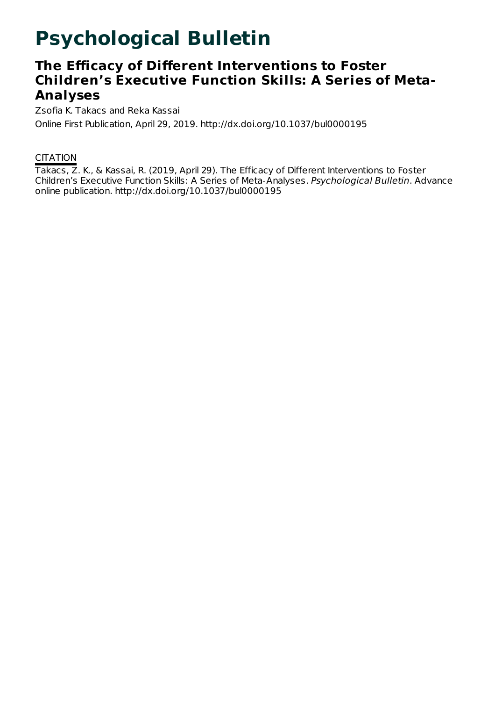# **Psychological Bulletin**

# **The Efficacy of Different Interventions to Foster Children's Executive Function Skills: A Series of Meta-Analyses**

Zsofia K. Takacs and Reka Kassai Online First Publication, April 29, 2019. http://dx.doi.org/10.1037/bul0000195

# **CITATION**

Takacs, Z. K., & Kassai, R. (2019, April 29). The Efficacy of Different Interventions to Foster Children's Executive Function Skills: A Series of Meta-Analyses. Psychological Bulletin. Advance online publication. http://dx.doi.org/10.1037/bul0000195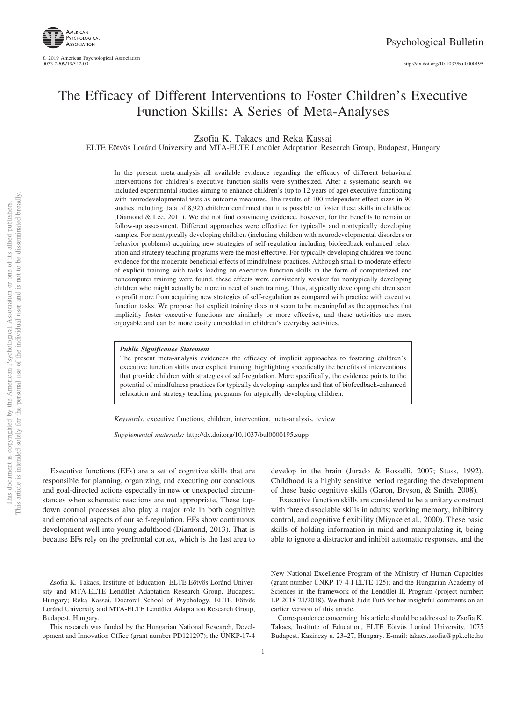

http://dx.doi.org[/10.1037/bul0000195](http://dx.doi.org/10.1037/bul0000195)

# The Efficacy of Different Interventions to Foster Children's Executive Function Skills: A Series of Meta-Analyses

Zsofia K. Takacs and Reka Kassai

ELTE Eötvös Loránd University and MTA-ELTE Lendület Adaptation Research Group, Budapest, Hungary

In the present meta-analysis all available evidence regarding the efficacy of different behavioral interventions for children's executive function skills were synthesized. After a systematic search we included experimental studies aiming to enhance children's (up to 12 years of age) executive functioning with neurodevelopmental tests as outcome measures. The results of 100 independent effect sizes in 90 studies including data of 8,925 children confirmed that it is possible to foster these skills in childhood (Diamond & Lee, 2011). We did not find convincing evidence, however, for the benefits to remain on follow-up assessment. Different approaches were effective for typically and nontypically developing samples. For nontypically developing children (including children with neurodevelopmental disorders or behavior problems) acquiring new strategies of self-regulation including biofeedback-enhanced relaxation and strategy teaching programs were the most effective. For typically developing children we found evidence for the moderate beneficial effects of mindfulness practices. Although small to moderate effects of explicit training with tasks loading on executive function skills in the form of computerized and noncomputer training were found, these effects were consistently weaker for nontypically developing children who might actually be more in need of such training. Thus, atypically developing children seem to profit more from acquiring new strategies of self-regulation as compared with practice with executive function tasks. We propose that explicit training does not seem to be meaningful as the approaches that implicitly foster executive functions are similarly or more effective, and these activities are more enjoyable and can be more easily embedded in children's everyday activities.

#### *Public Significance Statement*

The present meta-analysis evidences the efficacy of implicit approaches to fostering children's executive function skills over explicit training, highlighting specifically the benefits of interventions that provide children with strategies of self-regulation. More specifically, the evidence points to the potential of mindfulness practices for typically developing samples and that of biofeedback-enhanced relaxation and strategy teaching programs for atypically developing children.

*Keywords:* executive functions, children, intervention, meta-analysis, review

*Supplemental materials:* http://dx.doi.org/10.1037/bul0000195.supp

Executive functions (EFs) are a set of cognitive skills that are responsible for planning, organizing, and executing our conscious and goal-directed actions especially in new or unexpected circumstances when schematic reactions are not appropriate. These topdown control processes also play a major role in both cognitive and emotional aspects of our self-regulation. EFs show continuous development well into young adulthood (Diamond, 2013). That is because EFs rely on the prefrontal cortex, which is the last area to develop in the brain (Jurado & Rosselli, 2007; Stuss, 1992). Childhood is a highly sensitive period regarding the development of these basic cognitive skills (Garon, Bryson, & Smith, 2008).

Executive function skills are considered to be a unitary construct with three dissociable skills in adults: working memory, inhibitory control, and cognitive flexibility (Miyake et al., 2000). These basic skills of holding information in mind and manipulating it, being able to ignore a distractor and inhibit automatic responses, and the

Zsofia K. Takacs, Institute of Education, ELTE Eötvös Loránd University and MTA-ELTE Lendület Adaptation Research Group, Budapest, Hungary; Reka Kassai, Doctoral School of Psychology, ELTE Eötvös Loránd University and MTA-ELTE Lendület Adaptation Research Group, Budapest, Hungary.

This research was funded by the Hungarian National Research, Development and Innovation Office (grant number PD121297); the ÚNKP-17-4

New National Excellence Program of the Ministry of Human Capacities (grant number ÚNKP-17-4-I-ELTE-125); and the Hungarian Academy of Sciences in the framework of the Lendület II. Program (project number: LP-2018-21/2018). We thank Judit Futó for her insightful comments on an earlier version of this article.

Correspondence concerning this article should be addressed to Zsofia K. Takacs, Institute of Education, ELTE Eötvös Loránd University, 1075 Budapest, Kazinczy u. 23–27, Hungary. E-mail: [takacs.zsofia@ppk.elte.hu](mailto:takacs.zsofia@ppk.elte.hu)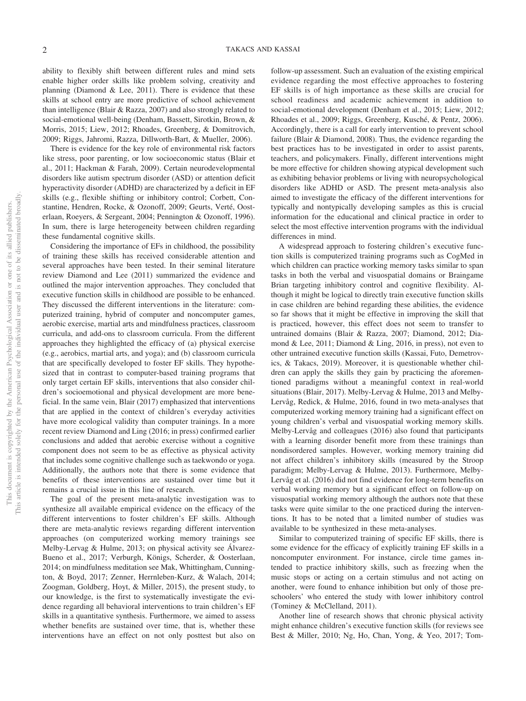ability to flexibly shift between different rules and mind sets enable higher order skills like problem solving, creativity and planning (Diamond  $& Lee, 2011$ ). There is evidence that these skills at school entry are more predictive of school achievement than intelligence (Blair & Razza, 2007) and also strongly related to social-emotional well-being (Denham, Bassett, Sirotkin, Brown, & Morris, 2015; [Liew, 2012;](#page-42-0) Rhoades, Greenberg, & Domitrovich, 2009; Riggs, Jahromi, Razza, Dillworth-Bart, & Mueller, 2006).

There is evidence for the key role of environmental risk factors like stress, poor parenting, or low socioeconomic status (Blair et al., 2011; Hackman & Farah, 2009). Certain neurodevelopmental disorders like autism spectrum disorder (ASD) or attention deficit hyperactivity disorder (ADHD) are characterized by a deficit in EF skills (e.g., flexible shifting or inhibitory control; Corbett, Constantine, Hendren, Rocke, & Ozonoff, 2009; Geurts, Verté, Oosterlaan, Roeyers, & Sergeant, 2004; Pennington & Ozonoff, 1996). In sum, there is large heterogeneity between children regarding these fundamental cognitive skills.

Considering the importance of EFs in childhood, the possibility of training these skills has received considerable attention and several approaches have been tested. In their seminal literature review Diamond and Lee (2011) summarized the evidence and outlined the major intervention approaches. They concluded that executive function skills in childhood are possible to be enhanced. They discussed the different interventions in the literature: computerized training, hybrid of computer and noncomputer games, aerobic exercise, martial arts and mindfulness practices, classroom curricula, and add-ons to classroom curricula. From the different approaches they highlighted the efficacy of (a) physical exercise (e.g., aerobics, martial arts, and yoga); and (b) classroom curricula that are specifically developed to foster EF skills. They hypothesized that in contrast to computer-based training programs that only target certain EF skills, interventions that also consider children's socioemotional and physical development are more beneficial. In the same vein, Blair (2017) emphasized that interventions that are applied in the context of children's everyday activities have more ecological validity than computer trainings. In a more recent review Diamond and Ling (2016; in press) confirmed earlier conclusions and added that aerobic exercise without a cognitive component does not seem to be as effective as physical activity that includes some cognitive challenge such as taekwondo or yoga. Additionally, the authors note that there is some evidence that benefits of these interventions are sustained over time but it remains a crucial issue in this line of research.

The goal of the present meta-analytic investigation was to synthesize all available empirical evidence on the efficacy of the different interventions to foster children's EF skills. Although there are meta-analytic reviews regarding different intervention approaches (on computerized working memory trainings see Melby-Lervag & Hulme, 2013; on physical activity see Álvarez-Bueno et al., 2017; Verburgh, Königs, Scherder, & Oosterlaan, 2014; on mindfulness meditation see Mak, Whittingham, Cunnington, & Boyd, 2017; Zenner, Herrnleben-Kurz, & Walach, 2014; Zoogman, Goldberg, Hoyt, & Miller, 2015), the present study, to our knowledge, is the first to systematically investigate the evidence regarding all behavioral interventions to train children's EF skills in a quantitative synthesis. Furthermore, we aimed to assess whether benefits are sustained over time, that is, whether these interventions have an effect on not only posttest but also on

follow-up assessment. Such an evaluation of the existing empirical evidence regarding the most effective approaches to fostering EF skills is of high importance as these skills are crucial for school readiness and academic achievement in addition to social-emotional development (Denham et al., 2015; [Liew, 2012;](#page-42-0) Rhoades et al., 2009; Riggs, Greenberg, Kusché, & Pentz, 2006). Accordingly, there is a call for early intervention to prevent school failure (Blair & Diamond, 2008). Thus, the evidence regarding the best practices has to be investigated in order to assist parents, teachers, and policymakers. Finally, different interventions might be more effective for children showing atypical development such as exhibiting behavior problems or living with neuropsychological disorders like ADHD or ASD. The present meta-analysis also aimed to investigate the efficacy of the different interventions for typically and nontypically developing samples as this is crucial information for the educational and clinical practice in order to select the most effective intervention programs with the individual differences in mind.

A widespread approach to fostering children's executive function skills is computerized training programs such as CogMed in which children can practice working memory tasks similar to span tasks in both the verbal and visuospatial domains or Braingame Brian targeting inhibitory control and cognitive flexibility. Although it might be logical to directly train executive function skills in case children are behind regarding these abilities, the evidence so far shows that it might be effective in improving the skill that is practiced, however, this effect does not seem to transfer to untrained domains (Blair & Razza, 2007; Diamond, 2012; Diamond & Lee, 2011; Diamond & Ling, 2016, in press), not even to other untrained executive function skills (Kassai, Futo, Demetrovics, & Takacs, 2019). Moreover, it is questionable whether children can apply the skills they gain by practicing the aforementioned paradigms without a meaningful context in real-world situations (Blair, 2017). Melby-Lervag & Hulme, 2013 and Melby-Lervåg, Redick, & Hulme, 2016, found in two meta-analyses that computerized working memory training had a significant effect on young children's verbal and visuospatial working memory skills. Melby-Lervåg and colleagues (2016) also found that participants with a learning disorder benefit more from these trainings than nondisordered samples. However, working memory training did not affect children's inhibitory skills (measured by the Stroop paradigm; Melby-Lervag & Hulme, 2013). Furthermore, Melby-Lervåg et al. (2016) did not find evidence for long-term benefits on verbal working memory but a significant effect on follow-up on visuospatial working memory although the authors note that these tasks were quite similar to the one practiced during the interventions. It has to be noted that a limited number of studies was available to be synthesized in these meta-analyses.

Similar to computerized training of specific EF skills, there is some evidence for the efficacy of explicitly training EF skills in a noncomputer environment. For instance, circle time games intended to practice inhibitory skills, such as freezing when the music stops or acting on a certain stimulus and not acting on another, were found to enhance inhibition but only of those preschoolers' who entered the study with lower inhibitory control (Tominey & McClelland, 2011).

Another line of research shows that chronic physical activity might enhance children's executive function skills (for reviews see Best & Miller, 2010; Ng, Ho, Chan, Yong, & Yeo, 2017; Tom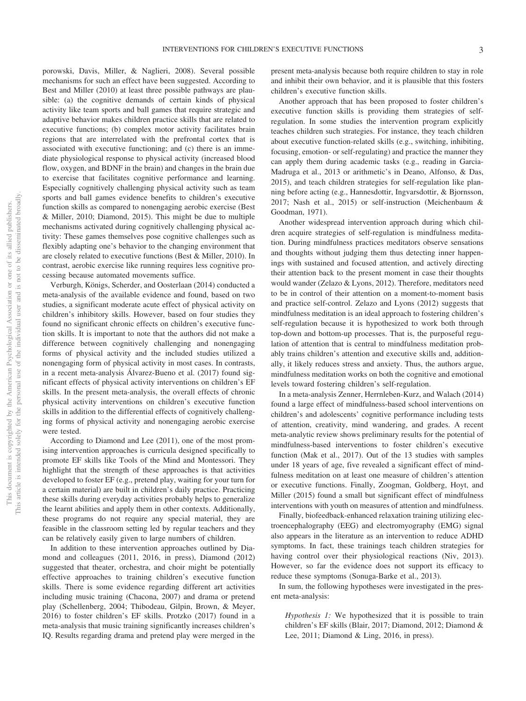porowski, Davis, Miller, & Naglieri, 2008). Several possible mechanisms for such an effect have been suggested. According to Best and Miller (2010) at least three possible pathways are plausible: (a) the cognitive demands of certain kinds of physical activity like team sports and ball games that require strategic and adaptive behavior makes children practice skills that are related to executive functions; (b) complex motor activity facilitates brain regions that are interrelated with the prefrontal cortex that is associated with executive functioning; and (c) there is an immediate physiological response to physical activity (increased blood flow, oxygen, and BDNF in the brain) and changes in the brain due to exercise that facilitates cognitive performance and learning. Especially cognitively challenging physical activity such as team sports and ball games evidence benefits to children's executive function skills as compared to nonengaging aerobic exercise (Best & Miller, 2010; Diamond, 2015). This might be due to multiple mechanisms activated during cognitively challenging physical activity: These games themselves pose cognitive challenges such as flexibly adapting one's behavior to the changing environment that are closely related to executive functions (Best & Miller, 2010). In contrast, aerobic exercise like running requires less cognitive processing because automated movements suffice.

Verburgh, Königs, Scherder, and Oosterlaan (2014) conducted a meta-analysis of the available evidence and found, based on two studies, a significant moderate acute effect of physical activity on children's inhibitory skills. However, based on four studies they found no significant chronic effects on children's executive function skills. It is important to note that the authors did not make a difference between cognitively challenging and nonengaging forms of physical activity and the included studies utilized a nonengaging form of physical activity in most cases. In contrasts, in a recent meta-analysis Álvarez-Bueno et al. (2017) found significant effects of physical activity interventions on children's EF skills. In the present meta-analysis, the overall effects of chronic physical activity interventions on children's executive function skills in addition to the differential effects of cognitively challenging forms of physical activity and nonengaging aerobic exercise were tested.

According to Diamond and Lee (2011), one of the most promising intervention approaches is curricula designed specifically to promote EF skills like Tools of the Mind and Montessori. They highlight that the strength of these approaches is that activities developed to foster EF (e.g., pretend play, waiting for your turn for a certain material) are built in children's daily practice. Practicing these skills during everyday activities probably helps to generalize the learnt abilities and apply them in other contexts. Additionally, these programs do not require any special material, they are feasible in the classroom setting led by regular teachers and they can be relatively easily given to large numbers of children.

In addition to these intervention approaches outlined by Diamond and colleagues (2011, 2016, in press), Diamond (2012) suggested that theater, orchestra, and choir might be potentially effective approaches to training children's executive function skills. There is some evidence regarding different art activities including music training (Chacona, 2007) and drama or pretend play (Schellenberg, 2004; Thibodeau, Gilpin, Brown, & Meyer, 2016) to foster children's EF skills. Protzko (2017) found in a meta-analysis that music training significantly increases children's IQ. Results regarding drama and pretend play were merged in the present meta-analysis because both require children to stay in role and inhibit their own behavior, and it is plausible that this fosters children's executive function skills.

Another approach that has been proposed to foster children's executive function skills is providing them strategies of selfregulation. In some studies the intervention program explicitly teaches children such strategies. For instance, they teach children about executive function-related skills (e.g., switching, inhibiting, focusing, emotion- or self-regulating) and practice the manner they can apply them during academic tasks (e.g., reading in Garcia-Madruga et al., 2013 or arithmetic's in Deano, Alfonso, & Das, 2015), and teach children strategies for self-regulation like planning before acting (e.g., Hannesdottir, Ingvarsdottir, & Bjornsson, 2017; Nash et al., 2015) or self-instruction (Meichenbaum & Goodman, 1971).

Another widespread intervention approach during which children acquire strategies of self-regulation is mindfulness meditation. During mindfulness practices meditators observe sensations and thoughts without judging them thus detecting inner happenings with sustained and focused attention, and actively directing their attention back to the present moment in case their thoughts would wander (Zelazo & Lyons, 2012). Therefore, meditators need to be in control of their attention on a moment-to-moment basis and practice self-control. Zelazo and Lyons (2012) suggests that mindfulness meditation is an ideal approach to fostering children's self-regulation because it is hypothesized to work both through top-down and bottom-up processes. That is, the purposeful regulation of attention that is central to mindfulness meditation probably trains children's attention and executive skills and, additionally, it likely reduces stress and anxiety. Thus, the authors argue, mindfulness meditation works on both the cognitive and emotional levels toward fostering children's self-regulation.

In a meta-analysis Zenner, Herrnleben-Kurz, and Walach (2014) found a large effect of mindfulness-based school interventions on children's and adolescents' cognitive performance including tests of attention, creativity, mind wandering, and grades. A recent meta-analytic review shows preliminary results for the potential of mindfulness-based interventions to foster children's executive function (Mak et al., 2017). Out of the 13 studies with samples under 18 years of age, five revealed a significant effect of mindfulness meditation on at least one measure of children's attention or executive functions. Finally, Zoogman, Goldberg, Hoyt, and Miller (2015) found a small but significant effect of mindfulness interventions with youth on measures of attention and mindfulness.

Finally, biofeedback-enhanced relaxation training utilizing electroencephalography (EEG) and electromyography (EMG) signal also appears in the literature as an intervention to reduce ADHD symptoms. In fact, these trainings teach children strategies for having control over their physiological reactions (Niv, 2013). However, so far the evidence does not support its efficacy to reduce these symptoms (Sonuga-Barke et al., 2013).

In sum, the following hypotheses were investigated in the present meta-analysis:

*Hypothesis 1:* We hypothesized that it is possible to train children's EF skills (Blair, 2017; Diamond, 2012; Diamond & Lee, 2011; Diamond & Ling, 2016, in press).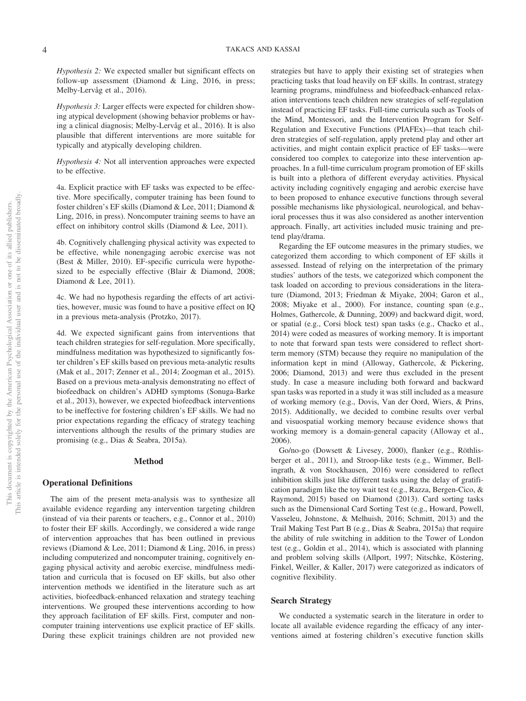*Hypothesis 2:* We expected smaller but significant effects on follow-up assessment (Diamond & Ling, 2016, in press; Melby-Lervåg et al., 2016).

*Hypothesis 3:* Larger effects were expected for children showing atypical development (showing behavior problems or having a clinical diagnosis; Melby-Lervåg et al., 2016). It is also plausible that different interventions are more suitable for typically and atypically developing children.

*Hypothesis 4:* Not all intervention approaches were expected to be effective.

4a. Explicit practice with EF tasks was expected to be effective. More specifically, computer training has been found to foster children's EF skills (Diamond & Lee, 2011; Diamond & Ling, 2016, in press). Noncomputer training seems to have an effect on inhibitory control skills (Diamond & Lee, 2011).

4b. Cognitively challenging physical activity was expected to be effective, while nonengaging aerobic exercise was not (Best & Miller, 2010). EF-specific curricula were hypothesized to be especially effective (Blair & Diamond, 2008; Diamond & Lee, 2011).

4c. We had no hypothesis regarding the effects of art activities, however, music was found to have a positive effect on IQ in a previous meta-analysis (Protzko, 2017).

4d. We expected significant gains from interventions that teach children strategies for self-regulation. More specifically, mindfulness meditation was hypothesized to significantly foster children's EF skills based on previous meta-analytic results (Mak et al., 2017; Zenner et al., 2014; Zoogman et al., 2015). Based on a previous meta-analysis demonstrating no effect of biofeedback on children's ADHD symptoms (Sonuga-Barke et al., 2013), however, we expected biofeedback interventions to be ineffective for fostering children's EF skills. We had no prior expectations regarding the efficacy of strategy teaching interventions although the results of the primary studies are promising (e.g., Dias & Seabra, 2015a).

## **Method**

## **Operational Definitions**

The aim of the present meta-analysis was to synthesize all available evidence regarding any intervention targeting children (instead of via their parents or teachers, e.g., Connor et al., 2010) to foster their EF skills. Accordingly, we considered a wide range of intervention approaches that has been outlined in previous reviews (Diamond & Lee, 2011; Diamond & Ling, 2016, in press) including computerized and noncomputer training, cognitively engaging physical activity and aerobic exercise, mindfulness meditation and curricula that is focused on EF skills, but also other intervention methods we identified in the literature such as art activities, biofeedback-enhanced relaxation and strategy teaching interventions. We grouped these interventions according to how they approach facilitation of EF skills. First, computer and noncomputer training interventions use explicit practice of EF skills. During these explicit trainings children are not provided new strategies but have to apply their existing set of strategies when practicing tasks that load heavily on EF skills. In contrast, strategy learning programs, mindfulness and biofeedback-enhanced relaxation interventions teach children new strategies of self-regulation instead of practicing EF tasks. Full-time curricula such as Tools of the Mind, Montessori, and the Intervention Program for Self-Regulation and Executive Functions (PIAFEx)—that teach children strategies of self-regulation, apply pretend play and other art activities, and might contain explicit practice of EF tasks—were considered too complex to categorize into these intervention approaches. In a full-time curriculum program promotion of EF skills is built into a plethora of different everyday activities. Physical activity including cognitively engaging and aerobic exercise have to been proposed to enhance executive functions through several possible mechanisms like physiological, neurological, and behavioral processes thus it was also considered as another intervention approach. Finally, art activities included music training and pretend play/drama.

Regarding the EF outcome measures in the primary studies, we categorized them according to which component of EF skills it assessed. Instead of relying on the interpretation of the primary studies' authors of the tests, we categorized which component the task loaded on according to previous considerations in the literature (Diamond, 2013; Friedman & Miyake, 2004; Garon et al., 2008; Miyake et al., 2000). For instance, counting span (e.g., Holmes, Gathercole, & Dunning, 2009) and backward digit, word, or spatial (e.g., Corsi block test) span tasks (e.g., Chacko et al., 2014) were coded as measures of working memory. It is important to note that forward span tests were considered to reflect shortterm memory (STM) because they require no manipulation of the information kept in mind (Alloway, Gathercole, & Pickering, 2006; Diamond, 2013) and were thus excluded in the present study. In case a measure including both forward and backward span tasks was reported in a study it was still included as a measure of working memory (e.g., Dovis, Van der Oord, Wiers, & Prins, 2015). Additionally, we decided to combine results over verbal and visuospatial working memory because evidence shows that working memory is a domain-general capacity (Alloway et al., 2006).

Go/no-go (Dowsett & Livesey, 2000), flanker (e.g., Röthlisberger et al., 2011), and Stroop-like tests (e.g., Wimmer, Bellingrath, & von Stockhausen, 2016) were considered to reflect inhibition skills just like different tasks using the delay of gratification paradigm like the toy wait test (e.g., Razza, Bergen-Cico, & Raymond, 2015) based on Diamond (2013). Card sorting tasks such as the Dimensional Card Sorting Test (e.g., Howard, Powell, Vasseleu, Johnstone, & Melhuish, 2016; Schmitt, 2013) and the Trail Making Test Part B (e.g., Dias & Seabra, 2015a) that require the ability of rule switching in addition to the Tower of London test (e.g., Goldin et al., 2014), which is associated with planning and problem solving skills (Allport, 1997; Nitschke, Köstering, Finkel, Weiller, & Kaller, 2017) were categorized as indicators of cognitive flexibility.

## **Search Strategy**

We conducted a systematic search in the literature in order to locate all available evidence regarding the efficacy of any interventions aimed at fostering children's executive function skills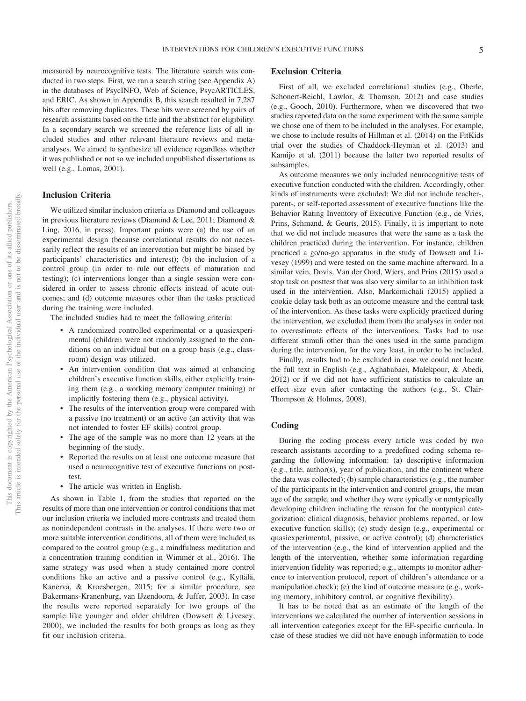measured by neurocognitive tests. The literature search was conducted in two steps. First, we ran a search string (see Appendix A) in the databases of PsycINFO, Web of Science, PsycARTICLES, and ERIC. As shown in Appendix B, this search resulted in 7,287 hits after removing duplicates. These hits were screened by pairs of research assistants based on the title and the abstract for eligibility. In a secondary search we screened the reference lists of all included studies and other relevant literature reviews and metaanalyses. We aimed to synthesize all evidence regardless whether it was published or not so we included unpublished dissertations as well (e.g., Lomas, 2001).

## **Inclusion Criteria**

We utilized similar inclusion criteria as Diamond and colleagues in previous literature reviews (Diamond & Lee, 2011; Diamond & Ling, 2016, in press). Important points were (a) the use of an experimental design (because correlational results do not necessarily reflect the results of an intervention but might be biased by participants' characteristics and interest); (b) the inclusion of a control group (in order to rule out effects of maturation and testing); (c) interventions longer than a single session were considered in order to assess chronic effects instead of acute outcomes; and (d) outcome measures other than the tasks practiced during the training were included.

The included studies had to meet the following criteria:

- A randomized controlled experimental or a quasiexperimental (children were not randomly assigned to the conditions on an individual but on a group basis (e.g., classroom) design was utilized.
- An intervention condition that was aimed at enhancing children's executive function skills, either explicitly training them (e.g., a working memory computer training) or implicitly fostering them (e.g., physical activity).
- The results of the intervention group were compared with a passive (no treatment) or an active (an activity that was not intended to foster EF skills) control group.
- The age of the sample was no more than 12 years at the beginning of the study.
- Reported the results on at least one outcome measure that used a neurocognitive test of executive functions on posttest.
- The article was written in English.

As shown in Table 1, from the studies that reported on the results of more than one intervention or control conditions that met our inclusion criteria we included more contrasts and treated them as nonindependent contrasts in the analyses. If there were two or more suitable intervention conditions, all of them were included as compared to the control group (e.g., a mindfulness meditation and a concentration training condition in Wimmer et al., 2016). The same strategy was used when a study contained more control conditions like an active and a passive control (e.g., [Kyttälä,](#page-42-1) [Kanerva, & Kroesbergen, 2015;](#page-42-1) for a similar procedure, see [Bakermans-Kranenburg, van IJzendoorn, & Juffer, 2003\)](#page-40-0). In case the results were reported separately for two groups of the sample like younger and older children (Dowsett & Livesey, 2000), we included the results for both groups as long as they fit our inclusion criteria.

## **Exclusion Criteria**

First of all, we excluded correlational studies (e.g., Oberle, Schonert-Reichl, Lawlor, & Thomson, 2012) and case studies (e.g., Gooch, 2010). Furthermore, when we discovered that two studies reported data on the same experiment with the same sample we chose one of them to be included in the analyses. For example, we chose to include results of Hillman et al. (2014) on the FitKids trial over the studies of Chaddock-Heyman et al. (2013) and [Kamijo et al. \(2011\)](#page-42-2) because the latter two reported results of subsamples.

As outcome measures we only included neurocognitive tests of executive function conducted with the children. Accordingly, other kinds of instruments were excluded: We did not include teacher-, parent-, or self-reported assessment of executive functions like the Behavior Rating Inventory of Executive Function (e.g., de Vries, Prins, Schmand, & Geurts, 2015). Finally, it is important to note that we did not include measures that were the same as a task the children practiced during the intervention. For instance, children practiced a go/no-go apparatus in the study of Dowsett and Livesey (1999) and were tested on the same machine afterward. In a similar vein, Dovis, Van der Oord, Wiers, and Prins (2015) used a stop task on posttest that was also very similar to an inhibition task used in the intervention. Also, Markomichali (2015) applied a cookie delay task both as an outcome measure and the central task of the intervention. As these tasks were explicitly practiced during the intervention, we excluded them from the analyses in order not to overestimate effects of the interventions. Tasks had to use different stimuli other than the ones used in the same paradigm during the intervention, for the very least, in order to be included.

Finally, results had to be excluded in case we could not locate the full text in English (e.g., Aghababaei, Malekpour, & Abedi, 2012) or if we did not have sufficient statistics to calculate an effect size even after contacting the authors (e.g., St. Clair-Thompson & Holmes, 2008).

## **Coding**

During the coding process every article was coded by two research assistants according to a predefined coding schema regarding the following information: (a) descriptive information (e.g., title, author(s), year of publication, and the continent where the data was collected); (b) sample characteristics (e.g., the number of the participants in the intervention and control groups, the mean age of the sample, and whether they were typically or nontypically developing children including the reason for the nontypical categorization: clinical diagnosis, behavior problems reported, or low executive function skills); (c) study design (e.g., experimental or quasiexperimental, passive, or active control); (d) characteristics of the intervention (e.g., the kind of intervention applied and the length of the intervention, whether some information regarding intervention fidelity was reported; e.g., attempts to monitor adherence to intervention protocol, report of children's attendance or a manipulation check); (e) the kind of outcome measure (e.g., working memory, inhibitory control, or cognitive flexibility).

It has to be noted that as an estimate of the length of the interventions we calculated the number of intervention sessions in all intervention categories except for the EF-specific curricula. In case of these studies we did not have enough information to code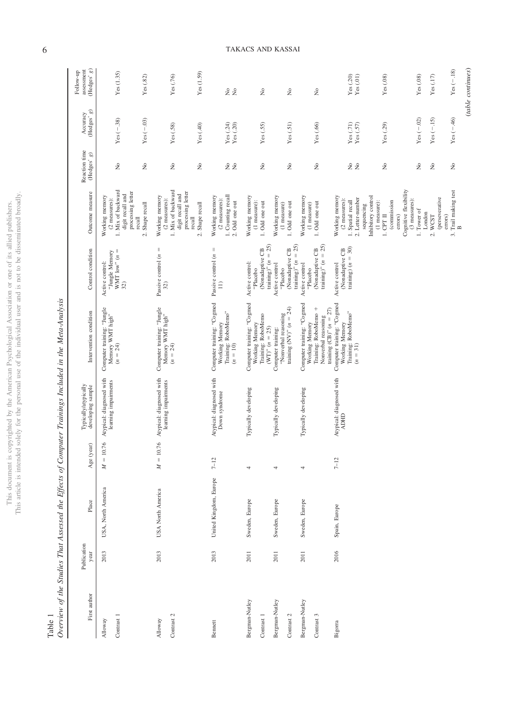|             | ï                  |
|-------------|--------------------|
|             |                    |
|             | ¢                  |
| í<br>ò      | ł                  |
| Ś           |                    |
|             |                    |
|             |                    |
|             |                    |
| j           |                    |
|             |                    |
| ĺ           |                    |
|             | ï                  |
|             |                    |
|             |                    |
|             |                    |
|             |                    |
|             |                    |
|             |                    |
|             |                    |
|             |                    |
|             |                    |
|             |                    |
|             |                    |
|             |                    |
|             |                    |
|             |                    |
|             | ġ<br>$\frac{1}{2}$ |
|             |                    |
|             |                    |
|             | í<br>Ì             |
|             |                    |
| š<br>ì      |                    |
| l<br>)      |                    |
| ł           |                    |
|             |                    |
| j           |                    |
| j           |                    |
|             |                    |
|             |                    |
|             |                    |
|             |                    |
| j           |                    |
|             |                    |
| Š           |                    |
|             | ļ                  |
|             |                    |
|             |                    |
| Ś           | ì                  |
| i i p       |                    |
|             |                    |
|             |                    |
| ¢<br>j      | i                  |
| ì<br>l      |                    |
| ł<br>J<br>) |                    |
| ì           |                    |
|             |                    |
| í           |                    |
|             |                    |
|             |                    |
|             |                    |
|             |                    |
| I           |                    |
|             |                    |
|             |                    |
| í           |                    |
| ١           | ā                  |
|             |                    |
| י<br>ב      |                    |
|             |                    |
| i           | ï                  |
|             |                    |
|             | ٠                  |
|             |                    |

|             | $\frac{1}{2}$<br>î<br>ì<br>l<br>Ì<br>I<br>ξ<br>֕ |
|-------------|--------------------------------------------------|
| Ì<br>d<br>i |                                                  |

| First author                 | Publication<br>year | Place                  | Age (year)  | Typically/atypically<br>developing sample        | Intervention condition                                                                                            | Control condition                                                       | Outcome measure                                                                                                             | Reaction time<br>(Hedges' $g)$                 | (Hedges' $g$ )<br>Accuracy            | (Hedges' $g)$<br>assessment<br>Follow-up |
|------------------------------|---------------------|------------------------|-------------|--------------------------------------------------|-------------------------------------------------------------------------------------------------------------------|-------------------------------------------------------------------------|-----------------------------------------------------------------------------------------------------------------------------|------------------------------------------------|---------------------------------------|------------------------------------------|
| Contrast 1<br>Alloway        | 2013                | USA, North America     | $M = 10.76$ | Atypical: diagnosed with<br>learning impairments | Computer training: "Jungle<br>Memory WMT high"<br>$(n = 24)$                                                      | WMT low" $(n =$<br>"Jungle Memory<br>Active control:<br>32)             | 1. Mix of backward<br>processing letter<br>digit recall and<br>Working memory<br>(2 measures):<br>2. Shape recall<br>recall | $\tilde{z}$<br>$\tilde{z}$                     | $Yes(-.03)$<br>$Yes (-.38)$           | Yes (1.35)<br>Yes(0.82)                  |
| Contrast 2<br>Alloway        | 2013                | USA North America      | $M=10.76$   | Atypical: diagnosed with<br>learning impairments | Computer training: "Jungle<br>Memory WMT high"<br>$(n = 24)$                                                      | $\vert\vert$<br>Passive control $(n$<br>32)                             | 1. Mix of backward<br>processing letter<br>digit recall and<br>Working memory<br>(2 measures):<br>2. Shape recall<br>recall | $\tilde{z}$<br>$\stackrel{\circ}{\mathcal{Z}}$ | Yes(.58)<br>Yes(40)                   | Yes(1.59)<br>Yes (.76)                   |
| Bennett                      | 2013                | United Kingdom, Europe | $7 - 12$    | Atypical: diagnosed with<br>Down syndrome        | Computer training: "Cogmed<br>Training: RoboMemo"<br>$(n = 10)$<br>Working Memory                                 | $\, \parallel$<br>Passive control $(n)$<br>$\Xi$                        | 1. Counting recall<br>Working memory<br>(2 measures):<br>2. Odd one out                                                     | 2 ž                                            | Yes $(.24)$<br>$\mathbf{Yes}$ $(.20)$ | 28                                       |
| 3ergman-Nutley<br>Contrast 1 | 2011                | Sweden, Europe         |             | Typically developing                             | Computer training: "Cogmed<br>Training: RoboMemo<br>Working Memory<br>$(WT)^{n} (n = 25)$                         | training)" $(n = 25)$<br>(Nonadaptive CB<br>Active control:<br>'Placebo | Working memory<br>$(1$ measure):<br>1. Odd one out                                                                          | $\stackrel{\circ}{\mathbf{z}}$                 | Yes $(.55)$                           | $\tilde{z}$                              |
| Bergman-Nutley<br>Contrast 2 | 2011                | Sweden, Europe         |             | Typically developing                             | "Nonverbal reasoning<br>training (NV)" $(n = 24)$<br>Computer training:                                           | training)" $(n = 25)$<br>(Nonadaptive CB<br>Active control<br>'Placebo  | Working memory<br>1. Odd one out<br>(1 measure)                                                                             | ż                                              | Yes $(.51)$                           | $\tilde{z}$                              |
| Bergman-Nutley<br>Contrast 3 | 2011                | Sweden, Europe         | 4           | Typically developing                             | Computer training: "Cogmed<br>Training: RoboMemo +<br>Nonverbal reasoning<br>Working Memory                       | training)" $(n = 25)$<br>(Nonadaptive CB<br>Active control<br>"Placebo  | Working memory<br>1. Odd one out<br>$(1 \text{ measure})$                                                                   | ż                                              | Yes (.66)                             | $\tilde{z}$                              |
| Bigorra                      | 2016                | Spain, Europe          | $7 - 12$    | Atypical: diagnosed with<br><b>GEIGN</b>         | Computer training: "Cogmed<br>training $(CB)$ " $(n = 27)$<br>Training: RoboMemo"<br>$(n = 31)$<br>Working Memory | training) $(n = 30)$<br>(Nonadaptive CB<br>Active control               | Working memory<br>Inhibitory control<br>2. Letter-number<br>(2 measures):<br>1. Spatial recall<br>sequencing                | 2 ž                                            | Yes(71)<br>$\mathbf{Yes}\ (.57)$      | Yes(.20)<br>Yes(01)                      |
|                              |                     |                        |             |                                                  |                                                                                                                   |                                                                         | Cognitive flexibility<br>(3 measures):<br>(commission<br>(1 measure):<br>$1.$ CPT $II$<br>errors)                           | ż                                              | Yes (.29)                             | Yes(0.08)                                |
|                              |                     |                        |             |                                                  |                                                                                                                   |                                                                         | 1. Tower of<br>London                                                                                                       | ż                                              | Yes $(-.02)$                          | Yes(0.08)                                |
|                              |                     |                        |             |                                                  |                                                                                                                   |                                                                         | (perseverative<br>errors)<br>2. WCST                                                                                        | $\gtrsim$                                      | $Yes (-15)$                           | Yes(.17)                                 |
|                              |                     |                        |             |                                                  |                                                                                                                   |                                                                         | 3. Trail making test<br>$\approx$                                                                                           | $\tilde{z}$                                    | Yes $(-.46)$                          | $Yes (-.18)$                             |

 $\mathbf{m}$ 

(*table continues*)

 $\qquad \qquad (table~continues)$ 

6 TAKACS AND KASSAI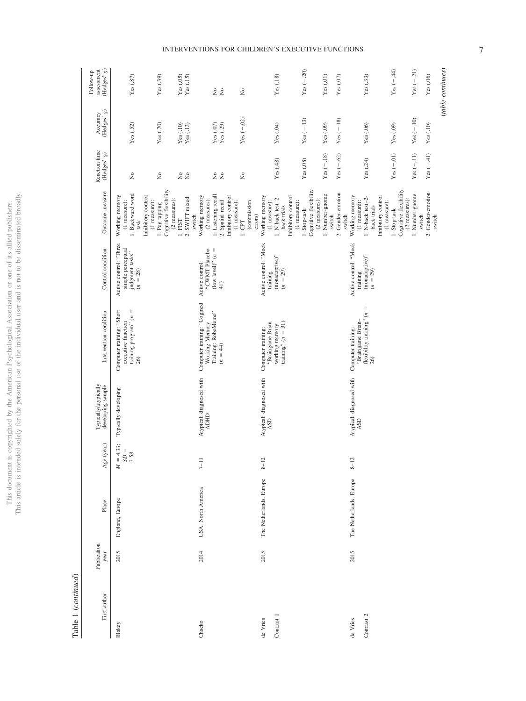$\begin{tabular}{ll} \bf Table 1 (continued) \end{tabular}$ Table 1 (*continued*)

| First author | Publication<br>year | Place                   | (year)<br>Age              | Typically/atypically<br>developing sample | Intervention condition                                                                                    | Control condition                                                            | Outcome measure                                                                                                               | Reaction time<br>$(\mbox{Hedges'}\ g)$ | (Hedges' $g)$<br>Accuracy                                                | (Hedges'g)<br>Follow-up<br>assessment                                                             |
|--------------|---------------------|-------------------------|----------------------------|-------------------------------------------|-----------------------------------------------------------------------------------------------------------|------------------------------------------------------------------------------|-------------------------------------------------------------------------------------------------------------------------------|----------------------------------------|--------------------------------------------------------------------------|---------------------------------------------------------------------------------------------------|
|              | 2015                | England, Europe         | $M = 4.33;$<br>$SD = 3.58$ | Typically developing                      | training program" $(n =$<br>Computer training: "Short<br>executive function<br>26)                        | Active control: "Three<br>simple perceptual<br>judgment tasks"<br>$(n = 28)$ | 1. Backward word<br>Working memory<br>Inhibitory control<br>(1 measure):<br>task                                              | $\stackrel{\circ}{\mathcal{Z}}$        | Yes $(.52)$                                                              | Yes(0.87)                                                                                         |
|              |                     |                         |                            |                                           |                                                                                                           |                                                                              | Cognitive flexibility<br>$(2$ measures):<br>(1 measure):<br>1. Peg tapping                                                    | $\mathring{\mathsf{z}}$                | Yes $(.70)$                                                              | Yes(.39)                                                                                          |
|              |                     |                         |                            |                                           |                                                                                                           |                                                                              | 2. SWIFT mixed<br>switch<br>1. FIST                                                                                           | 2 g                                    | $\begin{array}{c} \mathbf{Yes}\,(.10)\\ \mathbf{Yes}\,(.13) \end{array}$ | Yes(.15)<br>Yes(05)                                                                               |
|              | 2014                | USA, North America      | $7 - 11$                   | Atypical: diagnosed with<br><b>ADHD</b>   | Computer training: "Cogmed<br>Training: RoboMemo"<br>Working Memory<br>$(n = 44)$                         | (low level)" $(n =$<br>"CWMT Placebo<br>Active control:<br>41)               | 1. Listening recall<br>Working memory<br>Inhibitory control<br>(2 measures):<br>2. Spatial recall<br>(1 measure):<br>$1.$ CPT | 2 g<br>$\tilde{z}$                     | Yes $(-.02)$<br>Yes $(.29)$<br>Yes $(.07)$                               | $\rm \stackrel{\circ}{\phantom{}_{\sim}}$<br>$\overline{a}$<br>$\rm \stackrel{\circ}{\mathbf{Z}}$ |
|              | 2015                | The Netherlands, Europe | $8 - 12$                   | Atypical: diagnosed with<br>ASD           | "Braingame Brian-<br>working memory<br>Computer training:                                                 | Active control: "Mock<br>training                                            | Working memory<br>1. N-back test-2-<br>(commission<br>$(1$ measure):<br>errors)                                               | Yes(.48)                               | Yes(04)                                                                  | Yes(.18)                                                                                          |
|              |                     |                         |                            |                                           | training" $(n = 31)$                                                                                      | (nonadaptive)"<br>$(n = 29)$                                                 | Cognitive flexibility<br>Inhibitory control<br>(1 measure):<br>back trials<br>1. Stop-task                                    | Yes(.08)                               | $Yes (-.13)$                                                             | $Yes (-.20)$                                                                                      |
|              |                     |                         |                            |                                           |                                                                                                           |                                                                              | 2. Gender-emotion<br>1. Number-gnome<br>(2 measures):<br>switch<br>switch                                                     | Yes $(-.62)$<br>$Yes (-.18)$           | $Yes(-.18)$<br>Yes(09)                                                   | Yes(.01)<br>Yes(07)                                                                               |
|              | 2015                | The Netherlands, Europe | $8 - 12$                   | Atypical: diagnosed with<br>ASD           | $\lvert \rvert$<br>$\tilde{z}$<br>flexibility training"<br>"Braingame Brian-<br>Computer training:<br>26) | Active control: 'Mock<br>(nonadaptive)"<br>$(n = 29)$<br>training            | Working memory<br>Inhibitory control<br>1. N-back test-2-<br>(1 measure):<br>back trials                                      | Yes $(.24)$                            | Yes(.06)                                                                 | Yes(.33)                                                                                          |
|              |                     |                         |                            |                                           |                                                                                                           |                                                                              | Cognitive flexibility<br>$(2$ measures):<br>$(1$ measure):<br>1. Stop-task                                                    | $Yes(-.01)$                            | $\operatorname{Yes}\left( .09\right)$                                    | $Yes (-.44)$                                                                                      |
|              |                     |                         |                            |                                           |                                                                                                           |                                                                              | 1. Number-gnome<br>switch                                                                                                     | $Yes (-.11)$                           | $Yes (-.10)$                                                             | $Yes (-21)$                                                                                       |
|              |                     |                         |                            |                                           |                                                                                                           |                                                                              | 2. Gender-emotion<br>switch                                                                                                   | $Yes (-.41)$                           | Yes(.10)                                                                 | $\operatorname{Yes}\left( .06\right)$                                                             |
|              |                     |                         |                            |                                           |                                                                                                           |                                                                              |                                                                                                                               |                                        |                                                                          | (table continues)                                                                                 |

## INTERVENTIONS FOR CHILDREN'S EXECUTIVE FUNCTIONS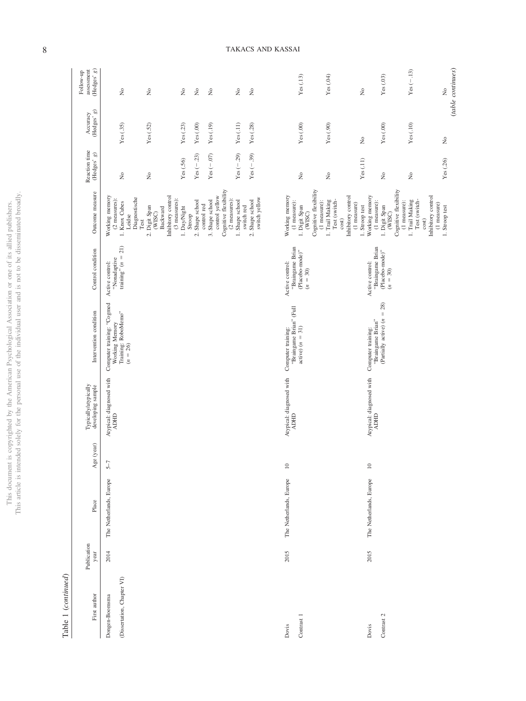|             | î                        |
|-------------|--------------------------|
| Ş           | $\ddot{\phantom{0}}$     |
| í           | Ì                        |
| ò           |                          |
| Ś           |                          |
| į           |                          |
| J           |                          |
|             | I                        |
|             |                          |
|             |                          |
| )           |                          |
|             | j                        |
|             |                          |
|             |                          |
|             |                          |
|             |                          |
|             | ś                        |
|             | í                        |
|             |                          |
|             |                          |
|             |                          |
|             |                          |
|             |                          |
|             |                          |
|             |                          |
|             |                          |
| ï           | I                        |
|             |                          |
| ļ           | ĝ<br>j                   |
| ţ           | $\overline{\phantom{a}}$ |
|             |                          |
|             | ċ                        |
|             |                          |
|             |                          |
| C<br>j      |                          |
| ļ<br>J      |                          |
| ł           |                          |
|             |                          |
|             |                          |
|             |                          |
| ĵ           |                          |
|             |                          |
|             |                          |
|             |                          |
|             | È                        |
| Š<br>j      |                          |
|             |                          |
| i<br>i      |                          |
|             |                          |
|             | Ì                        |
|             |                          |
|             |                          |
|             |                          |
| j           |                          |
|             |                          |
|             |                          |
|             |                          |
|             | Ï<br>J                   |
| J           | ì                        |
| i<br>ì      |                          |
| ł<br>j<br>١ |                          |
|             | ì                        |
|             |                          |
| ì           |                          |
|             |                          |
|             | $\overline{\phantom{a}}$ |
|             |                          |
|             |                          |
|             | i.<br>ă                  |
|             |                          |
|             |                          |
|             |                          |
|             |                          |
| component . |                          |
|             | $\overline{a}$           |
|             | j                        |
|             |                          |
| hus         | ¢                        |
| í           |                          |
|             | STP                      |
|             | I<br>ì                   |

Table 1  $\left( continued\right)$ Table 1 (*continued*)

|      | Publication<br>year | Place                   | Age (year) | Typically/atypically<br>developing sample | Intervention condition                                                             | Control condition                                                    | Outcome measure                                                                    | Reaction time<br>(Hedges' $g)$        | (Hedges' $\boldsymbol{g})$<br>Accuracy | assessment (Hedges' $g)$<br>Follow-up      |
|------|---------------------|-------------------------|------------|-------------------------------------------|------------------------------------------------------------------------------------|----------------------------------------------------------------------|------------------------------------------------------------------------------------|---------------------------------------|----------------------------------------|--------------------------------------------|
| 2014 |                     | The Netherlands, Europe | $5-7$      | Atypical: diagnosed with<br><b>ADHD</b>   | Computer training: "Cogmed<br>Working Memory<br>Training: RoboMemo''<br>$(n = 26)$ | training" $(n = 21)$<br>"Nonadaptive<br>Active control:              | Working memory<br>(2 measures): $\,$<br>Diagnostische<br>1. Knox Cubes<br>Leidse   | $\stackrel{\circ}{\mathbf{Z}}$        | Yes(.35)                               | $\stackrel{\circ}{\phantom{}_{\sim}}$      |
|      |                     |                         |            |                                           |                                                                                    |                                                                      | 2. Digit Span<br>Backward<br>(WISC)<br>Test                                        | ż                                     | Yes(0.52)                              | $\rm \stackrel{\circ}{\rm \scriptstyle X}$ |
|      |                     |                         |            |                                           |                                                                                    |                                                                      | Inhibitory control<br>$(3$ measures):<br>1. Day/Night                              | Yes(.56)                              | Yes(.23)                               | $\stackrel{\circ}{\mathbf{Z}}$             |
|      |                     |                         |            |                                           |                                                                                    |                                                                      | 2. Shape school<br>Stroop                                                          | $Yes (-.23)$                          | $\mathbf{Yes}\left( .00\right)$        | $\stackrel{\circ}{\mathbf{Z}}$             |
|      |                     |                         |            |                                           |                                                                                    |                                                                      | control yellow<br>3. Shape school<br>control red                                   | $\operatorname{Yes}\left(-.07\right)$ | Yes(.19)                               | $\stackrel{\circ}{\phantom{}_{\sim}}$      |
|      |                     |                         |            |                                           |                                                                                    |                                                                      | Cognitive flexibility<br>$(2$ measures):<br>1. Shape school                        | $\operatorname{Yes}\left(-.29\right)$ | Yes(.11)                               | $\rm \stackrel{\circ}{\rm \bf Z}$          |
|      |                     |                         |            |                                           |                                                                                    |                                                                      | switch yellow<br>2. Shape school<br>switch red                                     | $Yes (-39)$                           | Yes(.28)                               | $\stackrel{\circ}{\mathbf{Z}}$             |
| 2015 |                     | The Netherlands, Europe | $\Xi$      | Atypical: diagnosed with<br><b>CHCY</b>   | "Braingame Brian" (Full<br>$active) (n = 31)$<br>Computer training:                | "Braingame Brian<br>(Placebo-mode)"<br>Active control:<br>$(n = 30)$ | Cognitive flexibility<br>Working memory<br>(1 measure):<br>1. Digit Span<br>(WISC) | ż                                     | Yes(.00)                               | Yes(.13)                                   |
|      |                     |                         |            |                                           |                                                                                    |                                                                      | Test (switch-<br>1. Trail Making<br>(1 measure):<br>cost)                          | $\mathring{\mathsf{z}}$               | Yes(.90)                               | Yes(04)                                    |
|      |                     |                         |            |                                           |                                                                                    |                                                                      | Inhibitory control<br>$(1 \text{ measure})$<br>1. Stroop test                      | Yes(.11)                              | $\stackrel{\circ}{\mathbf{z}}$         | $\tilde{z}$                                |
| 2015 |                     | The Netherlands, Europe | $10\,$     | Atypical: diagnosed with<br><b>ADHD</b>   | (Partially active) $(n = 28)$<br>"Braingame Brian"<br>Computer training:           | "Braingame Brian<br>(Placebo-mode)"<br>Active control:<br>$(n = 30)$ | Cognitive flexibility<br>Working memory<br>(1 measure):<br>1. Digit Span<br>(WISC) | $\stackrel{\circ}{\mathsf{Z}}$        | $Yes(.00)$                             | Yes(03)                                    |
|      |                     |                         |            |                                           |                                                                                    |                                                                      | 1. Trail Making<br>Test (switch-<br>(1 measure):<br>cost)                          | ż                                     | Yes(.10)                               | $Yes (-13)$                                |
|      |                     |                         |            |                                           |                                                                                    |                                                                      | Inhibitory control<br>$(1$ measure)<br>1. Stroop test                              | Yes (.26)                             | $\frac{1}{2}$                          | $\stackrel{\circ}{\mathbf{z}}$             |
|      |                     |                         |            |                                           |                                                                                    |                                                                      |                                                                                    |                                       |                                        | (table continues)                          |

# 8 TAKACS AND KASSAI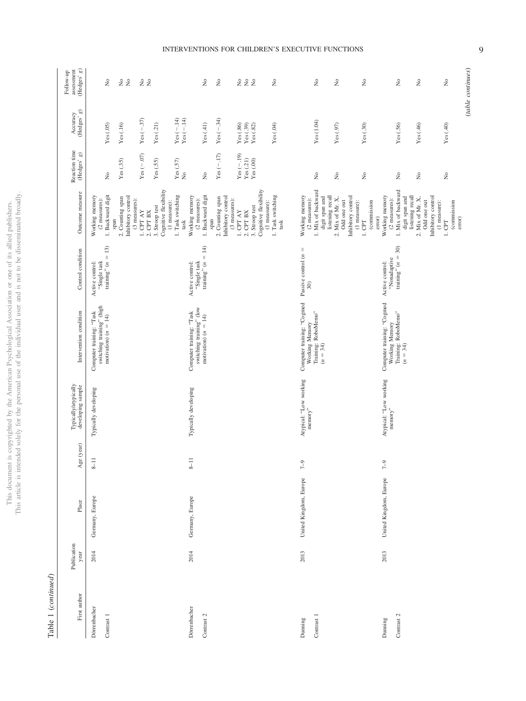This document is copyrighted by the American Psychological Association or one of its allied publishers.<br>This article is intended solely for the personal use of the individual user and is not to be disseminated broadly. This article is intended solely for the personal use of the individual user and is not to be disseminated broadly. This document is copyrighted by the American Psychological Association or one of its allied publishers.

# Table 1 (continued) Table 1 (*continued*)

| First author               | Publication<br>year | Place                  | Age (year) | Typically/atypically<br>developing sample                  | Intervention condition                                                             | Control condition                                          | Outcome measure                                                   | Reaction time<br>(Hedges' $g$ ) | (Hedges' $g)$<br>Accuracy                                                                     | (Hedges' $\boldsymbol{g})$<br>assessment<br>Follow-up |
|----------------------------|---------------------|------------------------|------------|------------------------------------------------------------|------------------------------------------------------------------------------------|------------------------------------------------------------|-------------------------------------------------------------------|---------------------------------|-----------------------------------------------------------------------------------------------|-------------------------------------------------------|
| Dörrenbacher<br>Contrast 1 | 2014                | Germany, Europe        | $8 - 11$   | Typically developing                                       | switching training" (high<br>Computer training: "Task<br>motivation) $(n = 14)$    | training" $(n = 13)$<br>Active control:<br>"Single task    | 1. Backward digit<br>Working memory<br>(2 measures):              | ż                               | Yes(05)                                                                                       | $\stackrel{\circ}{\mathcal{Z}}$                       |
|                            |                     |                        |            |                                                            |                                                                                    |                                                            | Inhibitory control<br>2. Counting span<br>$(3$ measures):<br>span | Yes(.35)                        | Yes(.16)                                                                                      | 2 g                                                   |
|                            |                     |                        |            |                                                            |                                                                                    |                                                            | $1.$ CPT AY<br>2. CPT BX                                          | Yes $(-.07)$                    | $Yes (-37)$                                                                                   | 2 g                                                   |
|                            |                     |                        |            |                                                            |                                                                                    |                                                            | Cognitive flexibility<br>(1 measure):<br>3. Stroop test           | Yes(.55)                        | Yes(21)                                                                                       |                                                       |
|                            |                     |                        |            |                                                            |                                                                                    |                                                            | 1. Task switching<br>task                                         | Yes(.57)<br>$\frac{1}{2}$       | $\begin{array}{l} \mathrm{Yes}\left(-.14\right) \\ \mathrm{Yes}\left(-.14\right) \end{array}$ |                                                       |
| Dörrenbacher<br>Contrast 2 | 2014                | Germany, Europe        | $8 - 11$   | Typically developing                                       | switching training" (low<br>Computer training: "Task<br>motivation) $(n = 14)$     | training" $(n = 14)$<br>'Single task<br>Active control:    | 1. Backward digit<br>Working memory<br>(2 measures):              | $\tilde{z}$                     | Yes(41)                                                                                       | $\stackrel{\circ}{\simeq}$                            |
|                            |                     |                        |            |                                                            |                                                                                    |                                                            | 2. Counting span<br>span                                          | $Yes (-17)$                     | $Yes (-34)$                                                                                   | $\mathring{\varkappa}$                                |
|                            |                     |                        |            |                                                            |                                                                                    |                                                            | Inhibitory control<br>$(3$ measures):                             |                                 |                                                                                               |                                                       |
|                            |                     |                        |            |                                                            |                                                                                    |                                                            | $1.$ CPT AY $\,$<br>2. CPT BX                                     | $Yes (-.19)$<br>Yes(.21)        | Yes(.86)                                                                                      | 222                                                   |
|                            |                     |                        |            |                                                            |                                                                                    |                                                            | 3. Stroop test                                                    | Yes(.00)                        | $\operatorname{Yes}\left( .39\right)$ $\operatorname{Yes}\left( .82\right)$                   |                                                       |
|                            |                     |                        |            |                                                            |                                                                                    |                                                            | Cognitive flexibility<br>(1 measure):                             |                                 |                                                                                               |                                                       |
|                            |                     |                        |            |                                                            |                                                                                    |                                                            | 1. Task switching<br>$\operatorname{task}$                        |                                 | Yes(04)                                                                                       | $\gtrsim$                                             |
| Dunning                    | 2013                | United Kingdom, Europe | $\sqrt{2}$ | Atypical: "Low working<br>$\mathrm{memory}^{\prime\prime}$ | Computer training: "Cogmed<br>Working Memory                                       | $\mid \mid$<br>Passive control $(n)$<br>30)                | Working memory<br>$(2$ measures):                                 |                                 |                                                                                               |                                                       |
| Contrast 1                 |                     |                        |            |                                                            | Training: RoboMemo"<br>( $n = 34$ )                                                |                                                            | 1. Mix of backward<br>digit span and                              | $\tilde{z}$                     | Yes(1.04)                                                                                     | $\stackrel{\circ}{\mathbb Z}$                         |
|                            |                     |                        |            |                                                            |                                                                                    |                                                            | listening recall<br>2. Mix of Mr. X,<br>Odd one out               | ż                               | Yes(0.97)                                                                                     | $\stackrel{\circ}{\mathcal{Z}}$                       |
|                            |                     |                        |            |                                                            |                                                                                    |                                                            | Inhibitory control<br>(1 measure):                                |                                 |                                                                                               |                                                       |
|                            |                     |                        |            |                                                            |                                                                                    |                                                            | (commission<br>error)<br>$1.$ CPT                                 | $\tilde{z}$                     | Yes(.30)                                                                                      | $\stackrel{\circ}{\mathbb{Z}}$                        |
| Contrast 2<br>Dunning      | 2013                | United Kingdom, Europe | $7-9$      | Atypical: "Low working<br>$memory$ "                       | Computer training: "Cogmed<br>Working Memory<br>Training: RoboMemo''<br>$(n = 34)$ | 30)<br>training" $(n =$<br>"Nonadaptive<br>Active control: | 1. Mix of backward<br>Working memory<br>(2 measures):             | $\stackrel{\circ}{\mathbb{Z}}$  | Yes(0.56)                                                                                     | $\gtrsim$                                             |
|                            |                     |                        |            |                                                            |                                                                                    |                                                            | digit span and<br>listening recall                                |                                 |                                                                                               |                                                       |
|                            |                     |                        |            |                                                            |                                                                                    |                                                            | Inhibitory control<br>2. Mix of Mr. X,<br>Odd one out             | ż                               | Yes(46)                                                                                       | $\gtrsim$                                             |
|                            |                     |                        |            |                                                            |                                                                                    |                                                            | $(1$ measure):<br>1. CPT                                          | ż                               | Yes(40)                                                                                       | $\tilde{z}$                                           |
|                            |                     |                        |            |                                                            |                                                                                    |                                                            | (commission<br>error)                                             |                                 |                                                                                               |                                                       |

## INTERVENTIONS FOR CHILDREN'S EXECUTIVE FUNCTIONS

(*table continues*)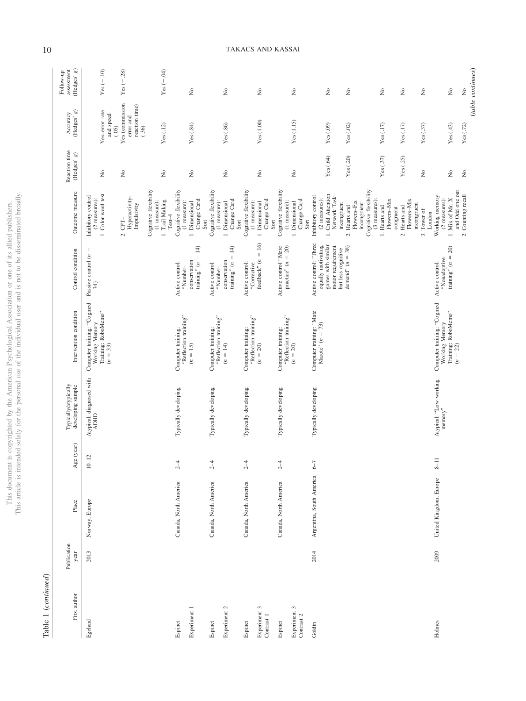This document is copyrighted by the American Psychological Association or one of its allied publishers. This article is intended solely for the personal use of the individual user and is not to be disseminated broadly.

This document is copyrighted by the American Psychological Association or one of its allied publishers.<br>This article is intended solely for the personal use of the individual user and is not to be disseminated broadly.

| I |
|---|

| (Hedges' $g)$<br>assessment<br>Follow-up      | $Yes(-.10)$                                                                       | $Yes (-.28)$                                            | $Yes (-.04)$                                                         | $\rm \stackrel{\circ}{\mathbf{Z}}$                                             | $\tilde{z}$                                                                    | $\stackrel{\circ}{\mathbf{z}}$                                                 | $\tilde{z}$                                                                    | $\tilde{z}$<br>$\stackrel{\circ}{\mathbf{Z}}$                                                                                       | $\tilde{z}$                                                                                                       | $\rm \stackrel{\circ}{\rm \bf Z}$<br>$\tilde{R}$                     | $\tilde{z}$<br>$\stackrel{\circ}{\mathbf{Z}}$                                                 |
|-----------------------------------------------|-----------------------------------------------------------------------------------|---------------------------------------------------------|----------------------------------------------------------------------|--------------------------------------------------------------------------------|--------------------------------------------------------------------------------|--------------------------------------------------------------------------------|--------------------------------------------------------------------------------|-------------------------------------------------------------------------------------------------------------------------------------|-------------------------------------------------------------------------------------------------------------------|----------------------------------------------------------------------|-----------------------------------------------------------------------------------------------|
| $\mathcal{S}$<br>Accuracy<br>(Hedges'         | Yes-error rate<br>and speed<br>(0.5)                                              | Yes (commission<br>reaction time)<br>error and<br>(.36) | Yes(.12)                                                             | Yes(.84)                                                                       | Yes(.86)                                                                       | Yes(1.00)                                                                      | Yes(1.15)                                                                      | Yes(09)<br>Yes(02)                                                                                                                  | Yes(.17)                                                                                                          | Yes(.17)<br>Yes(37)                                                  | Yes(43)<br>Yes(0.72)                                                                          |
| Reaction time<br>$(\mathrm{Hedges}^{\ast}$ g) | $\tilde{z}$                                                                       | ż                                                       | ż                                                                    | $\tilde{z}$                                                                    | ż                                                                              | $\stackrel{\circ}{\mathsf{Z}}$                                                 | ż                                                                              | Yes $(.64)$<br>Yes (.20)                                                                                                            | Yes(.37)                                                                                                          | Yes (.25)<br>ż                                                       | $\stackrel{\circ}{\mathsf{Z}}$<br>$\tilde{z}$                                                 |
| Outcome measure                               | 1. Color word test<br>Inhibitory control<br>$(2$ measures):                       | Hyperactivity-<br>Impulsivity<br>$2.$ CPT $-$           | Cognitive flexibility<br>1. Trail Making<br>(1 measure):<br>$Test-4$ | Cognitive flexibility<br>Change Card<br>(1 measure):<br>1. Dimensional<br>Sort | Cognitive flexibility<br>Change Card<br>(1 measure):<br>1. Dimensional<br>Sort | Cognitive flexibility<br>Change Card<br>(1 measure):<br>1. Dimensional<br>Sort | Cognitive flexibility<br>Change Card<br>(1 measure):<br>1. Dimensional<br>Sort | 1. Child Attention<br>Network Task-<br>Inhibitory control<br>$(2$ measures):<br>incongruent<br>2. Hearts and                        | Cognitive flexibility<br>(3 measures):<br>Flowers-Mix<br>Flowers-Fix<br>incongruent<br>1. Hearts and<br>congruent | Flowers-Mix<br>incongruent<br>2. Hearts and<br>3. Tower of<br>London | and Odd one out<br>2. Counting recall<br>Working memory<br>1. Mix of Mr. X<br>$(2$ measures): |
| Control condition                             | $\parallel$<br>Passive control $\left\langle n\right\rangle$<br>34)               |                                                         |                                                                      | $= 14$<br>conservation<br>training" $(n)$<br>Active control:<br>"Number-       | training" $(n = 14)$<br>conservation<br>Active control<br>"Number-             | feedback" $(n = 16)$<br>Active control:<br>"Corrective                         | Active control 'Mere<br>practice" ( $n = 20$ )                                 | Active control: "Three<br>games with similar<br>equally motivating<br>motor requirement<br>demand" $(n = 38)$<br>but less cognitive |                                                                                                                   |                                                                      | training" $(n = 20)$<br>"Nonadaptive<br>Active control:                                       |
| Intervention condition                        | Computer training: "Cogmed<br>Training: RoboMemo"<br>Working Memory<br>$(n = 33)$ |                                                         |                                                                      | "Reflection training"<br>Computer training:<br>$(n = 15)$                      | "Reflection training"<br>Computer training:<br>$(n = 14)$                      | "Reflection training"<br>Computer training:<br>$(n = 20)$                      | "Reflection training"<br>Computer training:<br>$(n = 20)$                      | Computer training: "Mate<br>Marote" ( $n = 73$ )                                                                                    |                                                                                                                   |                                                                      | Computer training: "Cogmed<br>Training: RoboMemo"<br>Working Memory<br>$(n = 22)$             |
| Typically/atypically<br>developing sample     | Atypical: diagnosed with<br><b>ADHD</b>                                           |                                                         |                                                                      | Typically developing                                                           | Typically developing                                                           | Typically developing                                                           | Typically developing                                                           | Typically developing                                                                                                                |                                                                                                                   |                                                                      | Atypical: "Low working<br>$\mathrm{memory}^n$                                                 |
| Age (year)                                    | $10 - 12$                                                                         |                                                         |                                                                      | $2-4$                                                                          | $2-4$                                                                          | $2-4$                                                                          | $2-4$                                                                          | $-9$                                                                                                                                |                                                                                                                   |                                                                      | ∞                                                                                             |
| Place                                         | Norway, Europe                                                                    |                                                         |                                                                      | Canada, North America                                                          | Canada, North America                                                          | Canada, North America                                                          | Canada, North America                                                          | Argentina, South America                                                                                                            |                                                                                                                   |                                                                      | United Kingdom, Europe                                                                        |
| Publication<br>year                           | 2013                                                                              |                                                         |                                                                      |                                                                                |                                                                                |                                                                                |                                                                                | 2014                                                                                                                                |                                                                                                                   |                                                                      | 2009                                                                                          |
| First author                                  | Egeland                                                                           |                                                         |                                                                      | Experiment 1<br>Espinet                                                        | Experiment 2<br>Espinet                                                        | Experiment 3<br>Contrast 1<br>Espinet                                          | Experiment 3<br>Contrast 2<br>Espinet                                          | Goldin                                                                                                                              |                                                                                                                   |                                                                      | Holmes                                                                                        |

# 10 TAKACS AND KASSAI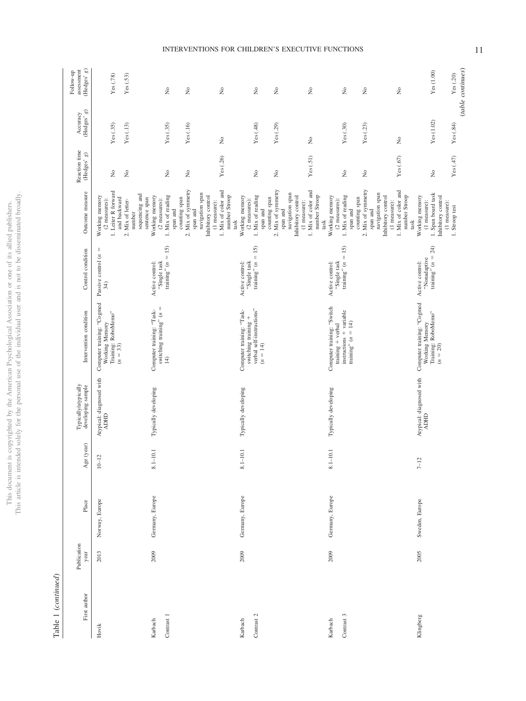|                   | ì             |
|-------------------|---------------|
|                   | ţ             |
| j                 | ¢             |
| ì<br>ë            | j             |
| ł                 |               |
| ł                 |               |
|                   | j             |
|                   | í             |
|                   |               |
|                   |               |
| j                 |               |
|                   | ï             |
|                   | j             |
|                   | ;             |
|                   |               |
|                   |               |
|                   |               |
|                   |               |
|                   |               |
| S                 |               |
| Ì                 |               |
|                   |               |
|                   |               |
|                   |               |
|                   |               |
|                   |               |
|                   |               |
|                   | ieg.<br>)     |
|                   | j             |
|                   |               |
|                   |               |
|                   |               |
| ł                 |               |
| j                 |               |
| j<br>J            |               |
| ł<br>١            |               |
| ł                 |               |
|                   |               |
| $\frac{1}{2}$     | l             |
|                   |               |
| I                 |               |
|                   |               |
|                   |               |
| š<br>j            |               |
| ì                 |               |
| (                 |               |
|                   |               |
|                   | ļ             |
|                   | í             |
|                   | ł             |
| į<br>j            | ļ             |
|                   |               |
| ì                 | i<br>j        |
|                   |               |
| j                 | ׇ֠֕֡֡         |
| ì                 |               |
| ē<br>j            |               |
| ١                 |               |
| <b>AND A ROAD</b> |               |
| ţ<br>í            |               |
| ï                 |               |
|                   |               |
|                   |               |
|                   | j             |
|                   | į             |
| in.               | į             |
|                   |               |
|                   |               |
| í                 |               |
| ł                 |               |
|                   | ļ<br>J        |
| Ş                 |               |
| l                 | $\frac{1}{2}$ |
| ì                 |               |
|                   | hic           |
|                   | İ<br>í        |

Table 1  $\left(\emph{continued}\right)$ Table 1 (*continued*)

| First author                    | Publication<br>year | Place           | Age (year)      | Typically/atypically<br>developing sample | Intervention condition                                                                             | Control condition                                       | Outcome measure                                                                               | Reaction time<br>$(\mathrm{Hedges}^r\ g)$ | (Hedges' g)<br>Accuracy            | (Hedges' $g)$<br>assessment<br>Follow-up |
|---------------------------------|---------------------|-----------------|-----------------|-------------------------------------------|----------------------------------------------------------------------------------------------------|---------------------------------------------------------|-----------------------------------------------------------------------------------------------|-------------------------------------------|------------------------------------|------------------------------------------|
| Hovik                           | 2013                | Norway, Europe  | $10 - 12$       | Atypical: diagnosed with<br><b>ADHD</b>   | Computer training: "Cogmed<br>Working Memory<br>Training: RoboMemo"<br>$(n = 33)$                  | Ш<br>Passive control $(n$<br>34)                        | 1. Leiter R forward<br>Working memory<br>and backward<br>(2 measures):                        | $\tilde{z}$                               | Yes(.35)                           | Yes (.78)                                |
|                                 |                     |                 |                 |                                           |                                                                                                    |                                                         | 2. Mix of letter-<br>number                                                                   | $\tilde{z}$                               | Yes(.13)                           | Yes(.53)                                 |
| ${\rm Contract}$ $1$<br>Karbach | 2009                | Germany, Europe | Ē<br>$8.1 - 10$ | Typically developing                      | switching training" $(n =$<br>Computer training: "Task-<br>$\pm$                                   | "Single task<br>training" $(n = 15)$<br>Active control: | sequencing and<br>1. Mix of reading<br>Working memory<br>sentence span<br>$(2$ measures):     | $\tilde{z}$                               | Yes(.35)                           | ż                                        |
|                                 |                     |                 |                 |                                           |                                                                                                    |                                                         | 2. Mix of symmetry<br>navigation span<br>counting span<br>span and<br>span and                | $\stackrel{\circ}{\mathcal{Z}}$           | Yes(.16)                           | $\stackrel{\circ}{\simeq}$               |
|                                 |                     |                 |                 |                                           |                                                                                                    |                                                         | 1. Mix of color and<br>number Stroop<br>Inhibitory control<br>(1 measure):<br>task            | Yes (.26)                                 | ż                                  | ż                                        |
| Contrast $2\,$<br>Karbach       | 2009                | Germany, Europe | $8.1 - 10.1$    | Typically developing                      | verbal self-instructions"<br>Computer training: "Task-<br>switching training +<br>$(n = 14)$       | "Single task<br>training" $(n = 15)$<br>Active control: | 1. Mix of reading<br>Working memory<br>$(2$ measures):<br>span and                            | ż                                         | Yes(.48)                           | $\stackrel{\circ}{\mathbb{X}}$           |
|                                 |                     |                 |                 |                                           |                                                                                                    |                                                         | 2. Mix of symmetry<br>counting span<br>span and                                               | $\tilde{z}$                               | Yes $(.29)$                        | $\stackrel{\circ}{\mathbb{Z}}$           |
|                                 |                     |                 |                 |                                           |                                                                                                    |                                                         | 1. Mix of color and<br>navigation span<br>number Stroop<br>Inhibitory control<br>(1 measure): | Yes(.51)                                  | $\rm \stackrel{\circ}{\mathbf{Z}}$ | $\tilde{z}$                              |
| Contrast 3<br>Karbach           | 2009                | Germany, Europe | $8.1 - 10.1$    | Typically developing                      | Computer training: "Switch<br>instructions + variable<br>training" $(n = 14)$<br>training + verbal | training" $(n = 15)$<br>"Single task<br>Active control: | 1. Mix of reading<br>Working memory<br>$(2$ measures):<br>task                                | $\tilde{z}$                               | Yes(.30)                           | ż                                        |
|                                 |                     |                 |                 |                                           |                                                                                                    |                                                         | 2. Mix of symmetry<br>navigation span<br>counting span<br>span and<br>span and                | $\tilde{z}$                               | Yes(0.23)                          | $\stackrel{\circ}{\mathbb{Z}}$           |
|                                 |                     |                 |                 |                                           |                                                                                                    |                                                         | 1. Mix of color and<br>number Stroop<br>Inhibitory control<br>(1 measure):<br>task            | Yes (.67)                                 | $\tilde{z}$                        | ż                                        |
| Klingberg                       | 2005                | Sweden, Europe  | $7 - 12$        | Atypical: diagnosed with<br><b>ADHD</b>   | Computer training: "Cogmed<br>Training: RoboMemo"<br>( $n = 20$ )<br>Working Memory                | "Nonadaptive<br>training" $(n = 24)$<br>Active control: | 1. Span board task<br>Working memory<br>Inhibitory control<br>(1 measure):                    | ż                                         | Yes (1.02)                         | Yes (1.00)                               |
|                                 |                     |                 |                 |                                           |                                                                                                    |                                                         | (1 measure):<br>1. Stroop test                                                                | Yes(47)                                   | Yes(.84)                           | (table continues)<br>Yes (.20)           |

# INTERVENTIONS FOR CHILDREN'S EXECUTIVE FUNCTIONS 11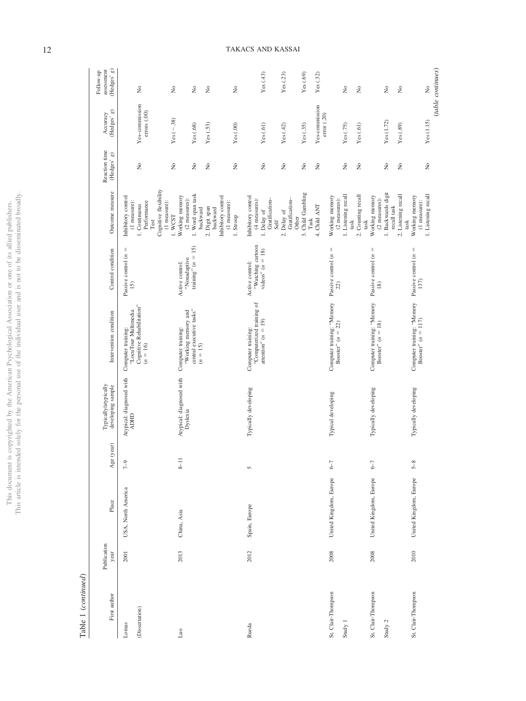| j<br>j<br>ï<br>eha                 | i                         |
|------------------------------------|---------------------------|
| ļ                                  |                           |
|                                    | l<br>ţ                    |
| $\frac{1}{2}$                      |                           |
|                                    |                           |
| ă<br>i                             |                           |
|                                    |                           |
|                                    |                           |
|                                    |                           |
| J                                  | ļ<br>$\ddot{\phantom{a}}$ |
| İ<br>J<br>2                        |                           |
|                                    |                           |
| Ć                                  |                           |
| H ueoi                             |                           |
|                                    |                           |
| $\frac{1}{2}$<br>ł                 |                           |
| $\frac{1}{2}$                      |                           |
| j<br>ì                             |                           |
| j<br>ļ<br>J<br>l                   |                           |
| Change Times<br>ì                  |                           |
|                                    |                           |
| $\frac{1}{2}$<br><b>CONTRACTOR</b> |                           |
|                                    |                           |
|                                    |                           |
| ЦIJ<br>ł                           | hic                       |
|                                    | ĺ<br>ij                   |

Table 1 (continued) Table 1 (*continued*)

| (Hedges' $g)$<br>assessment<br>Follow-up  | $\stackrel{\circ}{\mathbf{z}}$                                                                                      | $\rm \stackrel{\circ}{\rm \bf Z}$<br>$\rm \stackrel{\circ}{\rm \bf Z}$              | $\stackrel{\circ}{\simeq}$<br>$\tilde{z}$                                      | Yes $(.43)$                                                                  | Yes(0.23)                              | Yes $(.69)$<br>Yes $(.32)$                       |                                                   | $\tilde{z}$<br>$\rm \stackrel{\circ}{\rm \scriptstyle X}$ | $\stackrel{\circ}{\mathbf{Z}}$                                         | $\rm \stackrel{\circ}{\mathbf{Z}}$                            | (table continues)<br>$\frac{1}{2}$ |
|-------------------------------------------|---------------------------------------------------------------------------------------------------------------------|-------------------------------------------------------------------------------------|--------------------------------------------------------------------------------|------------------------------------------------------------------------------|----------------------------------------|--------------------------------------------------|---------------------------------------------------|-----------------------------------------------------------|------------------------------------------------------------------------|---------------------------------------------------------------|------------------------------------|
| $\mathcal{B}$<br>Accuracy<br>(Hedges'     | Yes-commission<br>errors (.00)                                                                                      | $Yes (-.38)$<br>Yes(0.68)                                                           | Yes(.00)<br>Yes $(.53)$                                                        | Yes(.61)                                                                     | Yes(42)                                | Yes-commission<br>Yes(.35)                       | error (.20)                                       | Yes(0.75)<br>Yes(61)                                      | Yes (1.72)                                                             | Yes(.89)                                                      | Yes (1.15)                         |
| Reaction time<br>(Hedges' g)              | $\stackrel{\circ}{\mathsf{Z}}$                                                                                      | $\stackrel{\circ}{\mathsf{Z}}$<br>ż                                                 | $\tilde{z}$<br>$\tilde{z}$                                                     | $\tilde{z}$                                                                  | $\tilde{z}$                            | $\frac{1}{2}$<br>$\tilde{z}$                     |                                                   | $\tilde{z}$<br>$\stackrel{\circ}{\mathbf{z}}$             | $\stackrel{\circ}{\mathcal{Z}}$                                        | $\tilde{z}$                                                   | $\tilde{z}$                        |
| Outcome measure                           | Cognitive flexibility<br>Inhibitory control<br>Performance<br>(1 measure):<br>(1 measure):<br>I. Continuous<br>Test | 1. Word span task<br>Working memory<br>(2 measures):<br>backward<br>1. WCST         | Inhibitory control<br>$(1$ measure):<br>2. Digit span<br>backward<br>1. Stroop | Inhibitory control<br>Gratification-<br>(4 measures):<br>1. Delay of<br>Self | Gratification-<br>2. Delay of<br>Other | 3. Child Gambling<br>4. Child ANT<br>$\rm{Task}$ | Working memory<br>(2 measures):                   | 1. Listening recall<br>2. Counting recall<br>task<br>task | 1. Backwards digit<br>Working memory<br>$(2$ measures):<br>recall task | 2. Listening recall<br>Working memory<br>(1 measure):<br>task | 1. Listening recall                |
| Control condition                         | $\parallel$<br>Passive control $(n)$<br>15)                                                                         | training" $(n = 15)$<br>"Nonadaptive<br>Active control:                             |                                                                                | "Watching cartoon<br>videos" $(n = 18)$<br>Active control:                   |                                        |                                                  | $\parallel$<br>Passive control (n<br>22)          |                                                           | Passive control $(n =$<br>$18)$                                        | Passive control $(n =$<br>137)                                |                                    |
| Intervention condition                    | Cognitive Rehabilitation"<br>"LocuTour Multimedia<br>Computer training:<br>$(n = 16)$                               | central executive tasks"<br>"Working memory and<br>Computer training:<br>$(n = 15)$ |                                                                                | "Computerized training of<br>attention" $(n = 19)$<br>Computer training:     |                                        |                                                  | Computer training: 'Memory<br>Booster" $(n = 22)$ |                                                           | Computer training: 'Memory<br>Booster" $(n = 18)$                      | Computer training: "Memory<br>Booster" $(n = 117)$            |                                    |
| Typically/atypically<br>developing sample | Atypical: diagnosed with<br><b>ADHD</b>                                                                             | Atypical: diagnosed with<br>Dyslexia                                                |                                                                                | Typically developing                                                         |                                        |                                                  | Typical developing                                |                                                           | Typically developing                                                   | Typically developing                                          |                                    |
| Age (year)                                | $\sqrt{2}$                                                                                                          | $\overline{8}$ -1                                                                   |                                                                                | 5                                                                            |                                        |                                                  | $-9$                                              |                                                           | $6-7$                                                                  | $5-8$                                                         |                                    |
| Place                                     | USA, North America                                                                                                  | China, Asia                                                                         |                                                                                | Spain, Europe                                                                |                                        |                                                  | United Kingdom, Europe                            |                                                           | United Kingdom, Europe                                                 | United Kingdom, Europe                                        |                                    |
| Publication<br>year                       | 2001                                                                                                                | 2013                                                                                |                                                                                | 2012                                                                         |                                        |                                                  | 2008                                              |                                                           | 2008                                                                   | 2010                                                          |                                    |
| First author                              | (Dissertation)<br>Lomas                                                                                             | <b>DuQ</b>                                                                          |                                                                                | Rueda                                                                        |                                        |                                                  | St. Clair-Thompson                                | Study 1                                                   | St. Clair-Thompson<br>Study 2                                          | St. Clair-Thompson                                            |                                    |

# 12 TAKACS AND KASSAI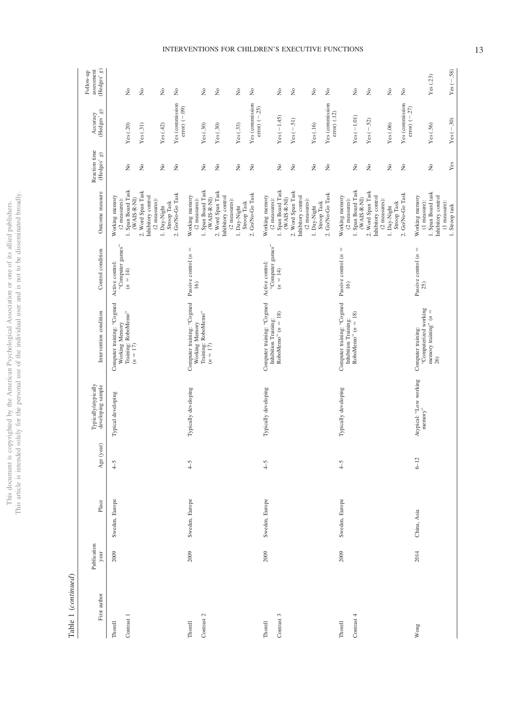This document is copyrighted by the American Psychological Association or one of its allied publishers.<br>This article is intended solely for the personal use of the individual user and is not to be disseminated broadly. This article is intended solely for the personal use of the individual user and is not to be disseminated broadly. This document is copyrighted by the American Psychological Association or one of its allied publishers.

> $\begin{tabular}{ll} Table 1 (continued) \end{tabular}$ Table 1 (*continued*)

| Place<br>Publication<br>year                          | (year)<br>$A$ ge | Typically/atypically<br>developing sample | Intervention condition                                                            | Control condition                                 | Outcome measure                                                         | Reaction time<br>(Hedges' $g)$  | (Hedges' $\boldsymbol{g})$<br>Accuracy | (Hedges'g)<br>assessment<br>Follow-up      |
|-------------------------------------------------------|------------------|-------------------------------------------|-----------------------------------------------------------------------------------|---------------------------------------------------|-------------------------------------------------------------------------|---------------------------------|----------------------------------------|--------------------------------------------|
| Typical developing<br>$4-5$<br>Sweden, Europe<br>2009 |                  |                                           | Computer training: "Cogmed<br>Training: RoboMemo"<br>$(n = 17)$<br>Working Memory | "Computer games"<br>Active control:<br>$(n = 14)$ | 1. Span Board Task<br>Working memory<br>$(2$ measures):                 | $\frac{1}{2}$                   | Yes(.20)                               | $\tilde{z}$                                |
|                                                       |                  |                                           |                                                                                   |                                                   | 2. Word Span Task<br>Inhibitory control<br>(WAIS-R-NI)<br>(2 measures): | $\stackrel{\circ}{\simeq}$      | Yes(.31)                               | $\stackrel{\circ}{\mathbf{Z}}$             |
|                                                       |                  |                                           |                                                                                   |                                                   | Stroop Task<br>1. Day-Night                                             | $\tilde{z}$                     | Yes $(.42)$                            | $\stackrel{\circ}{\mathbf{Z}}$             |
|                                                       |                  |                                           |                                                                                   |                                                   | 2. GoNo-Go Task                                                         | $\tilde{z}$                     | Yes (commission<br>$error$ $(-.09)$    | $\stackrel{\circ}{\mathbf{z}}$             |
| $-5$<br>Sweden, Europe<br>2009                        |                  | Typically developing                      | Computer training: "Cogmed<br>Training: RoboMemo"<br>$(n = 17)$<br>Working Memory | Passive control $(n =$<br>$\overline{16}$         | 1. Span Board Task<br>Working memory<br>(WAIS-R-NI)<br>(2 measures):    | $\stackrel{\circ}{\mathsf{Z}}$  | Yes(.30)                               | $\stackrel{\circ}{\mathbf{Z}}$             |
|                                                       |                  |                                           |                                                                                   |                                                   | 2. Word Span Task<br>Inhibitory control<br>$(2$ measures):              | $\stackrel{\circ}{\mathbf{z}}$  | Yes(.30)                               | $\rm \stackrel{\circ}{\rm \scriptstyle X}$ |
|                                                       |                  |                                           |                                                                                   |                                                   | Stroop Task<br>1. Day-Night                                             | $\stackrel{\circ}{\mathcal{Z}}$ | Yes(.33)                               | $\stackrel{\circ}{\mathbf{Z}}$             |
|                                                       |                  |                                           |                                                                                   |                                                   | 2. Go/No-Go Task                                                        | $\stackrel{\circ}{\mathbf{z}}$  | Yes (commission<br>$error$ $(-.25)$    | $\stackrel{\circ}{\mathbf{Z}}$             |
| $\widetilde{-}$<br>Sweden, Europe<br>2009             |                  | Typically developing                      | Computer training: "Cogmed<br>RoboMemo" $(n = 18)$<br>Inhibition Training:        | "Computer games"<br>Active control:<br>$(n = 14)$ | 1. Span Board Task<br>Working memory<br>(2 measures):                   | $\stackrel{\circ}{\mathsf{Z}}$  | $Yes (-1.45)$                          | $\stackrel{\circ}{\mathbf{Z}}$             |
|                                                       |                  |                                           |                                                                                   |                                                   | 2. Word Span Task<br>Inhibitory control<br>$(WAS-R-NI)$                 | $\tilde{z}$                     | $Yes (-.51)$                           | $\rm \stackrel{\circ}{\mathbf{Z}}$         |
|                                                       |                  |                                           |                                                                                   |                                                   | $(2$ measures):<br>Stroop Task<br>1. Day-Night                          | $\stackrel{\circ}{\mathsf{Z}}$  | Yes(.16)                               | $\stackrel{\circ}{\mathbf{Z}}$             |
|                                                       |                  |                                           |                                                                                   |                                                   | 2. Go/No-Go Task                                                        | $\stackrel{\circ}{\simeq}$      | Yes (commission<br>error) (.12)        | $\stackrel{\circ}{\mathbf{Z}}$             |
| $-5$<br>Sweden, Europe<br>2009                        |                  | Typically developing                      | Computer training: "Cogmed<br>Inhibition Training:                                | Passive control $(n =$<br>16)                     | Working memory<br>$(2$ measures):                                       |                                 |                                        |                                            |
|                                                       |                  |                                           | RoboMemo" $(n = 18)$                                                              |                                                   | 1. Span Board Task<br>(WAIS-R-NI)                                       | $\tilde{z}$                     | $Yes(-1.01)$                           | $\tilde{z}$                                |
|                                                       |                  |                                           |                                                                                   |                                                   | 2. Word Span Task<br>Inhibitory control                                 | $\stackrel{\circ}{\mathbb{Z}}$  | $Yes (-52)$                            | $\rm \stackrel{\circ}{\rm \bf Z}$          |
|                                                       |                  |                                           |                                                                                   |                                                   | $(2$ measures):<br>Stroop Task<br>1. Day-Night                          | $\tilde{z}$                     | Yes(.06)                               | $\tilde{z}$                                |
|                                                       |                  |                                           |                                                                                   |                                                   | 2. Go/No-Go Task                                                        | ż                               | Yes (commission<br>error) $(-.27)$     | $\stackrel{\circ}{\mathbf{Z}}$             |
| $memory$ "<br>$6-12$<br>China, Asia<br>2014           |                  | Atypical: "Low working                    | "Computerized working<br>Computer training:                                       | $\, \parallel$<br>Passive control (n<br>25)       | Working memory<br>(1 measure):                                          |                                 |                                        |                                            |
|                                                       |                  |                                           | memory training" $(n =$<br>26)                                                    |                                                   | 1. Span Board task<br>Inhibitory control<br>(1 measure):                | $\stackrel{\circ}{\mathsf{Z}}$  | Yes(.56)                               | Yes $(.23)$                                |
|                                                       |                  |                                           |                                                                                   |                                                   | 1. Stroop task                                                          | Yes                             | $Yes (-30)$                            | $Yes (-.58)$                               |

# INTERVENTIONS FOR CHILDREN'S EXECUTIVE FUNCTIONS 13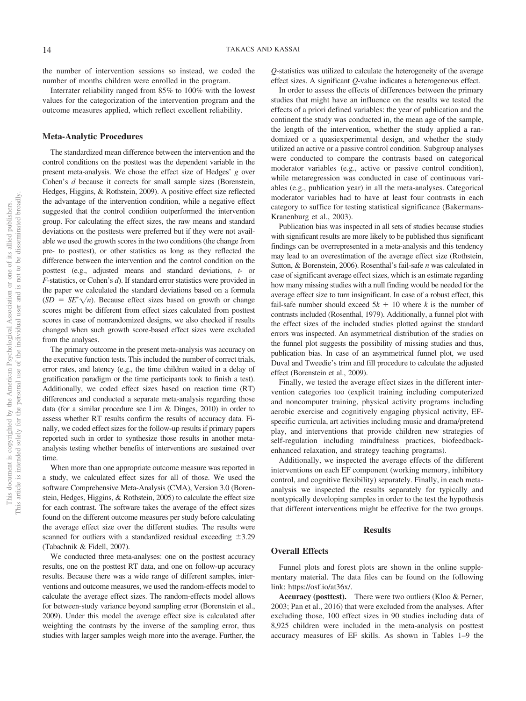the number of intervention sessions so instead, we coded the number of months children were enrolled in the program.

Interrater reliability ranged from 85% to 100% with the lowest values for the categorization of the intervention program and the outcome measures applied, which reflect excellent reliability.

## **Meta-Analytic Procedures**

The standardized mean difference between the intervention and the control conditions on the posttest was the dependent variable in the present meta-analysis. We chose the effect size of Hedges' *g* over Cohen's *d* because it corrects for small sample sizes (Borenstein, Hedges, Higgins, & Rothstein, 2009). A positive effect size reflected the advantage of the intervention condition, while a negative effect suggested that the control condition outperformed the intervention group. For calculating the effect sizes, the raw means and standard deviations on the posttests were preferred but if they were not available we used the growth scores in the two conditions (the change from pre- to posttest), or other statistics as long as they reflected the difference between the intervention and the control condition on the posttest (e.g., adjusted means and standard deviations, *t*- or *F*-statistics, or Cohen's *d*). If standard error statistics were provided in the paper we calculated the standard deviations based on a formula  $(SD = SE^* \sqrt{n})$ . Because effect sizes based on growth or change scores might be different from effect sizes calculated from posttest scores in case of nonrandomized designs, we also checked if results changed when such growth score-based effect sizes were excluded from the analyses.

The primary outcome in the present meta-analysis was accuracy on the executive function tests. This included the number of correct trials, error rates, and latency (e.g., the time children waited in a delay of gratification paradigm or the time participants took to finish a test). Additionally, we coded effect sizes based on reaction time (RT) differences and conducted a separate meta-analysis regarding those data (for a similar procedure see Lim & Dinges, 2010) in order to assess whether RT results confirm the results of accuracy data. Finally, we coded effect sizes for the follow-up results if primary papers reported such in order to synthesize those results in another metaanalysis testing whether benefits of interventions are sustained over time.

When more than one appropriate outcome measure was reported in a study, we calculated effect sizes for all of those. We used the software Comprehensive Meta-Analysis (CMA), Version 3.0 (Borenstein, Hedges, Higgins, & Rothstein, 2005) to calculate the effect size for each contrast. The software takes the average of the effect sizes found on the different outcome measures per study before calculating the average effect size over the different studies. The results were scanned for outliers with a standardized residual exceeding  $\pm 3.29$ (Tabachnik & Fidell, 2007).

We conducted three meta-analyses: one on the posttest accuracy results, one on the posttest RT data, and one on follow-up accuracy results. Because there was a wide range of different samples, interventions and outcome measures, we used the random-effects model to calculate the average effect sizes. The random-effects model allows for between-study variance beyond sampling error (Borenstein et al., 2009). Under this model the average effect size is calculated after weighting the contrasts by the inverse of the sampling error, thus studies with larger samples weigh more into the average. Further, the

*Q*-statistics was utilized to calculate the heterogeneity of the average effect sizes. A significant *Q*-value indicates a heterogeneous effect.

In order to assess the effects of differences between the primary studies that might have an influence on the results we tested the effects of a priori defined variables: the year of publication and the continent the study was conducted in, the mean age of the sample, the length of the intervention, whether the study applied a randomized or a quasiexperimental design, and whether the study utilized an active or a passive control condition. Subgroup analyses were conducted to compare the contrasts based on categorical moderator variables (e.g., active or passive control condition), while metaregression was conducted in case of continuous variables (e.g., publication year) in all the meta-analyses. Categorical moderator variables had to have at least four contrasts in each category to suffice for testing statistical significance [\(Bakermans-](#page-40-0)[Kranenburg et al., 2003\)](#page-40-0).

Publication bias was inspected in all sets of studies because studies with significant results are more likely to be published thus significant findings can be overrepresented in a meta-analysis and this tendency may lead to an overestimation of the average effect size (Rothstein, Sutton, & Borenstein, 2006). Rosenthal's fail-safe *n* was calculated in case of significant average effect sizes, which is an estimate regarding how many missing studies with a null finding would be needed for the average effect size to turn insignificant. In case of a robust effect, this fail-safe number should exceed  $5k + 10$  where *k* is the number of contrasts included (Rosenthal, 1979). Additionally, a funnel plot with the effect sizes of the included studies plotted against the standard errors was inspected. An asymmetrical distribution of the studies on the funnel plot suggests the possibility of missing studies and thus, publication bias. In case of an asymmetrical funnel plot, we used Duval and Tweedie's trim and fill procedure to calculate the adjusted effect (Borenstein et al., 2009).

Finally, we tested the average effect sizes in the different intervention categories too (explicit training including computerized and noncomputer training, physical activity programs including aerobic exercise and cognitively engaging physical activity, EFspecific curricula, art activities including music and drama/pretend play, and interventions that provide children new strategies of self-regulation including mindfulness practices, biofeedbackenhanced relaxation, and strategy teaching programs).

Additionally, we inspected the average effects of the different interventions on each EF component (working memory, inhibitory control, and cognitive flexibility) separately. Finally, in each metaanalysis we inspected the results separately for typically and nontypically developing samples in order to the test the hypothesis that different interventions might be effective for the two groups.

## **Results**

## **Overall Effects**

Funnel plots and forest plots are shown in the [online supple](http://dx.doi.org/10.1037/bul0000195.supp)[mentary material.](http://dx.doi.org/10.1037/bul0000195.supp) The data files can be found on the following link: [https://osf.io/at36x/.](https://osf.io/at36x/)

**Accuracy (posttest).** There were two outliers (Kloo & Perner, 2003; Pan et al., 2016) that were excluded from the analyses. After excluding those, 100 effect sizes in 90 studies including data of 8,925 children were included in the meta-analysis on posttest accuracy measures of EF skills. As shown in Tables 1–9 the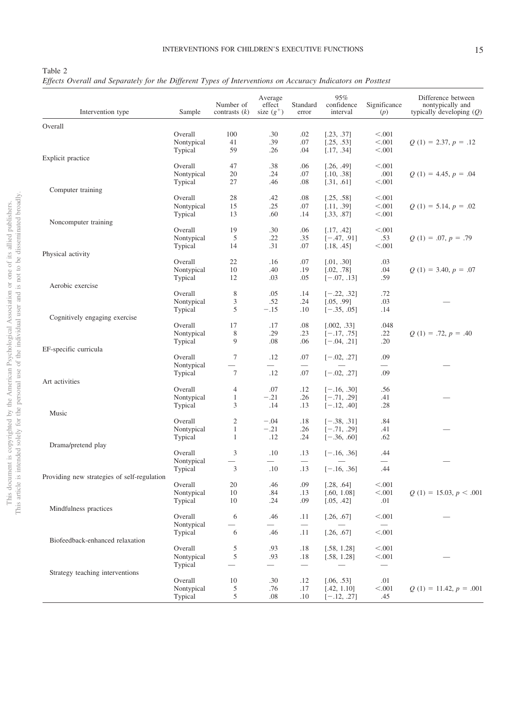## <span id="page-15-0"></span>Table 2

*Effects Overall and Separately for the Different Types of Interventions on Accuracy Indicators on Posttest*

| Intervention type                           | Sample     | Number of<br>contrasts $(k)$ | Average<br>effect<br>size $(g^+)$ | Standard<br>error        | 95%<br>confidence<br>interval | Significance<br>(p) | Difference between<br>nontypically and<br>typically developing $(Q)$ |
|---------------------------------------------|------------|------------------------------|-----------------------------------|--------------------------|-------------------------------|---------------------|----------------------------------------------------------------------|
|                                             |            |                              |                                   |                          |                               |                     |                                                                      |
| Overall                                     |            |                              |                                   |                          |                               |                     |                                                                      |
|                                             | Overall    | 100                          | .30                               | .02                      | [.23, .37]                    | < 0.001             |                                                                      |
|                                             | Nontypical | 41                           | .39                               | .07                      | [.25, .53]                    | < .001              | $Q(1) = 2.37, p = .12$                                               |
|                                             | Typical    | 59                           | .26                               | .04                      | [.17, .34]                    | < .001              |                                                                      |
| Explicit practice                           |            |                              |                                   |                          |                               |                     |                                                                      |
|                                             | Overall    | 47                           | .38                               | .06                      | [.26, .49]                    | < .001              |                                                                      |
|                                             | Nontypical | 20                           | .24                               | .07                      | [.10, .38]                    | .001                | $Q(1) = 4.45, p = .04$                                               |
|                                             | Typical    | 27                           | .46                               | .08                      | [.31, .61]                    | < .001              |                                                                      |
| Computer training                           |            |                              |                                   |                          |                               |                     |                                                                      |
|                                             | Overall    | 28                           | .42                               | .08                      | [.25, .58]                    | < .001              |                                                                      |
|                                             | Nontypical | 15                           | .25                               | .07                      | [.11, .39]                    | < .001              | $Q(1) = 5.14, p = .02$                                               |
|                                             | Typical    | 13                           | .60                               | .14                      | [.33, .87]                    | < .001              |                                                                      |
| Noncomputer training                        |            |                              |                                   |                          |                               |                     |                                                                      |
|                                             | Overall    | 19                           | .30                               | .06                      | [.17, .42]                    | < .001              |                                                                      |
|                                             | Nontypical | 5                            | .22                               | .35                      | $[-.47, .91]$                 | .53                 | $Q(1) = .07, p = .79$                                                |
|                                             | Typical    | 14                           | .31                               | .07                      | [.18, .45]                    | < .001              |                                                                      |
|                                             |            |                              |                                   |                          |                               |                     |                                                                      |
| Physical activity                           |            |                              |                                   |                          |                               |                     |                                                                      |
|                                             | Overall    | 22                           | .16                               | .07                      | [.01, .30]                    | .03                 |                                                                      |
|                                             | Nontypical | 10                           | .40                               | .19                      | [.02, .78]                    | .04                 | $Q(1) = 3.40, p = .07$                                               |
|                                             | Typical    | 12                           | .03                               | .05                      | $[-.07, .13]$                 | .59                 |                                                                      |
| Aerobic exercise                            |            |                              |                                   |                          |                               |                     |                                                                      |
|                                             | Overall    | 8                            | .05                               | .14                      | $[-.22, .32]$                 | .72                 |                                                                      |
|                                             | Nontypical | 3                            | .52                               | .24                      | [.05, .99]                    | .03                 |                                                                      |
|                                             | Typical    | 5                            | $-.15$                            | .10                      | $[-.35, .05]$                 | .14                 |                                                                      |
| Cognitively engaging exercise               |            |                              |                                   |                          |                               |                     |                                                                      |
|                                             | Overall    | 17                           | .17                               | .08                      | [.002, .33]                   | .048                |                                                                      |
|                                             | Nontypical | 8                            | .29                               | .23                      | $[-.17, .75]$                 | .22                 | $Q(1) = .72, p = .40$                                                |
|                                             | Typical    | 9                            | .08                               | .06                      | $[-.04, .21]$                 | .20                 |                                                                      |
| EF-specific curricula                       |            |                              |                                   |                          |                               |                     |                                                                      |
|                                             | Overall    | 7                            | .12                               | .07                      | $[-.02, .27]$                 | .09                 |                                                                      |
|                                             |            |                              | $\overline{\phantom{0}}$          |                          |                               |                     |                                                                      |
|                                             | Nontypical |                              |                                   |                          |                               |                     |                                                                      |
|                                             | Typical    | $\tau$                       | .12                               | .07                      | $[-.02, .27]$                 | .09                 |                                                                      |
| Art activities                              |            |                              |                                   |                          |                               |                     |                                                                      |
|                                             | Overall    | 4                            | .07                               | .12                      | $[-.16, .30]$                 | .56                 |                                                                      |
|                                             | Nontypical | $\mathbf{1}$                 | $-.21$                            | .26                      | $[-.71, .29]$                 | .41                 |                                                                      |
|                                             | Typical    | 3                            | .14                               | .13                      | $[-.12, .40]$                 | .28                 |                                                                      |
| Music                                       |            |                              |                                   |                          |                               |                     |                                                                      |
|                                             | Overall    | $\overline{c}$               | $-.04$                            | .18                      | $[-.38, .31]$                 | .84                 |                                                                      |
|                                             | Nontypical | $\mathbf{1}$                 | $-.21$                            | .26                      | $[-.71, .29]$                 | .41                 |                                                                      |
|                                             | Typical    | 1                            | .12                               | .24                      | $[-.36, .60]$                 | .62                 |                                                                      |
| Drama/pretend play                          |            |                              |                                   |                          |                               |                     |                                                                      |
|                                             | Overall    | 3                            | .10                               | .13                      | $[-.16, .36]$                 | .44                 |                                                                      |
|                                             | Nontypical |                              | $\overline{\phantom{0}}$          | $\overline{\phantom{0}}$ |                               |                     |                                                                      |
|                                             | Typical    | 3                            | .10                               | .13                      | $[-.16, .36]$                 | .44                 |                                                                      |
| Providing new strategies of self-regulation |            |                              |                                   |                          |                               |                     |                                                                      |
|                                             | Overall    | 20                           | .46                               | .09                      | [.28, .64]                    | < 0.001             |                                                                      |
|                                             | Nontypical | 10                           | .84                               | .13                      | [.60, 1.08]                   | < .001              | $Q(1) = 15.03, p < .001$                                             |
|                                             | Typical    | 10                           | .24                               | .09                      | [.05, .42]                    | .01                 |                                                                      |
| Mindfulness practices                       |            |                              |                                   |                          |                               |                     |                                                                      |
|                                             |            |                              |                                   |                          |                               |                     |                                                                      |
|                                             | Overall    | 6                            | .46                               | .11                      | [.26, .67]                    | < .001              |                                                                      |
|                                             | Nontypical |                              |                                   |                          |                               |                     |                                                                      |
|                                             | Typical    | 6                            | .46                               | .11                      | [.26, .67]                    | < .001              |                                                                      |
| Biofeedback-enhanced relaxation             |            |                              |                                   |                          |                               |                     |                                                                      |
|                                             | Overall    | 5                            | .93                               | .18                      | [.58, 1.28]                   | < 0.001             |                                                                      |
|                                             | Nontypical | $\sqrt{5}$                   | .93                               | .18                      | [.58, 1.28]                   | < .001              |                                                                      |
|                                             | Typical    |                              | $\overline{\phantom{0}}$          |                          |                               |                     |                                                                      |
| Strategy teaching interventions             |            |                              |                                   |                          |                               |                     |                                                                      |
|                                             | Overall    | 10                           | .30                               | .12                      | [.06, .53]                    | .01                 |                                                                      |
|                                             | Nontypical | 5                            | .76                               | .17                      | [.42, 1.10]                   | < .001              | $Q(1) = 11.42, p = .001$                                             |
|                                             | Typical    | 5                            | .08                               | .10                      | $[-.12, .27]$                 | .45                 |                                                                      |
|                                             |            |                              |                                   |                          |                               |                     |                                                                      |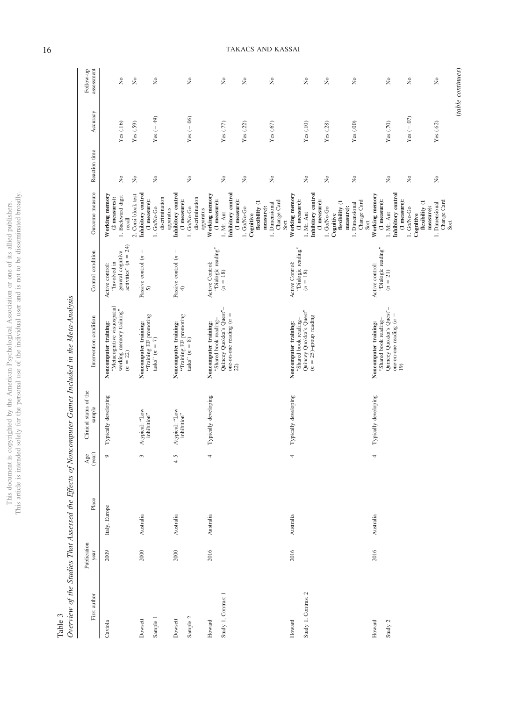|                          | ļ                       |
|--------------------------|-------------------------|
| i<br>í                   |                         |
| ò                        |                         |
| ś                        |                         |
| Ī                        |                         |
|                          |                         |
|                          | í                       |
|                          |                         |
|                          |                         |
|                          |                         |
|                          |                         |
|                          | ļ<br>ï                  |
|                          |                         |
|                          |                         |
| ì                        |                         |
| ì                        |                         |
| i                        |                         |
|                          |                         |
|                          |                         |
| ЛC                       |                         |
| j                        |                         |
|                          |                         |
|                          |                         |
| J                        |                         |
|                          |                         |
| Ċ                        |                         |
| į                        | ţ<br>Ó                  |
|                          |                         |
|                          | Í                       |
|                          | j<br>í                  |
| ł                        |                         |
|                          |                         |
| i                        |                         |
|                          |                         |
| 3<br>ç                   |                         |
|                          | í                       |
| j<br>ℷ                   |                         |
| ł<br>j                   |                         |
| ì                        |                         |
|                          | 1                       |
|                          |                         |
| I<br>i                   |                         |
|                          |                         |
|                          | l                       |
|                          |                         |
|                          |                         |
|                          |                         |
|                          |                         |
| COLO<br>ì                | 3sm<br>ПC               |
|                          |                         |
| I                        | ć                       |
|                          |                         |
|                          | $\frac{1}{2}$           |
|                          |                         |
|                          | j                       |
| j<br>ł                   | I                       |
| I                        |                         |
|                          | 3                       |
|                          |                         |
|                          | ś                       |
| ł<br>j<br>l              | í                       |
| ì<br>j                   |                         |
| j<br>I                   |                         |
| Ĵ                        | j                       |
| $\frac{1}{2}$<br>ij<br>ï | ï                       |
| j<br>ï                   |                         |
| Ó<br>J                   |                         |
|                          | j                       |
|                          |                         |
| Ë                        |                         |
|                          |                         |
|                          |                         |
| I                        |                         |
|                          |                         |
|                          |                         |
| こうしょう こうしょう              |                         |
| i                        |                         |
|                          |                         |
|                          | ĵ                       |
|                          | i                       |
|                          |                         |
| .1018                    |                         |
|                          | $\frac{1}{2}$<br>i<br>ł |

 ${\rm Table~3} \atop \textcolor{blue}{Overview}$ 

| $\ddot{\phantom{a}}$<br>i<br>ì<br>ׇ֘֒<br>i<br>ť           |
|-----------------------------------------------------------|
|                                                           |
|                                                           |
|                                                           |
|                                                           |
|                                                           |
|                                                           |
| ֦<br>l<br>1                                               |
| i<br>ī<br>i<br>i<br>j<br>j                                |
|                                                           |
|                                                           |
| ₿<br>$\overline{\phantom{a}}$<br>î<br>֧֛֛֛֓֕֜֜֜<br>j<br>Ì |
|                                                           |
| l<br>í<br>ī                                               |
| j<br>Ì                                                    |
| ţ                                                         |
|                                                           |
|                                                           |
|                                                           |
| j<br>$\overline{\phantom{a}}$<br>ł<br>þ<br>ì<br>j         |

| Publication<br>year<br>First author | Place         | year)<br>Age    | Clinical status of the<br>sample | Intervention condition                                                                                                     | Control condition                                                              | Outcome measure                                                                                                                                                                                            | Reaction time                                                                                                                         | Accuracy                                            | assessment<br>Follow-up                                  |
|-------------------------------------|---------------|-----------------|----------------------------------|----------------------------------------------------------------------------------------------------------------------------|--------------------------------------------------------------------------------|------------------------------------------------------------------------------------------------------------------------------------------------------------------------------------------------------------|---------------------------------------------------------------------------------------------------------------------------------------|-----------------------------------------------------|----------------------------------------------------------|
| 2009                                | Italy, Europe | $\circ$         | Typically developing             | "Metacognitive visuospatial<br>working memory training"<br>$(n = 22)$<br>Noncomputer training:                             | activities" $(n = 24)$<br>general cognitive<br>"Involved in<br>Active control: | Working memory<br>1. Backward digit<br>(2 measures):<br>recall                                                                                                                                             | $\tilde{z}$                                                                                                                           | Yes (.16)                                           | $\stackrel{\circ}{\simeq}$                               |
| 2000                                | Australia     | 3               | Atypical: 'Low<br>inhibition"    | "Training EF promoting<br>Noncomputer training:<br>$tasks" (n = 7)$                                                        | Passive control $(n =$<br>5)                                                   | Inhibitory control<br>2. Corsi block test<br>discrimination<br>(1 measure):<br>1. Go/No-Go                                                                                                                 | $\stackrel{\circ}{\mathsf{Z}}$<br>$\mathring{\mathsf{z}}$                                                                             | $Yes (-.49)$<br>Yes (.59)                           | $\tilde{z}$<br>$\stackrel{\circ}{\mathbf{z}}$            |
| 2000                                | Australia     | $\widetilde{-}$ | Atypical: 'Low<br>inhibition"    | "Training EF promoting<br>Noncomputer training:<br>$tasks" (n = 8)$                                                        | $\lvert \rvert$<br>Passive control (n<br>$\widehat{+}$                         | Inhibitory control<br>discrimination<br>(1 measure):<br>1. Go/No-Go<br>apparatus<br>apparatus                                                                                                              | $\tilde{z}$                                                                                                                           | Yes $(-.06)$                                        | $\tilde{z}$                                              |
| 2016                                | Australia     | 4               | Typically developing             | Quincey Quokka's Quest"-<br>one-on-one reading $(n =$<br>"Shared book reading-<br>Noncomputer training:<br>22)             | "Dialogic reading"<br>Active Control:<br>$(n = 18)$                            | Working memory<br>Inhibitory control<br>$(1$ measure):<br>(1 measure):<br>flexibility (1<br>measure):<br>1. Go/No-Go<br>1. Mr. Ant<br>Cognitive                                                            | $\stackrel{\circ}{\mathbf{Z}}$<br>$\tilde{z}$                                                                                         | Yes $(.77)$<br>Yes (.22)                            | $\stackrel{\circ}{\mathbf{z}}$<br>$\tilde{z}$            |
| 2016                                | Australia     | 4               | Typically developing             | Quincey Quokka's Quest"<br>$(n = 25)$ -group reading<br>"Shared book reading-<br>Noncomputer training:                     | "Dialogic reading"<br>Active Control:<br>$(n = 18)$                            | Inhibitory control<br>Working memory<br>(1 measure):<br>(1 measure):<br>Change Card<br>flexibility (1<br>1. Dimensional<br>measure):<br>1. Go/No-Go<br>1. Mr. Ant<br>Cognitive<br>Sort                     | $\stackrel{\circ}{\mathsf{Z}}$<br>$\stackrel{\circ}{\mathbf{z}}$<br>$\stackrel{\circ}{\mathsf{Z}}$                                    | Yes (.67)<br>Yes (.10)<br>Yes (.28)                 | $\tilde{z}$<br>$\tilde{z}$<br>$\tilde{z}$                |
| 2016                                | Australia     | 4               | Typically developing             | Quincey Quokka's Quest"-<br>one-on-one reading $(n =$<br>"Shared book reading-<br>Noncomputer training:<br>$\overline{19}$ | "Dialogic reading"<br>Active control:<br>$(n = 21)$                            | Inhibitory control<br>Working memory<br>$(1$ measure):<br>(1 measure):<br>Change Card<br>flexibility (1<br>1. Dimensional<br>1. Dimensional<br>measure):<br>1. Go/No-Go<br>1. Mr. Ant<br>Cognitive<br>Sort | $\stackrel{\circ}{\mathbf{Z}}$<br>$\stackrel{\circ}{\mathbf{z}}$<br>$\stackrel{\circ}{\mathbf{z}}$<br>$\stackrel{\circ}{\mathcal{Z}}$ | Yes $(-.07)$<br>Yes $(.70)$<br>Yes (.62)<br>Yes(00) | $\tilde{R}$<br>$\tilde{R}$<br>$\tilde{z}$<br>$\tilde{z}$ |
|                                     |               |                 |                                  |                                                                                                                            |                                                                                | Change Card<br>Sort                                                                                                                                                                                        |                                                                                                                                       |                                                     |                                                          |

16 TAKACS AND KASSAI

(*table continues*)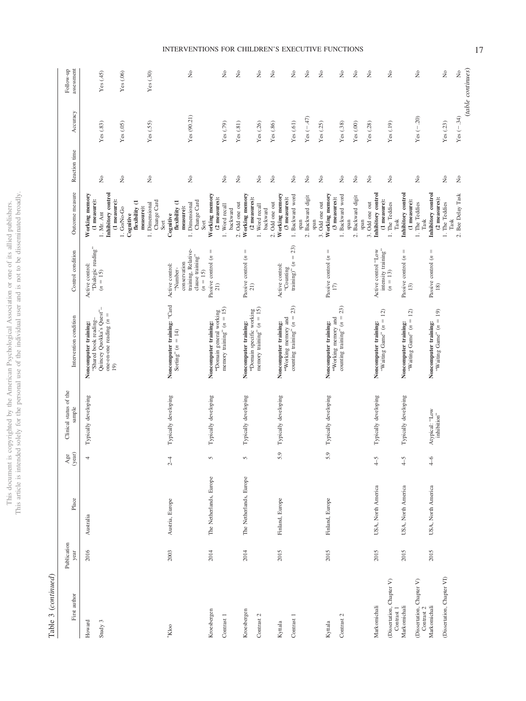This document is copyrighted by the American Psychological Association or one of its allied publishers.<br>This article is intended solely for the personal use of the individual user and is not to be disseminated broadly. This article is intended solely for the personal use of the individual user and is not to be disseminated broadly. This document is copyrighted by the American Psychological Association or one of its allied publishers.

> Table 3 (continued) Table 3 (*continued*)

| First author                                            | Publication<br>year | Place                   | $\frac{Age}{(year)}$     | Clinical status of the<br>sample | Intervention condition                                                                                                     | Control condition                                                                      | Outcome measure                                                                                                    | Reaction time                            | Accuracy                              | assessment<br>Follow-up                  |
|---------------------------------------------------------|---------------------|-------------------------|--------------------------|----------------------------------|----------------------------------------------------------------------------------------------------------------------------|----------------------------------------------------------------------------------------|--------------------------------------------------------------------------------------------------------------------|------------------------------------------|---------------------------------------|------------------------------------------|
| Howard<br>Study 3                                       | 2016                | Australia               | $\overline{\phantom{a}}$ | Typically developing             | Quincey Quokka's Quest"-<br>one-on-one reading $(n =$<br>"Shared book reading-<br>Noncomputer training:<br>$\overline{19}$ | "Dialogic reading"<br>Active control:<br>$(n = 15)$                                    | Inhibitory control<br>Working memory<br>(1 measure):<br>(1 measure):<br>1. Mr. Ant                                 | $\stackrel{\circ}{\simeq}$               | Yes(.83)                              | Yes(45)                                  |
|                                                         |                     |                         |                          |                                  |                                                                                                                            |                                                                                        | flexibility (1<br>1. Go/No-Go<br>measure):<br>Cognitive                                                            | $\stackrel{\circ}{\mathsf{Z}}$           | Yes(.05)                              | Yes(.06)                                 |
| $N$ kloo                                                | 2003                | Austria, Europe         | $2-4$                    | Typically developing             | Noncomputer training: "Card<br>Sorting" $(n = 14)$                                                                         | training, Relative-<br>clause training"<br>conservation<br>Active control:<br>"Number- | Change Card<br>Change Card<br>flexibility (1<br>1. Dimensional<br>1. Dimensional<br>measure):<br>Cognitive<br>Sort | ż<br>$\tilde{z}$                         | Yes (90.21)<br>Yes (.55)              | ż<br>Yes(0.30)                           |
| Kroesbergen<br>Contrast 1                               | 2014                | The Netherlands, Europe | 5                        | Typically developing             | "Domain general working<br>memory training" $(n = 15)$<br>Noncomputer training:                                            | $\mid \mid$<br>Passive control $(n)$<br>$(n = 15)$<br>21)                              | Working memory<br>(2 measures):<br>1. Word recall<br>backward<br>Sort                                              | ż                                        | Yes (.79)                             | ż                                        |
| Kroesbergen<br>Contrast 2                               | 2014                | The Netherlands, Europe | 5                        | Typically developing             | "Domain specific working<br>memory training" $(n = 15)$<br>Noncomputer training:                                           | $\vert\vert$<br>Passive control (n<br>21)                                              | Working memory<br>(2 measures):<br>2. Odd one out<br>1. Word recall<br>backward                                    | ż<br>ż                                   | Yes(.81)<br>Yes (.26)                 | ż<br>ż                                   |
| Contrast 1<br>$_{\rm Kytala}$                           | 2015                | Finland, Europe         | 5.9                      | Typically developing             | counting training" $(n = 23)$<br>"Working memory and<br>Noncomputer training:                                              | training) <sup>"</sup> $(n = 23)$<br>Active control:<br>"Counting"                     | Working memory<br>1. Backward word<br>2. Backward digit<br>(3 measures):<br>2. Odd one out<br>span<br>span         | $\stackrel{\circ}{\mathsf{Z}}$<br>ż<br>ż | Yes $(-.47)$<br>Yes(61)<br>Yes (.86)  | $\stackrel{\circ}{\mathbb{X}}$<br>ż<br>ż |
| Contrast 2<br>Kyttala                                   | 2015                | Finland, Europe         | 5.9                      | Typically developing             | 23)<br>"Working memory and<br>counting training" $(n =$<br>Noncomputer training:                                           | $\lvert \rvert$<br>Passive control (n<br>$\overline{17}$                               | Working memory<br>1. Backward word<br>2. Backward digit<br>(3 measures):<br>3. Odd one out<br>span<br>span         | ż<br>ż<br>$\tilde{z}$                    | Yes (.25)<br>Yes $(.00)$<br>Yes (.38) | ż<br>ż<br>ż                              |
| (Dissertation, Chapter V)<br>Markomichali<br>Contrast 1 | 2015                | USA, North America      | $4 - 5$                  | Typically developing             | 12)<br>Noncomputer training:<br>"Waiting Game" $(n =$                                                                      | Active control "Low<br>intensity training"<br>$(n = 13)$                               | Inhibitory control<br>(1 measure):<br>3. Odd one out<br>1. The Teddies<br>$\rm{Task}$                              | ż<br>$\tilde{z}$                         | Yes (.19)<br>Yes (.28)                | ż<br>ż                                   |
| (Dissertation, Chapter V) Contrast $2$<br>Markomichali  | 2015                | USA, North America      | $4-5$                    | Typically developing             | 12)<br>Noncomputer training:<br>"Waiting Game" $(n =$                                                                      | $\mid \mid$<br>Passive control (n<br>13)                                               | Inhibitory control<br>(1 measure):<br>1. The Teddies<br>$\rm{Task}$                                                | $\stackrel{\circ}{\mathsf{Z}}$           | Yes $(-.20)$                          | ż                                        |
| (Dissertation, Chapter VI)<br>Markomichali              | 2015                | USA, North America      | $^{4-6}$                 | Atypical: 'Low<br>inhibition"    | <b>Noncomputer training:</b><br>"Waiting Game" $(n = 19)$                                                                  | Passive control $(n =$<br>18)                                                          | Inhibitory control<br>2. Bee Delay Task<br>(2 measures):<br>1. The Teddies<br>$\rm{Task}$                          | $\stackrel{\circ}{\mathsf{Z}}$<br>ż      | Yes $(-34)$<br>Yes (.23)              | (table continues)<br>$\tilde{z}$<br>ż    |

# INTERVENTIONS FOR CHILDREN'S EXECUTIVE FUNCTIONS 17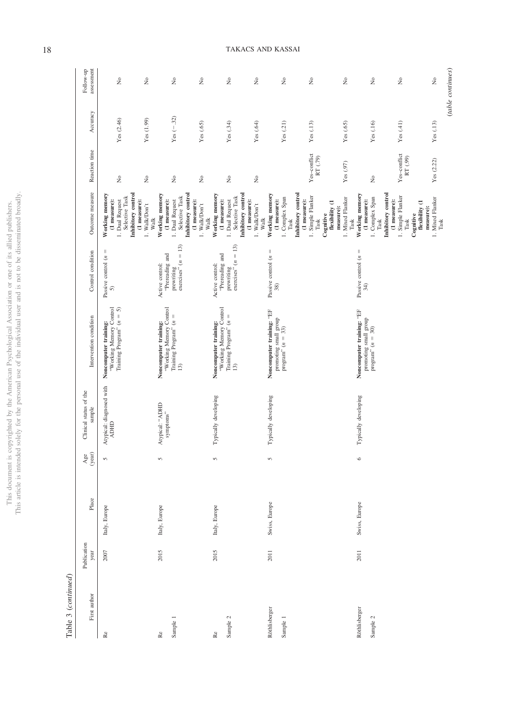|                          | ٠      |
|--------------------------|--------|
|                          |        |
|                          |        |
|                          |        |
| í<br>ċ                   |        |
| ċ                        |        |
| ζ                        |        |
|                          |        |
|                          | j      |
|                          | í      |
|                          |        |
|                          |        |
|                          |        |
|                          |        |
|                          | į      |
|                          |        |
|                          |        |
|                          |        |
| í                        |        |
|                          |        |
|                          |        |
|                          |        |
|                          | í      |
| 3                        |        |
|                          |        |
|                          |        |
|                          |        |
| J                        |        |
|                          |        |
|                          |        |
| ċ                        |        |
|                          | I      |
|                          |        |
|                          |        |
|                          | j      |
|                          | i      |
|                          |        |
|                          |        |
| į                        | ¢      |
|                          |        |
|                          |        |
| c<br>1<br>ï              |        |
|                          |        |
| I<br>I<br>)              |        |
| Ċ                        |        |
| ì                        |        |
|                          |        |
|                          |        |
|                          |        |
|                          |        |
|                          |        |
| <b>C</b>                 |        |
|                          |        |
|                          | ì      |
|                          |        |
|                          | Ŝ      |
| S<br>C<br>C              |        |
| ì                        |        |
| I                        |        |
|                          |        |
|                          | ļ      |
|                          |        |
|                          |        |
|                          | j      |
| j                        |        |
| l                        |        |
| í.                       |        |
|                          |        |
|                          |        |
|                          | ś      |
| j<br>Í                   | í      |
|                          |        |
|                          |        |
| j<br>ļ<br>ℷ              |        |
| ł<br>i                   | J      |
|                          |        |
| í                        |        |
| ĉ<br>١                   |        |
|                          |        |
|                          |        |
|                          |        |
|                          | Í      |
|                          |        |
| $\overline{\phantom{a}}$ | i      |
| I                        |        |
|                          |        |
|                          |        |
|                          |        |
|                          |        |
| l                        |        |
|                          |        |
|                          |        |
|                          |        |
| $\frac{1}{2}$            |        |
| í                        |        |
|                          | ï      |
|                          | į<br>۰ |

Table 3  $\left( continued\right)$ Table 3 (*continued*)

| First author              | Publication<br>year | Place         | $\frac{Age}{(year)}$ | Clinical status of the<br>sample        | Intervention condition                                                               | Control condition                                                           | Outcome measure                                                                                                                                                                                                         | Reaction time                                 | Accuracy                           | assessment<br>Follow-up                                                                                          |
|---------------------------|---------------------|---------------|----------------------|-----------------------------------------|--------------------------------------------------------------------------------------|-----------------------------------------------------------------------------|-------------------------------------------------------------------------------------------------------------------------------------------------------------------------------------------------------------------------|-----------------------------------------------|------------------------------------|------------------------------------------------------------------------------------------------------------------|
| Re                        | 2007                | Italy, Europe | 5                    | Atypical: diagnosed with<br><b>ADHD</b> | "Working Memory Control<br>Training Program" $(n = 5)$<br>Noncomputer training:      | $\mid \mid$<br>Passive control (n<br>5                                      | Inhibitory control<br>Working memory<br>Selective Task<br>(1 measure):<br>1. Dual Request<br>(1 measure):<br>$1.$ Walk/Don't                                                                                            | ż<br>$\tilde{z}$                              | Yes (2.46)<br>Yes (1.99)           | $\tilde{z}$<br>$\stackrel{\circ}{\mathbf{Z}}$                                                                    |
| Sample 1<br>Re            | 2015                | Italy, Europe | $\sqrt{2}$           | Atypical: 'ADHD<br>symptoms"            | "Working Memory Control<br>Training Program" $(n =$<br>Noncomputer training:<br>13)  | prewriting<br>exercises" ( $n = 13$ )<br>"Prereading and<br>Active control: | Working memory<br>Inhibitory control<br>Selective Task<br>1. Dual Request<br>(1 measure):<br>(1 measure):<br>1. Walk/Don't<br>Walk                                                                                      | $\stackrel{\circ}{\mathbb{Z}}$<br>ż           | Yes $(-32)$<br>Yes (.65)           | $\rm \stackrel{\circ}{\rm \bf Z}$<br>$\stackrel{\circ}{\mathbf{Z}}$                                              |
| Sample 2<br>Re            | 2015                | Italy, Europe | $\sqrt{2}$           | Typically developing                    | "Working Memory Control<br>Training Program" ( $n =$<br>Noncomputer training:<br>13) | prewriting<br>exercises" $(n = 13)$<br>"Prereading and<br>Active control:   | Inhibitory control<br>Working memory<br>Selective Task<br>1. Dual Request<br>(1 measure):<br>(1 measure):<br>1. Walk/Don't<br>Walk                                                                                      | $\hat{z}$<br>$\tilde{z}$                      | Yes $(.34)$<br>Yes(0.64)           | $\stackrel{\circ}{\mathbf{z}}$<br>$\rm \stackrel{\circ}{\rm \bf Z}$                                              |
| Röthlisberger<br>Sample 1 | 2011                | Swiss, Europe | 5                    | Typically developing                    | Noncomputer training: "EF<br>promoting small group<br>program" $(n = 33)$            | Passive control $(n =$<br>38)                                               | Inhibitory control<br>Working memory<br>1. Simple Flanker<br>1. Mixed Flanker<br>1. Complex Span<br>(1 measure):<br>(1 measure):<br>flexibility (1<br>measure):<br>Cognitive<br>Walk<br>$\rm Task$<br>$\rm{Task}$       | Yes-conflict<br>RT (.79)<br>Yes $(.97)$       | Yes (.21)<br>Yes(.13)<br>Yes (.65) | $\rm \stackrel{\circ}{\rm \bf Z}$<br>$\rm \stackrel{\circ}{\rm \bf Z}$<br>$\stackrel{\circ}{\mathbf{Z}}$         |
| Röthlisberger<br>Sample 2 | 2011                | Swiss, Europe | $\circ$              | Typically developing                    | Noncomputer training: "EF<br>promoting small group<br>program" $(n = 30)$            | Passive control $(n =$<br>34)                                               | Working memory<br>Inhibitory control<br>1. Simple Flanker<br>1. Mixed Flanker<br>1. Complex Span<br>$(1$ measure):<br>$(1$ measure):<br>flexibility (1<br>measure):<br>Cognitive<br>Task<br>$\rm{Task}$<br>Task<br>Task | Yes-conflict<br>RT $(.99)$<br>Yes (2.22)<br>ż | Yes(41)<br>Yes (.16)<br>Yes(.13)   | (table continues)<br>$\rm _{XO}$<br>$\stackrel{\circ}{\mathbf{z}}$<br>$\rm \stackrel{\circ}{\rm \scriptstyle X}$ |

18 TAKACS AND KASSAI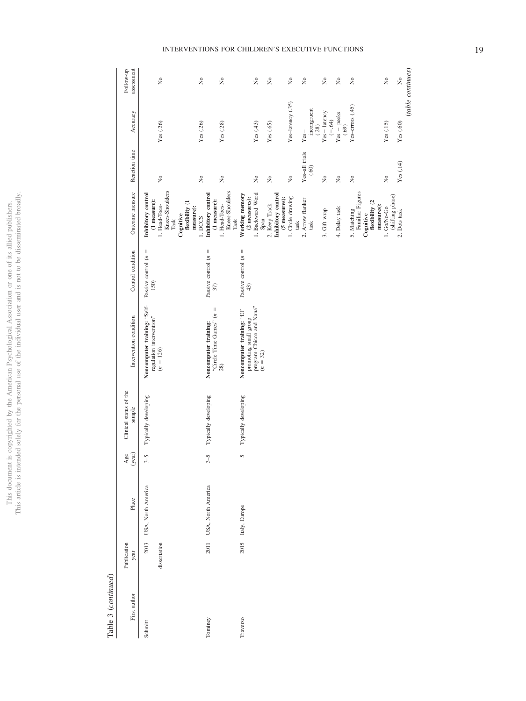|                                     | j                       |
|-------------------------------------|-------------------------|
|                                     | j                       |
| j<br>í                              | ¢<br>ł                  |
| ä<br>j                              | j                       |
| ï<br>j                              |                         |
| ł                                   |                         |
|                                     | j                       |
|                                     | í<br>ï                  |
|                                     | j                       |
|                                     |                         |
|                                     |                         |
|                                     | į                       |
|                                     | ì                       |
|                                     |                         |
|                                     |                         |
| ł                                   |                         |
|                                     | j                       |
|                                     | j                       |
|                                     |                         |
| i                                   |                         |
|                                     |                         |
|                                     |                         |
|                                     |                         |
|                                     |                         |
|                                     |                         |
|                                     | ł                       |
|                                     | j                       |
|                                     | ļ                       |
|                                     | i                       |
|                                     |                         |
|                                     |                         |
|                                     | ï                       |
|                                     |                         |
|                                     |                         |
| ç<br>j                              |                         |
| l<br>l                              |                         |
| j<br>ì<br>j<br>J                    |                         |
| ì                                   | I                       |
| l                                   |                         |
| l                                   |                         |
| $\frac{1}{1}$                       | j                       |
|                                     |                         |
|                                     |                         |
|                                     |                         |
|                                     |                         |
|                                     |                         |
| can                                 | $\overline{a}$          |
| ì                                   |                         |
| I<br>Í                              |                         |
|                                     |                         |
|                                     | į                       |
|                                     |                         |
|                                     | j                       |
| $\frac{1}{2}$<br>ś                  | ł                       |
|                                     |                         |
| ï                                   |                         |
|                                     |                         |
|                                     | ś                       |
| j<br>Í                              | í                       |
| ֖֖֖֖֖֖֖֪ׅ֪֪ׅ֖֚֚֚֚֚֚֚֚֚֚֚֬֝֝֓֕֓֞֡֡֡֝ |                         |
| j<br>I                              |                         |
| J                                   |                         |
| ij<br>i                             | ï                       |
| j<br>ï                              |                         |
| Ċ<br>J                              |                         |
|                                     | j                       |
|                                     |                         |
| ì                                   |                         |
|                                     | ï                       |
| ċ<br>i                              |                         |
|                                     |                         |
|                                     |                         |
|                                     |                         |
|                                     |                         |
|                                     | ī                       |
|                                     | j                       |
|                                     | i                       |
| his                                 |                         |
| ì                                   |                         |
|                                     | $\frac{1}{2}$<br>l<br>ĺ |

# Table 3  $\left( continued\right)$ Table 3 (*continued*)

| First author | Publication<br>year  | Place                   | $\frac{Age}{(year)}$ | Clinical status of the<br>sample | Intervention condition                                                                       | Control condition              | Outcome measure                                                                                                            | Reaction time                                    | Accuracy                       | assessment<br>Follow-up                                          |
|--------------|----------------------|-------------------------|----------------------|----------------------------------|----------------------------------------------------------------------------------------------|--------------------------------|----------------------------------------------------------------------------------------------------------------------------|--------------------------------------------------|--------------------------------|------------------------------------------------------------------|
| Schmitt      | 2013<br>dissertation | USA, North America      | $3-5$                | Typically developing             | Noncomputer training: "Self-<br>regulation intervention"<br>$(n = 126)$                      | Passive control $(n =$<br>150) | Knees-Shoulders<br>Inhibitory control<br>(1 measure):<br>flexibility (1<br>1. Head-Toes-<br>measure):<br>Cognitive<br>Task | $\tilde{z}$                                      | Yes (.26)                      | $\frac{1}{2}$                                                    |
| Tominey      |                      | 2011 USA, North America | $3-5$                | Typically developing             | "Circle Time Games" $(n =$<br>Noncomputer training:<br>28)                                   | Passive control $(n =$<br>37)  | Knees-Shoulders<br>Inhibitory control<br>(1 measure):<br>1. Head-Toes-<br>1. DCCS<br>$\rm{Task}$                           | $\frac{1}{2}$<br>$\stackrel{\circ}{\mathcal{Z}}$ | Yes (.26)<br>Yes (.28)         | $\stackrel{\circ}{\mathbf{z}}$<br>$\stackrel{\circ}{\mathbf{z}}$ |
| Traverso     |                      | 2015 Italy, Europe      | S                    | Typically developing             | program-Chicco and Nana"<br>Noncomputer training: "EF<br>promoting small group<br>$(n = 32)$ | Passive control $(n =$<br>43)  | 1. Backward Word<br>Working memory<br>(2 measures):<br>Span                                                                | $\stackrel{\circ}{\mathbf{z}}$                   | Yes (.43)                      | $\tilde{R}$                                                      |
|              |                      |                         |                      |                                  |                                                                                              |                                | Inhibitory control<br>(5 measures):<br>2. Keep Track                                                                       | Σ,                                               | Yes $(.65)$                    | $\tilde{R}$                                                      |
|              |                      |                         |                      |                                  |                                                                                              |                                | 1. Circle drawing<br>task                                                                                                  | $\tilde{z}$                                      | Yes-latency (.35)              | $\tilde{R}$                                                      |
|              |                      |                         |                      |                                  |                                                                                              |                                | 2. Arrow flanker<br>task                                                                                                   | Yes-all trials<br>(.60)                          | incongruent<br>(.28)<br>$Yes-$ | $\stackrel{\circ}{\phantom{}_{\sim}}$                            |
|              |                      |                         |                      |                                  |                                                                                              |                                | 3. Gift wrap                                                                                                               | $\tilde{z}$                                      | Yes-latency<br>$(-.64)$        | $\stackrel{\circ}{\mathbf{z}}$                                   |
|              |                      |                         |                      |                                  |                                                                                              |                                | 4. Delay task                                                                                                              | $\tilde{z}$                                      | $Yes - peeks$<br>(.69)         | $\tilde{R}$                                                      |
|              |                      |                         |                      |                                  |                                                                                              |                                | Familiar Figures<br>flexibility (2<br>measures):<br>5. Matching<br>Cognitive                                               | $\tilde{z}$                                      | Yes-errors (.45)               | $\rm \stackrel{\circ}{\rm \scriptstyle X}$                       |
|              |                      |                         |                      |                                  |                                                                                              |                                | (shifting phase)<br>1. Go/No-Go                                                                                            | $\tilde{z}$                                      | Yes(.15)                       | $\tilde{z}$                                                      |
|              |                      |                         |                      |                                  |                                                                                              |                                | $2.$ Dots task $\,$                                                                                                        | Yes $(.14)$                                      | Yes (.60)                      | (table continues)<br>$\tilde{z}$                                 |

# INTERVENTIONS FOR CHILDREN'S EXECUTIVE FUNCTIONS 19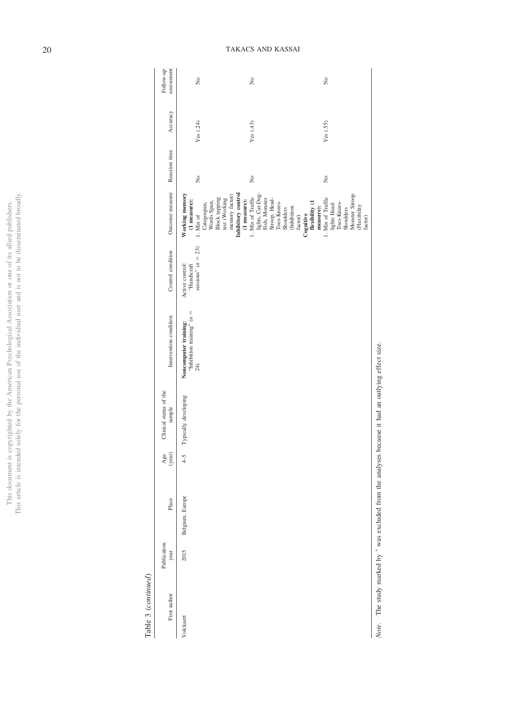|                      | $\ddot{\zeta}$   |
|----------------------|------------------|
| j<br><b>Control</b>  |                  |
| l                    |                  |
| ļ<br>Į               |                  |
|                      |                  |
|                      |                  |
|                      |                  |
| j                    |                  |
| į                    |                  |
|                      | Ï                |
|                      |                  |
|                      |                  |
|                      |                  |
|                      |                  |
|                      |                  |
| S                    |                  |
|                      |                  |
| i                    |                  |
|                      |                  |
|                      | į                |
|                      |                  |
|                      |                  |
|                      | <b>ADIL</b><br>į |
|                      |                  |
|                      |                  |
|                      | Ì                |
| č                    |                  |
| ï                    |                  |
| J<br>j               |                  |
| ï                    |                  |
|                      |                  |
| <b>Contract</b>      |                  |
|                      |                  |
| Ċ                    | č                |
|                      |                  |
| COL                  | í<br>ì           |
| í<br>j               |                  |
| Í                    | ï                |
|                      |                  |
|                      |                  |
|                      |                  |
| Š<br>í               |                  |
|                      |                  |
|                      |                  |
|                      |                  |
| )                    | j                |
|                      |                  |
| Ï<br>j<br>j          | I                |
| $\frac{1}{2}$        |                  |
| i<br>Contractor<br>ì |                  |
| ĵ                    |                  |
|                      |                  |
| ì                    |                  |
| í                    |                  |
| j<br>ł<br>J          |                  |
|                      |                  |
|                      |                  |
|                      |                  |
|                      |                  |
|                      | ì                |
| his                  | į                |
| ĺ<br>í               | $\frac{c}{t}$    |
|                      | Ξ                |
|                      | ĺ<br>j           |

 $Table 3~(continued)$ Table 3 (*continued*)

| First author | Publication<br>year | Place           | Age<br>(year) | Clinical status of the<br>sample | Intervention condition                                              | Control condition                                        | Outcome measure                                                         | Reaction time | Accuracy    | assessment<br>Follow-up |
|--------------|---------------------|-----------------|---------------|----------------------------------|---------------------------------------------------------------------|----------------------------------------------------------|-------------------------------------------------------------------------|---------------|-------------|-------------------------|
| Volckaert    | 2015                | Belgium, Europe |               | 4-5 Typically developing         | <b>Noncomputer training:</b><br>"Inhibition training" $(n =$<br>24) | sessions" ( $n = 23$ )<br>Active control:<br>"Handicraft | Working memory<br>(1 measure):<br>$1.$ Mix of $\,$                      | 2             | Yes (.24)   | $\frac{1}{2}$           |
|              |                     |                 |               |                                  |                                                                     |                                                          | Block tapping<br>Categospan,<br>Words Span,                             |               |             |                         |
|              |                     |                 |               |                                  |                                                                     |                                                          | $\mathop{\text{test}}$ (Working memory factor)                          |               |             |                         |
|              |                     |                 |               |                                  |                                                                     |                                                          | Inhibitory control<br>$(1$ measure):                                    |               |             |                         |
|              |                     |                 |               |                                  |                                                                     |                                                          | 1. Mix of Traffic                                                       | ż             | Yes $(.43)$ | $\tilde{R}$             |
|              |                     |                 |               |                                  |                                                                     |                                                          | lights, Cat-Dog-<br>Fish, Monster                                       |               |             |                         |
|              |                     |                 |               |                                  |                                                                     |                                                          | Strop, Head-<br>Toes-Knees-                                             |               |             |                         |
|              |                     |                 |               |                                  |                                                                     |                                                          |                                                                         |               |             |                         |
|              |                     |                 |               |                                  |                                                                     |                                                          | (Inhibition<br>Shoulders                                                |               |             |                         |
|              |                     |                 |               |                                  |                                                                     |                                                          | factor)                                                                 |               |             |                         |
|              |                     |                 |               |                                  |                                                                     |                                                          | $\begin{array}{c} \text{Conitive} \\ \text{flexibility (1} \end{array}$ |               |             |                         |
|              |                     |                 |               |                                  |                                                                     |                                                          | measure):                                                               |               |             |                         |
|              |                     |                 |               |                                  |                                                                     |                                                          |                                                                         | ż             | Yes (.55)   | $\tilde{z}$             |
|              |                     |                 |               |                                  |                                                                     |                                                          | 1. Mix of Traffic<br>lights Head-<br>Toes-Knees-<br>Shoulders           |               |             |                         |
|              |                     |                 |               |                                  |                                                                     |                                                          |                                                                         |               |             |                         |
|              |                     |                 |               |                                  |                                                                     |                                                          | Monster Stroop                                                          |               |             |                         |
|              |                     |                 |               |                                  |                                                                     |                                                          | (Flexibility<br>factor)                                                 |               |             |                         |
|              |                     |                 |               |                                  |                                                                     |                                                          |                                                                         |               |             |                         |

Note. The study marked by  $*$  was excluded from the analyses because it had an outlying effect size. was excluded from the analyses because it had an outlying effect size. Note. The study marked by  $*$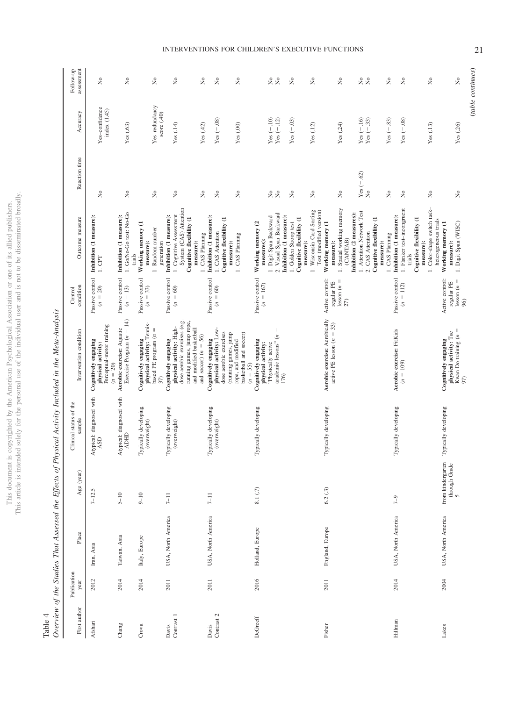This document is copyrighted by the American Psychological Association or one of its allied publishers.<br>This article is intended solely for the personal use of the individual user and is not to be disseminated broadly. This article is intended solely for the personal use of the individual user and is not to be disseminated broadly. This document is copyrighted by the American Psychological Association or one of its allied publishers.

Table 4<br>Overview of the Studies That Assessed the Effects of Physical Activity Included in the Meta-Analysis Overview of the Studies That Assessed the Effects of Physical Activity Included in the Meta-Analysis

| First author              | Publication<br>year | Place              | Age (year)                                       | Clinical status of the<br>sample           | Intervention condition                                                                                                                                             | condition<br>Control                                  | Outcome measure                                                                                                                                                                                                          | Reaction time                                       | Accuracy                                                  | assessment<br>Follow-up                                                                                  |
|---------------------------|---------------------|--------------------|--------------------------------------------------|--------------------------------------------|--------------------------------------------------------------------------------------------------------------------------------------------------------------------|-------------------------------------------------------|--------------------------------------------------------------------------------------------------------------------------------------------------------------------------------------------------------------------------|-----------------------------------------------------|-----------------------------------------------------------|----------------------------------------------------------------------------------------------------------|
| Afshari                   | 2012                | Iran, Asia         | $7 - 12.5$                                       | Atypical: diagnosed with<br>$\mathbb{ASD}$ | Perceptual-motor training<br>Cognitively engaging<br>physical activity:<br>$(n = 20)$                                                                              | Passive control<br>$(n = 20)$                         | Inhibition (1 measure):<br>$1.$ CPT                                                                                                                                                                                      | ż                                                   | Yes-confidence<br>index (1.45)                            | $\tilde{z}$                                                                                              |
| Chang                     | 2014                | Taiwan, Asia       | $5 - 10$                                         | Atypical: diagnosed with<br><b>ADHID</b>   | Exercise Program $(n = 14)$<br>Aerobic exercise: Aquatic                                                                                                           | Passive control<br>$(n = 13)$                         | 1. Go/No-Go test: No-Go<br>Inhibition (1 measure):<br>trials                                                                                                                                                             | $\tilde{z}$                                         | Yes(.63)                                                  | $\stackrel{\circ}{\mathbf{z}}$                                                                           |
| Crova                     | 2014                | Italy, Europe      | $9 - 10$                                         | Typically developing<br>(overweight)       | physical activity: Tennis-<br>based PE program $(n =$<br>Cognitively engaging<br>37)                                                                               | Passive control<br>$(n = 33)$                         | Working memory (1<br>1. Random number<br>generation<br>measure):                                                                                                                                                         | ż                                                   | Yes-redundancy<br>score (.40)                             | $\tilde{z}$                                                                                              |
| ${\rm Contra}$ 1<br>Davis | 2011                | USA, North America | $7-11$                                           | Typically developing<br>(overweight)       | dose aerobic exercises (e.g.<br>running games, jump rope,<br>physical activity: High-<br>and modified basketball<br>and soccer) $(n = 56)$<br>Cognitively engaging | Passive control<br>$(n = 60)$                         | System (CAS) Attention<br>1. Cognitive Assessment<br>Inhibition (1 measure):<br>Cognitive flexibility (1<br>measure):                                                                                                    | ż                                                   | Yes(.14)                                                  | $\tilde{z}$                                                                                              |
| Contrast $2$<br>Davis     | 2011                | USA, North America | $7 - 11$                                         | Typically developing<br>(overweight)       | physical activity: Low-<br>dose aerobic exercises<br>basketball and soccer)<br>(running games, jump<br>Cognitively engaging<br>rope, and modified                  | Passive control<br>$(n = 60)$                         | Inhibition (1 measure):<br>Cognitive flexibility (1<br>1. CAS Attention<br>1. CAS Planning<br>1. CAS Planning<br>measure):                                                                                               | ż<br>$\gtrsim$<br>ż                                 | $Yes (-.08)$<br>Yes $(.00)$<br>Yes $(.42)$                | $\tilde{z}$<br>$\stackrel{\circ}{\mathbf{Z}}$<br>$\tilde{z}$                                             |
| DeGreeff                  | 2016                | Holland, Europe    | 8.1(.7)                                          | Typically developing                       | $\mid \mid$<br>academic lessons" (n<br>Cognitively engaging<br>physical activity:<br>"Physically active<br>$(n = 55)$<br>176)                                      | Passive control<br>$(n = 167)$                        | 1. Wisconsin Card Sorting<br>2. Visual Span Backward<br>Inhibition (1 measure):<br>1. Digit Span Backward<br>Cognitive flexibility (1<br>Working memory (2<br>1. Golden Stroop test<br>measures):<br>measure):           | ż<br>ż<br>$\tilde{z}$<br>ż                          | $Yes(-10)$<br>$Yes (-.12)$<br>Yes $(-.03)$<br>Yes $(.12)$ | $\stackrel{\circ}{\mathbf{Z}}$<br>$\rm _{X}^{\circ}$<br>$\rm \stackrel{\circ}{\rm \bf Z}$<br>$\tilde{z}$ |
| Fisher                    | 2011                | England, Europe    | 6.2(0.3)                                         | Typically developing                       | Aerobic exercise: Aerobically<br>active PE lesson ( $n = 33$ )                                                                                                     | Active control:<br>$lesson (n =$<br>regular PE<br>27) | 1. Spatial working memory<br>Test (modified version)<br>1. Attention Network Test<br>Inhibition (2 measures):<br>Cognitive flexibility (1<br>Working memory (1<br>2. CAS Attention<br>(CANTAB)<br>measure):<br>measure): | Yes $(-.62)$<br>$\stackrel{\circ}{\mathbf{z}}$<br>ż | $Yes (-.16)$<br>Yes $(-.33)$<br>Yes (.24)                 | 28<br>$\stackrel{\circ}{\mathbf{Z}}$                                                                     |
| Hillman                   | 2014                | USA, North America | $7 - 9$                                          | Typically developing                       | Aerobic exercise: FitKids<br>$(n = 109)$                                                                                                                           | Passive control<br>$(n = 112)$                        | 1. Color-shape switch task-<br>1. Flanker test-incongruent<br>Inhibition (1 measure):<br>Cognitive flexibility (1<br>1. CAS Planning<br>measure):<br>trials                                                              | ż<br>ż<br>ż                                         | $Yes (-.83)$<br>Yes $(-.08)$<br>Yes (.13)                 | $\tilde{z}$<br>$\stackrel{\circ}{\mathbf{z}}$<br>$\tilde{z}$                                             |
| Lakes                     | 2004                | USA, North America | from kindergarten<br>through Grade<br>$\sqrt{2}$ | Typically developing                       | Kwan Do training $(n =$<br>physical activity: Tae<br>Cognitively engaging<br>97)                                                                                   | Active control:<br>$lesson (n =$<br>regular PE<br>96  | heterogeneous trials<br>1. Digit Span (WISC)<br>Working memory (1<br>measure):                                                                                                                                           | ż                                                   | Yes (.26)                                                 | (table continues)<br>$\tilde{z}$                                                                         |

# INTERVENTIONS FOR CHILDREN'S EXECUTIVE FUNCTIONS 21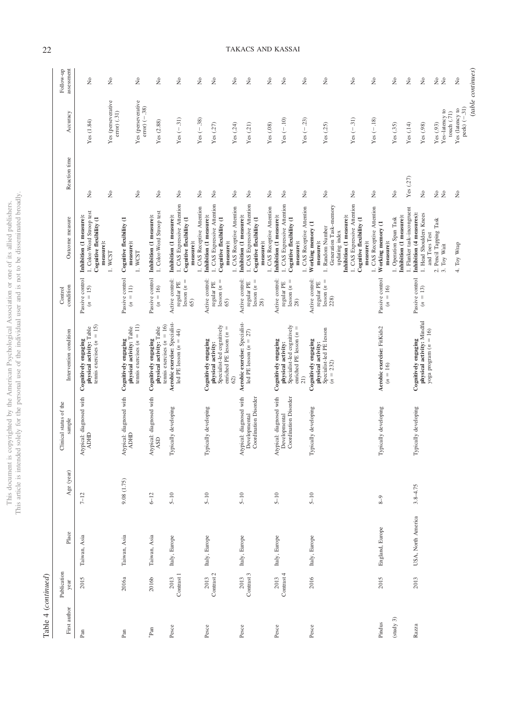| ì<br>j<br>Í<br>ç<br>j<br>I<br>)<br>ì<br>ł<br>į<br>ì<br>Ć                                                  | C)<br>í<br>ï<br>i<br>ļ<br>į<br>ł<br>i |
|-----------------------------------------------------------------------------------------------------------|---------------------------------------|
| ļ                                                                                                         |                                       |
| í.<br>Ċ<br>j<br>ì<br>j<br>Ï<br>J<br>j<br>ì<br>í<br>j.<br>š<br>Ì<br>$\frac{1}{2}$<br>ł<br>Ē<br>į<br>Ĕ<br>j | ֠<br>í<br>I<br>j<br>j                 |

Table 4  $(continued)$ Table 4 (*continued*)

| First author           | Publication<br>year | Place              | Age (year)   | Clinical status of the<br>$\mbox{sample}$                          | Intervention condition                                                                                                  | condition<br>Control                                                       | Outcome measure                                                                                                                                                                                   | Reaction time                                       | Accuracy                                                            | assessment<br>Follow-up                                          |
|------------------------|---------------------|--------------------|--------------|--------------------------------------------------------------------|-------------------------------------------------------------------------------------------------------------------------|----------------------------------------------------------------------------|---------------------------------------------------------------------------------------------------------------------------------------------------------------------------------------------------|-----------------------------------------------------|---------------------------------------------------------------------|------------------------------------------------------------------|
| Pan                    | 2015                | Taiwan, Asia       | $7 - 12$     | Atypical: diagnosed with<br><b>ADHD</b>                            | tennis exercises $(n = 15)$<br>Cognitively engaging<br>physical activity: Table                                         | Passive control<br>$= 15$<br>$\tilde{c}$                                   | 1. Color-Word Stroop test<br>Inhibition (1 measure):<br>Cognitive flexibility (1<br>measure):                                                                                                     | $\tilde{z}$                                         | Yes (1.84)                                                          | $\tilde{z}$                                                      |
|                        |                     |                    |              |                                                                    |                                                                                                                         |                                                                            | 1. WCST                                                                                                                                                                                           | $\tilde{z}$                                         | Yes (perseverative<br>error) (.31)                                  | $\stackrel{\circ}{\mathbf{z}}$                                   |
| $_{\rm Pan}$           | 2016а               | Taiwan, Asia       | 9.08 (1.75)  | Atypical: diagnosed with<br><b>ADHID</b>                           | tennis exercises $(n = 11)$<br>Cognitively engaging<br>physical activity: Table                                         | Passive control<br>$(n = 11)$                                              | Cognitive flexibility (1<br>measure):<br>1. WCST                                                                                                                                                  | $\stackrel{\circ}{\mathbb Z}$                       | Yes (perseverative<br>$error$ (-.38)                                | $\stackrel{\circ}{\mathbf{z}}$                                   |
| ${}^*\mathrm{Pan}$     | 2016b               | Taiwan, Asia       | $6 - 12$     | Atypical: diagnosed with<br>$\mathbf{ASD}$                         | tennis exercises $(n = 16)$<br>Cognitively engaging<br>physical activity: Table                                         | Passive control<br>$(n=16)$                                                | 1. Color-Word Stroop test<br>Inhibition (1 measure):                                                                                                                                              | $\stackrel{\circ}{\mathcal{Z}}$                     | Yes (2.88)                                                          | $\stackrel{\circ}{\mathbf{Z}}$                                   |
| Pesce                  | Contrast 1<br>2013  | Italy, Europe      | $5 - 10$     | Typically developing                                               | Aerobic exercise: Specialist-<br>led PE lesson $(n = 44)$                                                               | Active control:<br>$\parallel$<br>regular PE<br>lesson(n)<br>65)           | 1. CAS Expressive Attention<br>Inhibition (1 measure):<br>Cognitive flexibility (1<br>measure):                                                                                                   | ż                                                   | $Yes (-31)$                                                         | $\tilde{z}$                                                      |
| Pesce                  | Contrast 2<br>2013  | Italy, Europe      | $5 - 10$     | Typically developing                                               | Specialist-led cognitively<br>enriched PE lesson $(n =$<br>Cognitively engaging<br>physical activity:<br>62)            | Active control:<br>$lesson (n =$<br>regular PE<br>65)                      | 1. CAS Expressive Attention<br>I. CAS Receptive Attention<br>Inhibition (1 measure):<br>Cognitive flexibility (1<br>measure):                                                                     | $\gtrsim$<br>$\stackrel{\circ}{\mathsf{Z}}$         | $Yes (-38)$<br>Yes $(.27)$                                          | $\stackrel{\circ}{\mathsf{X}}$<br>$\stackrel{\circ}{\mathbf{Z}}$ |
| Pesce                  | Contrast 3<br>2013  | Italy, Europe      | $5 - 10$     | Atypical: diagnosed with<br>Coordination Disorder<br>Developmental | Aerobic exercise: Specialist-<br>led PE lesson $(n = 27)$                                                               | Active control:<br>$lesson (n =$<br>regular PE<br>28)                      | 1. CAS Expressive Attention<br>1. CAS Receptive Attention<br>Inhibition (1 measure):<br>Cognitive flexibility (1<br>measure):                                                                     | $\tilde{z}$<br>ż                                    | Yes (.24)<br>Yes(21)                                                | $\tilde{z}$<br>$\tilde{z}$                                       |
| Pesce                  | Contrast 4<br>2013  | Italy, Europe      | $5 - 10$     | Atypical: diagnosed with<br>Coordination Disorder<br>Developmental | Specialist-led cognitively<br>enriched PE lesson $(n =$<br>Cognitively engaging<br>physical activity:<br>$\frac{21}{2}$ | Active control:<br>$\mid \mid$<br>regular PE<br>1esson ( <i>n</i> =<br>28) | 1. CAS Expressive Attention<br>1. CAS Receptive Attention<br>I. CAS Receptive Attention<br>Inhibition (1 measure):<br>Cognitive flexibility (1<br>measure):                                       | ż<br>ż<br>ż                                         | $Yes (-10)$<br>$Yes (-.23)$<br>Yes(.08)                             | $\tilde{z}$<br>$\tilde{z}$<br>$\stackrel{\circ}{\mathsf{X}}$     |
| Pesce                  | 2016                | Italy, Europe      | $5 - 10$     | Typically developing                                               | Specialist-led PE lesson<br>Cognitively engaging<br>physical activity:<br>$(n = 232)$                                   | Active control:<br>$lessson(n =$<br>regular PE<br>228)                     | I. CAS Expressive Attention<br>Generation Task-memory<br>Inhibition (1 measure):<br>Cognitive flexibility (1<br>Working memory (1<br>1. Random Number<br>updating index<br>measure):<br>measure): | ż<br>$\stackrel{\circ}{\simeq}$                     | $Yes (-31)$<br>Yes (.25)                                            | $\tilde{z}$<br>$\stackrel{\circ}{\mathsf{X}}$                    |
| (s t u dy 3)<br>Pindus | 2015                | England, Europe    | $6-8$        | Typically developing                                               | Aerobic exercise: FitKids2<br>$(n = 16)$                                                                                | Passive control<br>$(n = 16)$                                              | 1. CAS Receptive Attention<br>Inhibition (1 measure):<br>1. Operation Span Task<br>Working memory (1<br>measure):                                                                                 | ż<br>$\tilde{z}$                                    | $Yes (-18)$<br>Yes (.35)                                            | $\tilde{z}$<br>$\tilde{z}$                                       |
| Razza                  | 2013                | USA, North America | $3.8 - 4.75$ | Typically developing                                               | physical activity: Mindful<br>yoga program $(n = 16)$<br>Cognitively engaging                                           | Passive control<br>$(n = 13)$                                              | 1. Flanker task-incongruent<br>1. Head Shoulders Knees<br>Inhibition (4 measures):<br>2. Pencil Tapping Task<br>and Toes Test                                                                     | Yes $(.27)$<br>$\mathop{\mathsf{S}}$<br>$\tilde{z}$ | Yes (.93)<br>Yes(.14)<br>Yes (.98)                                  | $\tilde{z}$<br>$\tilde{z}$<br>$\stackrel{\circ}{\mathbf{Z}}$     |
|                        |                     |                    |              |                                                                    |                                                                                                                         |                                                                            | 4. Toy Wrap<br>3. Toy Wait                                                                                                                                                                        | $\stackrel{\circ}{\mathbb{X}}$<br>$\tilde{z}$       | $peak) (-31)$<br>Yes (latency to<br>Yes-latency to<br>touch $(.71)$ | (table continues)<br>$\rm _{X}^{\circ}$<br>$\tilde{z}$           |

22 TAKACS AND KASSAI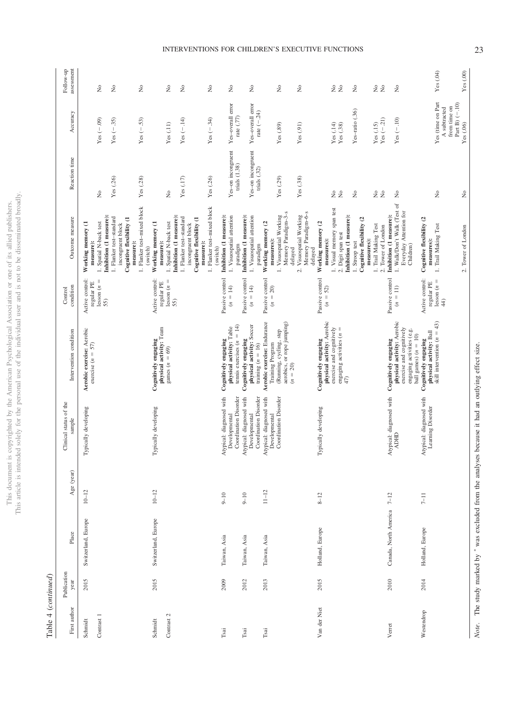This document is copyrighted by the American Psychological Association or one of its allied publishers.<br>This article is intended solely for the personal use of the individual user and is not to be disseminated broadly. This article is intended solely for the personal use of the individual user and is not to be disseminated broadly. This document is copyrighted by the American Psychological Association or one of its allied publishers.

> Table 4 (continued) Table 4 (*continued*)

| First author                | Publication<br>year | Place                 | Age (year) | Clinical status of the<br>sample                                                                             | Intervention condition                                                                                                              | condition<br>Control                                  | Outcome measure                                                                                                                                                                                                          | Reaction time                                                                 | Accuracy                                                                            | assessment<br>Follow-up                 |
|-----------------------------|---------------------|-----------------------|------------|--------------------------------------------------------------------------------------------------------------|-------------------------------------------------------------------------------------------------------------------------------------|-------------------------------------------------------|--------------------------------------------------------------------------------------------------------------------------------------------------------------------------------------------------------------------------|-------------------------------------------------------------------------------|-------------------------------------------------------------------------------------|-----------------------------------------|
| Contrast 1<br>Schmidt       | 2015                | Switzerland, Europe   | $10 - 12$  | Typically developing                                                                                         | Aerobic exercise: Aerobic<br>exercise $(n = 57)$                                                                                    | Active control:<br>$lesson(n =$<br>regular PE<br>55)  | Inhibition (1 measure):<br>1. Flanker test-standard<br>Cognitive flexibility (1<br>1. Spatial N-back test<br>Working memory (1<br>incongruent block<br>measure):                                                         | Yes (.26)<br>ż                                                                | Yes $(-.09)$<br>$Yes (-35)$                                                         | ż<br>$\tilde{z}$                        |
| Contrast 2<br>Schmidt       | 2015                | Switzerland, Europe   | $10 - 12$  | Typically developing                                                                                         | physical activity: Team<br>Cognitively engaging<br>games $(n = 69)$                                                                 | Active control:<br>$lesson (n =$<br>regular PE<br>55) | 1. Flanker test-mixed block<br>Inhibition (1 measure):<br>1. Flanker test-standard<br>Cognitive flexibility (1<br>1. Spatial N-back test<br>Working memory (1<br>incongruent block<br>measure):<br>measure):<br>(switch) | Yes (.28)<br>Yes(.17)<br>ż                                                    | $Yes (-.14)$<br>$Yes (-.53)$<br>Yes(.11)                                            | $\stackrel{\circ}{\mathbb Z}$<br>ż<br>ż |
| Tsai                        | 2009                | Taiwan, Asia          | $9 - 10$   | Atypical: diagnosed with                                                                                     | Cognitively engaging                                                                                                                | Passive control                                       | 1. Flanker test-mixed block<br>Inhibition (1 measure):<br>measure):<br>(switch)                                                                                                                                          | Yes (.26)                                                                     | $Yes (-34)$                                                                         | ż                                       |
| $\mathop{\sf Tsa}\nolimits$ | 2012                | Taiwan, Asia          | $9 - 10$   | Coordination Disorder<br>Coordination Disorder<br>Atypical: diagnosed with<br>Developmental<br>Developmental | tennis exercises $(n = 14)$<br>physical activity: Soccer<br>physical activity: Table<br>Cognitively engaging<br>training $(n = 16)$ | Passive control<br>$(n = 14)$<br>$(n = 14)$           | 1. Visuospatial attention<br>Inhibition (1 measure):<br>1. Visuospatial attention<br>paradigm                                                                                                                            | Yes-on incongruent<br>Yes-on incongruent<br>trials $(1.38)$<br>trials $(.32)$ | Yes-overall error<br>Yes-overall error<br>rate $(-.24)$<br>rate $(\mathcal{.}77)$   | $\stackrel{\circ}{\simeq}$<br>ż         |
| Tsai                        | 2013                | Taiwan, Asia          | $11 - 12$  | Coordination Disorder<br>Atypical: diagnosed with<br>Developmental                                           | Aerobic exercise: Endurance<br>aerobics, or rope jumping)<br>(Running, cycling, step<br>Training Program<br>$(n = 20)$              | Passive control<br>$(n = 20)$                         | 1. Visuospatial Working<br>Memory Paradigm-3-s<br>Visuospatial Working<br>Memory Paradigm-6-s<br>Working memory (2<br>measures):<br>paradigm<br>delayed<br>$\overline{\mathcal{C}}$                                      | Yes(.38)<br>Yes (.29)                                                         | Yes(.91)<br>Yes(.89)                                                                | $\gtrsim$<br>ż                          |
| Van der Niet                | 2015                | Holland, Europe       | $8 - 12$   | Typically developing                                                                                         | physical activity: Aerobic<br>exercise and cognitively<br>engaging activities $(n =$<br>Cognitively engaging<br>47)                 | Passive control<br>$(n = 52)$                         | 1. Visual memory span test<br>Inhibition (1 measure):<br>Cognitive flexibility (2<br>Working memory (2<br>1. Trail Making Test<br>2. Digit span test<br>measures):<br>measures):<br>1. Stroop test<br>delayed            | ż<br>$\frac{1}{2}$<br>$\stackrel{\circ}{\mathbb Z}$<br>2 g                    | Yes-ratio (.36)<br>Yes $(.14)$<br>Yes(.15)<br>$\operatorname{Yes}\left( .38\right)$ | 2 g<br>2 g<br>ż                         |
| Verret                      | 2010                | Canada, North America | $7 - 12$   | Atypical: diagnosed with<br><b>ADHD</b>                                                                      | physical activity: Aerobic<br>exercise and cognitively<br>engaging activities (e.g.<br>Cognitively engaging                         | Passive control<br>$(n = 11)$                         | 1. Walk/Don't Walk (Test of<br>Everyday Attention for<br>Inhibition (1 measure):<br>2. Tower of London<br>Children)                                                                                                      | ż                                                                             | Yes $(-.21)$<br>$Yes (-10)$                                                         | ż                                       |
| Westendrop                  | 2014                | Holland, Europe       | $7 - 11$   | Atypical: diagnosed with<br>Learning Disorder                                                                | skill intervention $(n = 43)$<br>Cognitively engaging<br>physical activity: Ball<br>ball games) $(n = 10)$                          | Active control:<br>$lesson(n =$<br>regular PE<br>44   | Cognitive flexibility (2<br>1. Trail Making Test<br>2. Tower of London<br>measures):                                                                                                                                     | $\tilde{z}$<br>$\frac{1}{2}$                                                  | Yes (time on Part<br>Part B) $(-.10)$<br>from time on<br>A subtracted<br>Yes (.06)  | Yes(.00)<br>Yes(04)                     |

# INTERVENTIONS FOR CHILDREN'S EXECUTIVE FUNCTIONS 23

*Note*. The study marked by  $*$ 

was excluded from the analyses because it had an outlying effect size.

Note. The study marked by \* was excluded from the analyses because it had an outlying effect size.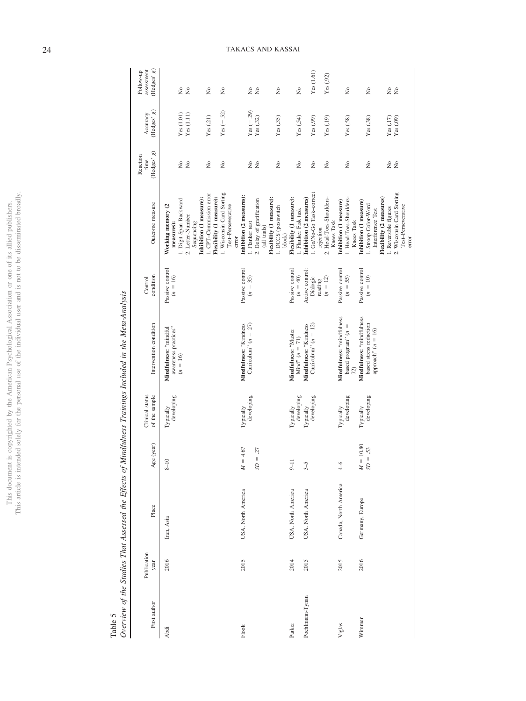| j<br>Holm.<br>į          |                      |
|--------------------------|----------------------|
|                          |                      |
|                          | ------               |
| i                        |                      |
|                          |                      |
| 1                        |                      |
|                          |                      |
|                          |                      |
| ĭ                        | j<br>i.              |
| )                        |                      |
|                          |                      |
| l                        | i<br>ì               |
| ٢<br>م                   |                      |
|                          |                      |
|                          | $\ddot{\phantom{a}}$ |
| ì<br>)                   | J<br>í               |
| í<br>í                   | ļ                    |
|                          | <b>Contract</b>      |
|                          |                      |
|                          |                      |
| $\overline{1}$<br>i<br>ł | ¢                    |
|                          | his:<br>l<br>ĺ<br>ł  |

Table 5<br>Overview of the Studies That Assessed the Effects of Mindfulness Trainings Included in the Meta-Analysis Overview of the Studies That Assessed the Effects of Mindfulness Trainings Included in the Meta-Analysis

| First author    | Publication<br>year | Place                 | Age (year)              | Clinical status<br>of the sample | Intervention condition                                                      | condition<br>Control                   | Outcome measure                                                                                                        | (Hedges' g)<br>Reaction<br>time | (Hedges' $g)$<br>Accuracy                                             | (Hedges' g)<br>assessment<br>Follow-up |
|-----------------|---------------------|-----------------------|-------------------------|----------------------------------|-----------------------------------------------------------------------------|----------------------------------------|------------------------------------------------------------------------------------------------------------------------|---------------------------------|-----------------------------------------------------------------------|----------------------------------------|
| Abdi            | 2016                | Iran, Asia            | $8 - 10$                | developing<br>Typically          | awareness practices"<br>Mindfulness: "mindful<br>$(n = 16)$                 | Passive control<br>$(n = 16)$          | Inhibition (1 measure):<br>1. Digit Span Backward<br>Working memory (2<br>2. Letter-Number<br>measures):<br>Sequencing | 2 g                             | $\begin{array}{c} \text{Yes (1.01)} \\ \text{Yes (1.11)} \end{array}$ | 2 g                                    |
|                 |                     |                       |                         |                                  |                                                                             |                                        | 1. Wisconsin Card Sorting<br>1. CPT-Commission error<br>Flexibility (1 measure):<br>Test-Perseverative                 | $\tilde{z}$<br>$\tilde{z}$      | $Yes (-52)$<br>Yes(21)                                                | $\tilde{z}$<br>$\tilde{z}$             |
| Flook           | 2015                | USA, North America    | 4.67<br>$\mu=$          | developing<br>Typically          | Mindfulness: "Kindness<br>Curriculum" $(n = 27)$                            | Passive control<br>$(n = 35)$          | Inhibition (2 measures):<br>1. Flanker test<br>error                                                                   |                                 | $Yes (-.29)$                                                          |                                        |
|                 |                     |                       | $= .27$<br>SD           |                                  |                                                                             |                                        | Flexibility (1 measure):<br>2. Delay of gratification<br>(all trials)                                                  | 2 ž                             | Yes(.32)                                                              | 2 g                                    |
|                 |                     |                       |                         |                                  |                                                                             |                                        | 1. DCCS (postswitch<br>block)                                                                                          | ż                               | Yes(.35)                                                              | $\tilde{z}$                            |
| Parker          | 2014                | USA, North America    | $\frac{1}{2}$           | developing<br>Typically          | Mindfulness: "Master<br>$Mind'' (n = 71)$                                   | Passive control<br>$(n = 40)$          | Flexibility (1 measure):<br>1. Flanker Fisk task                                                                       | $\tilde{z}$                     | Yes(.54)                                                              | $\frac{1}{2}$                          |
| Poehlmann-Tynan | 2015                | USA, North America    | $3-5$                   | developing<br>Typically          | Curriculum" $(n = 12)$<br>Mindfulness: "Kindness                            | Active control:<br>Dialogic<br>reading | 1. Go/No-Go Task-correct<br>Inhibition (2 measures)<br>rejection                                                       | ż                               | Yes(.99)                                                              | Yes (1.61)                             |
|                 |                     |                       |                         |                                  |                                                                             | $(n = 12)$                             | 2. Head-Toes-Shoulders-<br>Knees Task                                                                                  | $\tilde{z}$                     | Yes(.19)                                                              | Yes(0.92)                              |
| Viglas          | 2015                | Canada, North America | $4-6$                   | developing<br>Typically          | Mindfulness: "mindfulness<br>based program" $(n =$<br>72)                   | Passive control<br>$(n = 55)$          | 1. Head-Toes-Shoulders-<br>Inhibition (1 measure)<br>Knees Task                                                        | $\tilde{z}$                     | Yes(.58)                                                              | $\tilde{z}$                            |
| Winnner         | 2016                | Germany, Europe       | $M=10.80$<br>$SD = .53$ | developing<br>Typically          | Mindfulness: "mindfulness<br>based stress reduction<br>approach" $(n = 16)$ | Passive control<br>$(n = 10)$          | Flexibility (2 measures)<br>Inhibition (1 measure)<br>1. Stroop Color-Word<br>Interference Test                        | $\tilde{z}$                     | Yes(.38)                                                              | $\tilde{z}$                            |
|                 |                     |                       |                         |                                  |                                                                             |                                        | 2. Wisconsin Card Sorting<br>Test-Perseverative<br>1. Reversible figures<br>error                                      | 22                              | Yes(.17)<br>$\operatorname{Yes}\left( .09\right)$                     | 2 L                                    |

# 24 TAKACS AND KASSAI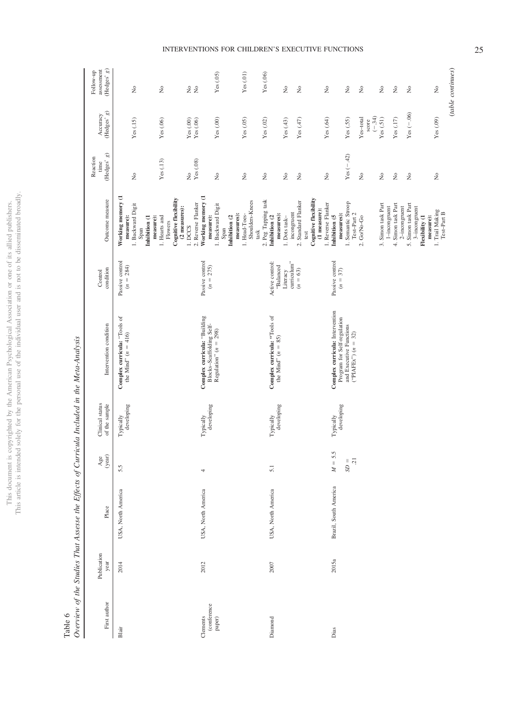|                               | j       |
|-------------------------------|---------|
| j                             | Ó       |
| í                             | ļ       |
| ă<br>j<br>ï<br>j              |         |
| ł                             |         |
|                               |         |
|                               | j<br>í  |
|                               | j       |
|                               | j       |
|                               |         |
| í                             |         |
|                               | į       |
|                               |         |
|                               |         |
| š                             |         |
|                               | j       |
|                               | j       |
|                               |         |
|                               |         |
|                               |         |
|                               |         |
|                               |         |
|                               |         |
|                               |         |
|                               | ł       |
|                               | I       |
|                               | ļ       |
|                               | į<br>ׇ֠ |
|                               |         |
|                               |         |
|                               |         |
|                               |         |
| i<br>j                        |         |
| ì                             |         |
| j<br>١                        |         |
| ì                             |         |
| ١                             |         |
|                               |         |
| $\frac{1}{1}$                 | j       |
|                               |         |
|                               |         |
|                               |         |
| can                           |         |
| ĭ<br>ì                        |         |
|                               |         |
| j<br>ĭ                        |         |
|                               | ļ       |
|                               |         |
|                               | į       |
| e porto<br>3                  | j       |
|                               |         |
| ï                             | ś       |
|                               |         |
|                               |         |
| j<br>j                        | ś<br>í  |
| ì                             |         |
| j<br>J<br>)                   |         |
|                               | ï       |
| $\frac{1}{2}$<br>ij           |         |
| ļ<br>ï                        |         |
| $\overline{\phantom{a}}$<br>j |         |
|                               | j       |
|                               |         |
|                               |         |
| Í                             | ׅ֦֘֝֬֝֬ |
| Ï                             |         |
|                               |         |
| こうしん かんこう                     |         |
|                               |         |
|                               | ī       |
|                               | ĵ       |
| hus                           |         |
|                               |         |
| i                             |         |
|                               | hıc     |
|                               | į       |
|                               |         |

|                         |                     | Overview of the Studies That Assesse the Effects of Curricula Included in the Meta-Analysis |                      |                                  |                                                                |                                      |                                                                                            |                                    |                                                                                                                       |                                                                   |
|-------------------------|---------------------|---------------------------------------------------------------------------------------------|----------------------|----------------------------------|----------------------------------------------------------------|--------------------------------------|--------------------------------------------------------------------------------------------|------------------------------------|-----------------------------------------------------------------------------------------------------------------------|-------------------------------------------------------------------|
| First author            | Publication<br>year | Place                                                                                       | $\frac{Age}{(year)}$ | Clinical status<br>of the sample | Intervention condition                                         | condition<br>Control                 | Outcome measure                                                                            | (Hedges'g)<br>Reaction<br>time     | $(\mathrm{Hedges}^{\star} \mathrel g)$<br>Accuracy                                                                    | assessment<br>$(\mbox{Hedges'}\ \mbox{\boldmath$g})$<br>Follow-up |
| Blair                   | 2014                | USA, North America                                                                          | 5.5                  | developing<br>Typically          | Complex curricula: "Tools of<br>the Mind" $(n = 416)$          | Passive control<br>$(n = 284)$       | Working memory (1<br>1. Backward Digit<br>measure):<br>Inhibition (1<br>Span               | $\rm \stackrel{\circ}{\rm \bf Z}$  | Yes(.15)                                                                                                              | $\stackrel{\circ}{\mathbf{Z}}$                                    |
|                         |                     |                                                                                             |                      |                                  |                                                                |                                      | Cognitive flexibility<br>(2 measures):<br>measure):<br>1. Hearts and<br>Flowers<br>1. DCCS | Yes(.13)<br>$\frac{6}{2}$          | Yes (.06)                                                                                                             | $\rm \stackrel{\circ}{\mathbf{Z}}$                                |
| (conference<br>Clements | 2012                | USA, North America                                                                          | 4                    | developing<br>Typically          | Complex curricula: "Building                                   | Passive control<br>$(n = 275)$       | Working memory (1<br>2. Reverse Flanker<br>measure):                                       | $Yes(0.8)$                         | $\ensuremath{\mathbf{Y}\mathbf{e}\mathbf{s}}\xspace$ (.00) $\ensuremath{\mathbf{Y}\mathbf{e}\mathbf{s}}\xspace$ (.06) | 28                                                                |
| paper)                  |                     |                                                                                             |                      |                                  | Blocks-Scaffolding Self-<br>Regulation" ( $n = 298$ )          |                                      | 1. Backward Digit<br>measures):<br>Inhibition (2<br>Span                                   | $\stackrel{\circ}{\mathbf{z}}$     | Yes $(.00)$                                                                                                           | Yes(05)                                                           |
|                         |                     |                                                                                             |                      |                                  |                                                                |                                      | Shoulders-Knees<br>1. Head-Toes-<br>task                                                   | $\stackrel{\circ}{\mathbf{Z}}$     | Yes (.05)                                                                                                             | Yes(01)                                                           |
| Diamond                 | 2007                | USA, North America                                                                          | 5.1                  | developing<br>Typically          | Complex curricula: "Tools of                                   | Active control:                      | 2. Peg Tapping task<br>Inhibition (2                                                       | $\stackrel{\circ}{\mathbf{z}}$     | Yes $(.02)$                                                                                                           | Yes(06)                                                           |
|                         |                     |                                                                                             |                      |                                  | the Mind" $(n = 85)$                                           | curriculum"<br>'Balanced<br>Literacy | incongruent<br>measures):<br>$1.$ Dots task $-$                                            | $\rm \stackrel{\circ}{\rm \bf Z}$  | Yes(43)                                                                                                               | $\rm \stackrel{\circ}{\rm \scriptstyle X}$                        |
|                         |                     |                                                                                             |                      |                                  |                                                                | $(n = 63)$                           | 2. Standard Flanker<br>test                                                                | $\stackrel{\circ}{\mathbf{z}}$     | Yes $(.47)$                                                                                                           | $\stackrel{\circ}{\mathbf{Z}}$                                    |
|                         |                     |                                                                                             |                      |                                  |                                                                |                                      | Cognitive flexibility<br>1. Reverse Flanker<br>(1 measure):                                | $\stackrel{\circ}{\mathbf{z}}$     | Yes $(.64)$                                                                                                           | $\rm \stackrel{\circ}{\rm \scriptstyle X}$                        |
| Dias                    | 2015a               | Brazil, South America                                                                       | 5.5<br>$M =$         | developing<br>Typically          | Complex curricula: Intervention<br>Program for Self-regulation | Passive control<br>$(n = 37)$        | measures):<br>Inhibition (5                                                                |                                    |                                                                                                                       |                                                                   |
|                         |                     |                                                                                             | $SD = 21$            |                                  | and Executive Functions<br>("PIAFEx") $(n = 32)$               |                                      | 1. Semantic Stroop<br>Test-Part 2                                                          | $Yes (-42)$                        | Yes (.55)                                                                                                             | $\stackrel{\circ}{\mathbf{Z}}$                                    |
|                         |                     |                                                                                             |                      |                                  |                                                                |                                      | 2. Go/No-Go                                                                                | $\rm \stackrel{\circ}{\rm \bf Z}$  | Yes-total<br>score                                                                                                    | $\stackrel{\circ}{\mathbf{Z}}$                                    |
|                         |                     |                                                                                             |                      |                                  |                                                                |                                      |                                                                                            |                                    | $(-.34)$                                                                                                              |                                                                   |
|                         |                     |                                                                                             |                      |                                  |                                                                |                                      | 3. Simon task Part<br>$1$ -incongruent                                                     | $\tilde{z}$                        | Yes(51)                                                                                                               | $\stackrel{\circ}{\mathbf{Z}}$                                    |
|                         |                     |                                                                                             |                      |                                  |                                                                |                                      | 4. Simon task Part<br>$2$ -incongruent                                                     | $\rm \stackrel{\circ}{\mathbf{Z}}$ | Yes (.17)                                                                                                             | $\rm \stackrel{\circ}{\mathbf{Z}}$                                |
|                         |                     |                                                                                             |                      |                                  |                                                                |                                      | 5. Simon task Part                                                                         | $\stackrel{\circ}{\mathbf{Z}}$     | Yes $(-.06)$                                                                                                          | $\stackrel{\circ}{\mathbf{Z}}$                                    |
|                         |                     |                                                                                             |                      |                                  |                                                                |                                      | $3$ -incongruent<br>1. Trail Making<br>Test-Part B<br>Flexibility (1<br>measure):          | $\stackrel{\circ}{\mathbf{Z}}$     | Yes (.09)                                                                                                             | $\rm \stackrel{\circ}{\mathbf{Z}}$                                |
|                         |                     |                                                                                             |                      |                                  |                                                                |                                      |                                                                                            |                                    |                                                                                                                       |                                                                   |

# Table 6<br>Overview of the Studies That Assesse the Effects of Curricula Included in the Meta-Analysis Overview of the Studies That Assesse the Effects of Curricula Included in the Meta-Analysis

(*table continues*)

 $\qquad \qquad (table~continues)$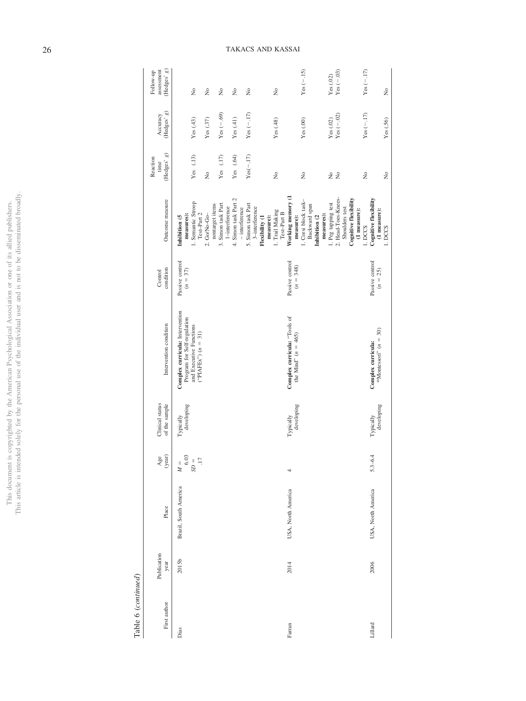| Table 6 (continued) |                     |                       |                                                                                  |                                  |                                                                                                                    |                                |                                                                  |                                 |                                          |                                                                            |
|---------------------|---------------------|-----------------------|----------------------------------------------------------------------------------|----------------------------------|--------------------------------------------------------------------------------------------------------------------|--------------------------------|------------------------------------------------------------------|---------------------------------|------------------------------------------|----------------------------------------------------------------------------|
| First author        | Publication<br>year | Place                 | $\frac{Age}{(year)}$                                                             | Clinical status<br>of the sample | Intervention condition                                                                                             | condition<br>Control           | Outcome measure                                                  | (Hedges' g)<br>Reaction<br>time | $(\mathrm{Hedges}^{\ast}$ g)<br>Accuracy | (Hedges' g)<br>assessment<br>Follow-up                                     |
| Dias                | 2015b               | Brazil, South America | $6.03$<br>$\overline{\mathcal{L}}$<br>$=$ $\,$ $\!$ $\!$ $\!$ $\!$ $\!$<br>$M =$ | developing<br>Typically          | Complex curricula: Intervention<br>Program for Self-regulation<br>and Executive Functions<br>$("PIAFEx") (n = 31)$ | Passive control<br>$(n = 37)$  | 1. Semantic Stroop<br>Test-Part 2<br>measures):<br>Inhibition (5 | Yes $(13)$                      | Yes $(.43)$                              | $\frac{1}{2}$                                                              |
|                     |                     |                       |                                                                                  |                                  |                                                                                                                    |                                | nontarget items<br>2. Go/No-Go-                                  | $\frac{1}{2}$                   | Yes $(.37)$                              | $\frac{1}{2}$                                                              |
|                     |                     |                       |                                                                                  |                                  |                                                                                                                    |                                | 3. Simon task Part<br>$1$ -interference                          | Yes $(.17)$                     | Yes $(-.69)$                             | $\tilde{R}$                                                                |
|                     |                     |                       |                                                                                  |                                  |                                                                                                                    |                                | 4. Simon task Part 2<br>$-$ interference                         | Yes (.64)                       | Yes $(.41)$                              | $\tilde{R}$                                                                |
|                     |                     |                       |                                                                                  |                                  |                                                                                                                    |                                | 5. Simon task Part<br>3-interference<br>Flexibility (1           | $Yes(-.17)$                     | $Yes (-.17)$                             | $\tilde{R}$                                                                |
|                     |                     |                       |                                                                                  |                                  |                                                                                                                    |                                | 1. Trail Making<br>Test-Part B<br>measure):                      | $\frac{1}{2}$                   | Yes (.48)                                | $\frac{1}{2}$                                                              |
| Farran              | 2014                | USA, North America    | 4                                                                                | developing<br>Typically          | Complex curricula: "Tools of<br>the Mind" $(n = 465)$                                                              | Passive control<br>$(n = 348)$ | Working memory (1<br>measure):                                   |                                 |                                          |                                                                            |
|                     |                     |                       |                                                                                  |                                  |                                                                                                                    |                                | 1. Corsi block task-<br>Backward span<br>Inhibition (2           | $\tilde{z}$                     | Yes(00)                                  | $Yes (-.15)$                                                               |
|                     |                     |                       |                                                                                  |                                  |                                                                                                                    |                                | 1. Peg tapping test<br>measures):                                | $\frac{1}{2}$                   | $\operatorname{Yes}\left( .02\right)$    |                                                                            |
|                     |                     |                       |                                                                                  |                                  |                                                                                                                    |                                | 2. Head-Toes-Knees-<br>Shoulders test                            | $\rm _{XO}$                     | $Yes(-.02)$                              | $\begin{array}{l} \mathrm{Yes}\,(.02) \\ \mathrm{Yes}\,(-.03) \end{array}$ |
|                     |                     |                       |                                                                                  |                                  |                                                                                                                    |                                | <b>Cognitive flexibility</b><br>(1 measure):                     |                                 |                                          |                                                                            |
|                     |                     |                       |                                                                                  |                                  |                                                                                                                    |                                | 1. DCCS                                                          | $\tilde{z}$                     | $Yes (-.17)$                             | $Yes (-17)$                                                                |
| Lillard             | 2006                | USA, North America    | $5.3 - 6.4$                                                                      | Typically                        | Complex curricula:                                                                                                 | Passive control                | <b>Cognitive flexibility</b>                                     |                                 |                                          |                                                                            |
|                     |                     |                       |                                                                                  | developing                       | "Montessori" $(n = 30)$                                                                                            | $(n = 25)$                     | $(1$ measure):<br>1. DCCS                                        | $\frac{1}{2}$                   | Yes (.56)                                | $\frac{1}{2}$                                                              |

This document is copyrighted by the American Psychological Association or one of its allied publishers.<br>This article is intended solely for the personal use of the individual user and is not to be disseminated broadly. This article is intended solely for the personal use of the individual user and is not to be disseminated broadly. This document is copyrighted by the American Psychological Association or one of its allied publishers.

# $\ddot{t}$ Table 6  $\omega$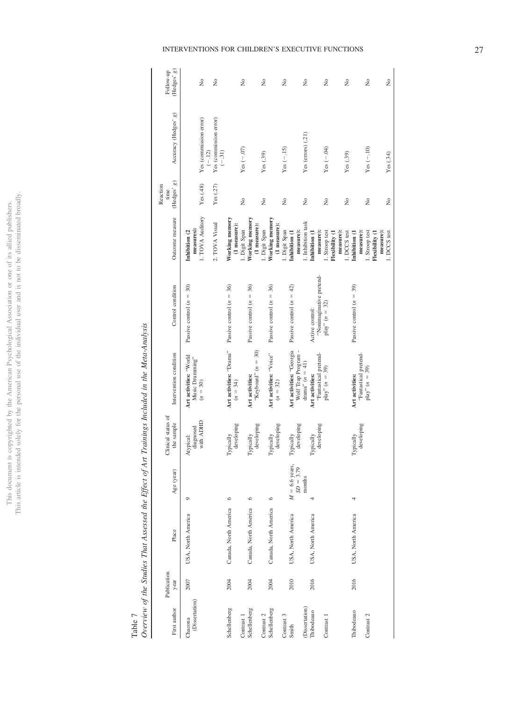This document is copyrighted by the American Psychological Association or one of its allied publishers.<br>This article is intended solely for the personal use of the individual user and is not to be disseminated broadly. This article is intended solely for the personal use of the individual user and is not to be disseminated broadly. This document is copyrighted by the American Psychological Association or one of its allied publishers.

 ${\bf Table ~7} \\ Overview$ 

|               | ì                                                               |
|---------------|-----------------------------------------------------------------|
|               | ׇ֚֕֡                                                            |
| I<br>1        | l<br>í<br>l<br>l                                                |
|               |                                                                 |
| $\frac{1}{2}$ |                                                                 |
|               | í                                                               |
|               | í                                                               |
| ï             | i                                                               |
| ļ             |                                                                 |
|               | ֖֖֖֖֪ׅ֪ׅ֪ׅ֪ׅ֪ׅ֪֪֪ׅ֪֪ׅ֪֪֪ׅ֪֪֪ׅ֚֚֚֚֚֚֚֚֚֚֚֚֚֚֚֚֚֚֚֚֡֝֝֝֬֓֓֞֬֓֓    |
|               |                                                                 |
| ŀ             | l                                                               |
|               | i                                                               |
|               | l<br>J                                                          |
|               |                                                                 |
|               |                                                                 |
| i             | l                                                               |
| l             | ì<br>İ                                                          |
|               | ׇ֖֖֚֚֚֚֬֝֬                                                      |
|               | ١<br>l<br>l                                                     |
| Ì<br>i        | l                                                               |
|               |                                                                 |
| ļ             |                                                                 |
|               | ׅ֖֧ׅׅ֧ׅ֧ׅ֧ׅ֧ׅ֧ׅ֧ׅ֧ׅ֧ׅ֧ׅ֧֪ׅ֧֚֚֚֚֚֚֚֚֚֚֚֚֚֚֚֚֚֚֚֚֚֚֚֚֚֟֘֡֡֝֝֜֝֜֜֜ |
|               | j                                                               |
| ł<br>ζ        |                                                                 |

| First author               | Publication<br>year | Place                 | Age (year)                      | Clinical status of<br>the sample    | Intervention condition                                  | Control condition                             | Outcome measure                                 | (Hedges' g)<br>Reaction<br>time | Accuracy (Hedges' g)                          | (Hedges' g)<br>Follow-up |
|----------------------------|---------------------|-----------------------|---------------------------------|-------------------------------------|---------------------------------------------------------|-----------------------------------------------|-------------------------------------------------|---------------------------------|-----------------------------------------------|--------------------------|
| (Dissertation)<br>Chacona  | 2007                | USA, North America    | O                               | with ADHD<br>diagnosed<br>Atypical: | Art activities: "World<br>Music Drumming"<br>$(n = 30)$ | Passive control $(n = 30)$                    | 1. TOVA Auditory<br>measures):<br>Inhibition (2 | Yes(48)                         | Yes (commission error)                        | ż                        |
|                            |                     |                       |                                 |                                     |                                                         |                                               | 2. TOVA Visual                                  | Yes $(.27)$                     | Yes (commission error)<br>$(-.12)$<br>$(-31)$ | $\tilde{z}$              |
| Schellenberg               | 2004                | Canada, North America | $\circ$                         | developing<br>Typically             | Art activities: "Drama"<br>$(n = 34)$                   | Passive control $(n = 36)$                    | Working memory<br>(1 measure):                  |                                 |                                               |                          |
| Schellenberg<br>Contrast 1 | 2004                | Canada, North America | $\circ$                         | Typically                           | Art activities:                                         | Passive control $(n = 36)$                    | Working memory<br>1. Digit Span                 | $\tilde{z}$                     | $Yes (-07)$                                   | ż                        |
| Contrast 2                 |                     |                       |                                 | developing                          | "Keyboard" $(n = 30)$                                   |                                               | (1 measure):<br>1. Digit Span                   | $\frac{1}{2}$                   | Yes(0.39)                                     | Σò                       |
| Schellenberg               | 2004                | Canada, North America | $\circ$                         | developing<br>Typically             | Art activities: "Voice"<br>$(n = 32)$                   | Passive control $(n = 36)$                    | Working memory<br>(1 measure):                  |                                 |                                               |                          |
| Contrast 3                 |                     |                       |                                 |                                     |                                                         |                                               | 1. Digit Span                                   | $\frac{1}{2}$                   | $Yes (-.15)$                                  | Σò                       |
| Smith                      | 2010                | USA, North America    | $M = 6.6$ years,<br>$SD = 3.79$ | developing<br>Typically             | Art activities: "Georgia<br>Wolf Trap Program -         | Passive control $(n = 42)$                    | measure):<br>Inhibition (1                      |                                 |                                               |                          |
| (Dissertation)             |                     |                       | months                          |                                     | drama" $(n = 41)$                                       |                                               | I. Inhibition task                              | $\tilde{z}$                     | Yes (errors) (.21)                            | ż                        |
| Thibodeauo                 | 2016                | USA, North America    |                                 | Typically                           | Art activities:                                         | Active control:                               | Inhibition (1                                   |                                 |                                               |                          |
| Contrast 1                 |                     |                       |                                 | developing                          | "Fantastical pretend-<br>$play'' (n = 39)$              | 'Nonimaginative pretend-<br>$play'' (n = 32)$ | measure):<br>Stroop test                        | $\frac{1}{2}$                   | $Yes (-.04)$                                  | Σò                       |
|                            |                     |                       |                                 |                                     |                                                         |                                               | Flexibility (1                                  |                                 |                                               |                          |
|                            |                     |                       |                                 |                                     |                                                         |                                               | measure):<br>. DCCS test                        | $\frac{1}{2}$                   | Yes(0.39)                                     | Σò                       |
| Thibodeauo                 | 2016                | USA, North America    | 4                               | Typically                           | Art activities:                                         | Passive control $(n = 39)$                    | Inhibition (1                                   |                                 |                                               |                          |
| Contrast 2                 |                     |                       |                                 | developing                          | "Fantastical pretend-<br>$play''(n = 39)$               |                                               | measure):<br>. Stroop test                      | $\tilde{z}$                     | $Yes(-.10)$                                   | ż                        |
|                            |                     |                       |                                 |                                     |                                                         |                                               | Flexibility (1                                  |                                 |                                               |                          |
|                            |                     |                       |                                 |                                     |                                                         |                                               | measure):<br>1. DCCS test                       | $\frac{1}{2}$                   | Yes(.34)                                      | $\tilde{z}$              |

# INTERVENTIONS FOR CHILDREN'S EXECUTIVE FUNCTIONS 27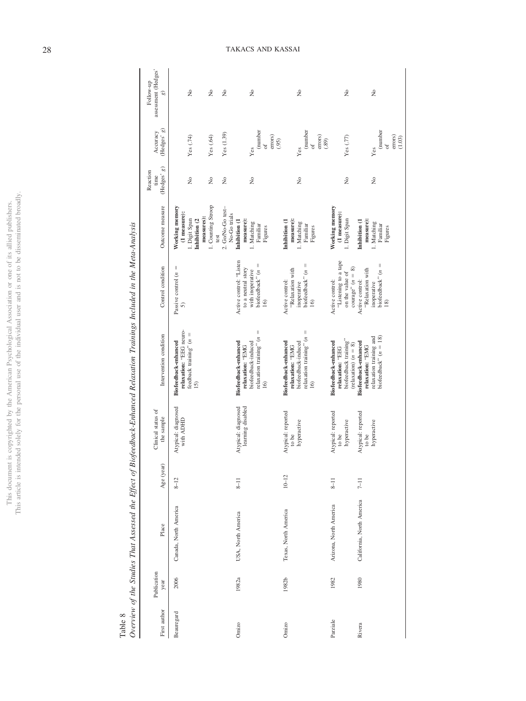|                          | ٠                    |
|--------------------------|----------------------|
|                          |                      |
|                          |                      |
| j<br>í                   | ¢<br>j               |
| ò                        |                      |
| ċ                        |                      |
| c,<br>ı                  |                      |
| ì                        |                      |
|                          | í                    |
|                          |                      |
|                          | j                    |
|                          |                      |
|                          |                      |
|                          | i                    |
|                          |                      |
|                          | ;                    |
|                          |                      |
| ì                        |                      |
|                          |                      |
|                          |                      |
|                          |                      |
| me                       |                      |
|                          |                      |
|                          |                      |
|                          |                      |
|                          |                      |
|                          |                      |
|                          |                      |
| í                        |                      |
|                          |                      |
|                          |                      |
|                          | j                    |
|                          |                      |
|                          |                      |
|                          |                      |
|                          | ¢                    |
|                          |                      |
| j                        |                      |
| c<br>1                   | $\ddot{\phantom{0}}$ |
| J.<br>J<br>I             |                      |
|                          |                      |
| ì                        |                      |
|                          |                      |
|                          |                      |
| $\frac{1}{1}$            |                      |
|                          |                      |
| ţ,                       |                      |
|                          | ن<br>پ               |
| こうしゃ こうこう                |                      |
|                          |                      |
| ì                        |                      |
|                          |                      |
| í                        |                      |
|                          |                      |
|                          |                      |
|                          |                      |
| ć                        |                      |
| i<br>Je<br>$\frac{1}{2}$ |                      |
|                          |                      |
|                          | l                    |
|                          |                      |
|                          | ś                    |
| I<br>Í                   | í                    |
|                          |                      |
| l<br>ļ<br>ℷ              |                      |
| ł                        | J                    |
| i                        |                      |
| ï                        |                      |
| J                        |                      |
|                          |                      |
|                          |                      |
|                          |                      |
| Ì                        |                      |
| $\overline{\phantom{a}}$ | ă                    |
| Í                        |                      |
|                          |                      |
|                          |                      |
| ciime                    |                      |
|                          |                      |
|                          |                      |
| his d                    |                      |
|                          | $\frac{1}{2}$        |
|                          |                      |
|                          |                      |
| ä                        | Ç                    |
|                          |                      |
|                          | Ë<br>É               |

Table 8<br>Overview of the Studies That Assessed the Effect of Biofeedback-Enhanced Relaxation Trainings Included in the Meta-Analysis Overview of the Studies That Assessed the Effect of Biofeedback-Enhanced Relaxation Trainings Included in the Meta-Analysis

| First author | Publication<br>year | Place                     | Age (year) | Clinical status of<br>the sample           | Intervention condition                                                                                | Control condition                                                                        | Outcome measure                                                                | (Hedges' g)<br>Reaction<br>time                  | (Hedges'g)<br>Accuracy                                                              | assessment (Hedges'<br>Follow-up<br>$\widehat{e}$ |
|--------------|---------------------|---------------------------|------------|--------------------------------------------|-------------------------------------------------------------------------------------------------------|------------------------------------------------------------------------------------------|--------------------------------------------------------------------------------|--------------------------------------------------|-------------------------------------------------------------------------------------|---------------------------------------------------|
| Beauregard   | 2006                | Canada, North America     | $8 - 12$   | Atypical: diagnosed<br>with ADHD           | relaxation: "EEG neuro-<br>feedback training" $(n =$<br>Biofeedback-enhanced<br>15)                   | Passive control $(n =$<br>5)                                                             | Working memory<br>(1 measure):<br>measures):<br>1. Digit Span<br>Inhibition (2 | $\tilde{R}$                                      | Yes (.74)                                                                           | ż                                                 |
|              |                     |                           |            |                                            |                                                                                                       |                                                                                          | 1. Counting Stroop<br>2. Go/No-Go test-<br>No-Go trials<br>test                | $\tilde{z}$<br>$\rm \stackrel{\circ}{\rm \bf Z}$ | Yes (1.39)<br>Yes (.64)                                                             | Σò<br>$\tilde{z}$                                 |
| Omizo        | 1982a               | USA, North America        | $8 - 11$   | Atypical: diagnosed<br>learning disabled   | biofeedback-induced<br>Biofeedback-enhanced<br>relaxation: "EMG                                       | Active control: "Listen<br>biofeedback" $(n =$<br>to a neutral story<br>with inoperative | measure):<br>Inhibition (1<br>1. Matching                                      | $\frac{1}{2}$                                    | Yes                                                                                 | Σò                                                |
|              |                     |                           |            |                                            | relaxation training" $(n =$<br>$\overline{6}$                                                         | 16)                                                                                      | Familiar<br>Figures                                                            |                                                  | $\begin{array}{l} {\rm (number} \\ {\rm of} \\ {\rm errors}) \end{array}$<br>(0.95) |                                                   |
| Omizo        | 1982b               | Texas, North America      | $10 - 12$  | Atypical: reported<br>hyperactive<br>to be | relaxation training" $(n =$<br>biofeedback-induced<br>Biofeedback-enhanced<br>relaxation: "EMG<br>16) | biofeedback" $(n =$<br>"Relaxation with<br>Active control:<br>inoperative<br>16)         | measure):<br>Inhibition (1<br>1. Matching<br>Familiar<br>Figures               | 2                                                | (number of<br>errors)<br>(.89)<br>Yes                                               | ż                                                 |
| Parziale     | 1982                | Arizona, North America    | $8 - 11$   | Atypical: reported<br>hyperactive<br>to be | biofeedback training"<br><b>Biofeedback-enhanced</b><br>(relaxation) $(n = 8)$<br>relaxation: "EEG    | "Listening to a tape<br>courage" $(n = 8)$<br>on the value of<br>Active control:         | Working memory<br>(1 measure):<br>1. Digit Span                                | $\tilde{R}$                                      | Yes $(.77)$                                                                         | Σò                                                |
| Rivera       | 1980                | California, North America | $7 - 11$   | Atypical: reported<br>hyperactive<br>to be | biofeedback" $(n = 18)$<br>relaxation training and<br>Biofeedback-enhanced<br>relaxation: "EMG        | biofeedback" $(n =$<br>"Relaxation with<br>Active control:<br>inoperative<br>18)         | measure):<br>Inhibition (1<br>1. Matching<br>Familiar<br>Figures               | $\tilde{z}$                                      | (number<br>errors)<br>$(1.03)$<br>of<br>Yes                                         | ż                                                 |

28 TAKACS AND KASSAI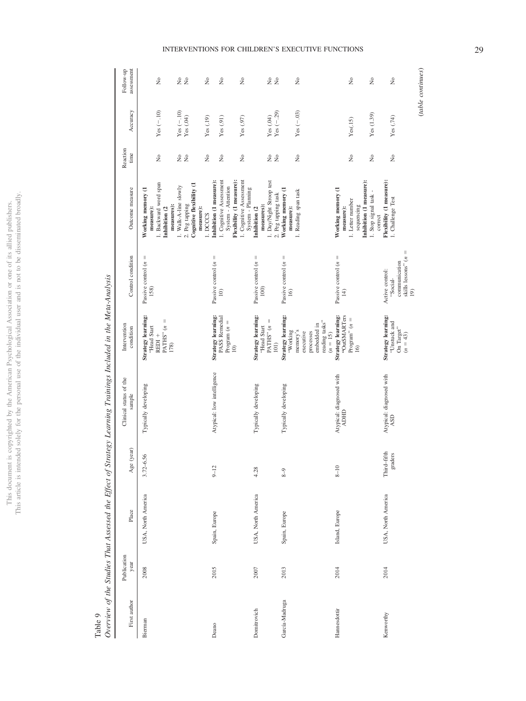| ו<br>נוב<br>ă                             | $\frac{1}{2}$                                                                                |
|-------------------------------------------|----------------------------------------------------------------------------------------------|
|                                           |                                                                                              |
| l                                         |                                                                                              |
| ł                                         |                                                                                              |
| l                                         | j                                                                                            |
|                                           |                                                                                              |
|                                           |                                                                                              |
|                                           |                                                                                              |
|                                           |                                                                                              |
| į                                         |                                                                                              |
| ì                                         | ł                                                                                            |
| $\overline{\phantom{a}}$                  | í                                                                                            |
|                                           |                                                                                              |
|                                           |                                                                                              |
| í                                         |                                                                                              |
| Î                                         |                                                                                              |
|                                           |                                                                                              |
|                                           |                                                                                              |
|                                           |                                                                                              |
|                                           |                                                                                              |
| i                                         |                                                                                              |
|                                           |                                                                                              |
|                                           |                                                                                              |
| i<br>١                                    |                                                                                              |
|                                           |                                                                                              |
|                                           |                                                                                              |
| $\overline{\phantom{a}}$                  |                                                                                              |
|                                           |                                                                                              |
|                                           |                                                                                              |
|                                           |                                                                                              |
|                                           |                                                                                              |
|                                           | くりょう<br>JSN                                                                                  |
|                                           |                                                                                              |
|                                           |                                                                                              |
|                                           | j                                                                                            |
|                                           |                                                                                              |
| ć                                         | ֦֖֖֖֖֧֪֪֪֦֪֪֦֖֧֪֪֪֪֪֪֪֦֧֖֧֚֚֚֚֚֚֚֚֚֚֚֚֚֚֚֞֕֝֬֝֝֝֝֝֝֝֝֟֓֝֝֬֝֝֬֝֝֬֝֬֝֬֝֬֝֬֝֬֝֬֝֬֝֬֝֬֝֬֝֬֝֬֝֬֝֬ |
|                                           |                                                                                              |
| 1<br>í<br>Ϊ                               |                                                                                              |
|                                           |                                                                                              |
| ì                                         |                                                                                              |
|                                           |                                                                                              |
|                                           |                                                                                              |
|                                           |                                                                                              |
| $\frac{1}{1}$                             |                                                                                              |
|                                           |                                                                                              |
| ĺ                                         | ċ                                                                                            |
|                                           |                                                                                              |
| COU                                       | <b>SC</b>                                                                                    |
|                                           | ļ                                                                                            |
| ì                                         |                                                                                              |
| i                                         |                                                                                              |
| ţ                                         | j                                                                                            |
|                                           |                                                                                              |
|                                           | <b>Contractor</b>                                                                            |
|                                           |                                                                                              |
|                                           |                                                                                              |
| C<br>C                                    |                                                                                              |
|                                           |                                                                                              |
| $\ddot{\phantom{0}}$                      |                                                                                              |
|                                           | l                                                                                            |
| j                                         | ł                                                                                            |
|                                           |                                                                                              |
| ł<br>J                                    | ł<br>$\overline{ }$                                                                          |
|                                           |                                                                                              |
|                                           | ï                                                                                            |
| l<br>J<br>j                               | ī<br>j                                                                                       |
| į<br><b>CONTINE</b>                       |                                                                                              |
|                                           |                                                                                              |
|                                           |                                                                                              |
| j                                         |                                                                                              |
|                                           |                                                                                              |
|                                           |                                                                                              |
|                                           |                                                                                              |
| i                                         |                                                                                              |
|                                           |                                                                                              |
| j<br>ì                                    |                                                                                              |
|                                           |                                                                                              |
|                                           |                                                                                              |
| i<br>I<br>I<br>I<br>I<br>I<br>I<br>I<br>I |                                                                                              |
|                                           |                                                                                              |
|                                           | ī                                                                                            |
|                                           |                                                                                              |
|                                           | i                                                                                            |
| his                                       |                                                                                              |
|                                           |                                                                                              |
| į<br>į                                    | $\frac{1}{2}$                                                                                |
|                                           |                                                                                              |
|                                           | ļ                                                                                            |
|                                           |                                                                                              |

<span id="page-29-0"></span>Table 9

| Ì                                                                                                                                                                                                                                             |
|-----------------------------------------------------------------------------------------------------------------------------------------------------------------------------------------------------------------------------------------------|
|                                                                                                                                                                                                                                               |
| j                                                                                                                                                                                                                                             |
| ļ<br>١<br>is a company of the company of the company of the company of the company of the company of the company of the company of the company of the company of the company of the company of the company of the company of the company<br>l |
| i<br>$\vdots$                                                                                                                                                                                                                                 |
| ì<br>l                                                                                                                                                                                                                                        |
|                                                                                                                                                                                                                                               |
| $\ddot{\phantom{0}}$<br>l<br>l                                                                                                                                                                                                                |
| ï<br>j                                                                                                                                                                                                                                        |
|                                                                                                                                                                                                                                               |
|                                                                                                                                                                                                                                               |
|                                                                                                                                                                                                                                               |
|                                                                                                                                                                                                                                               |
| ì<br>$\ddot{\phantom{a}}$<br>yer.<br>I                                                                                                                                                                                                        |
|                                                                                                                                                                                                                                               |

| First author   | Publication<br>year | Place              | Age (year)             | Clinical status of the<br>sample        | Intervention<br>condition                                                                                    | Control condition                                                                         | Outcome measure                                                                                                                 | Reaction<br>time                                                                       | Accuracy                                 | assessment<br>Follow-up                                                                |
|----------------|---------------------|--------------------|------------------------|-----------------------------------------|--------------------------------------------------------------------------------------------------------------|-------------------------------------------------------------------------------------------|---------------------------------------------------------------------------------------------------------------------------------|----------------------------------------------------------------------------------------|------------------------------------------|----------------------------------------------------------------------------------------|
| Bierman        | 2008                | USA, North America | 3.72-6.56              | Typically developing                    | Strategy learning:<br>$PATHS"$ $(n =$<br>'Head Start<br>REDI <sup>+</sup><br>178)                            | $\label{eq:1} \quad \, \parallel$<br>Passive control (n<br>158)                           | 1. Backward word span<br>Working memory (1<br>measures):<br>measure):<br>Inhibition (2                                          | $\tilde{z}$                                                                            | Yes $(-.10)$                             | $\stackrel{\circ}{\mathbf{z}}$                                                         |
|                |                     |                    |                        |                                         |                                                                                                              |                                                                                           | Cognitive flexibility (1<br>1. Walk-A-line slowly<br>2. Peg tapping<br>measure):<br>1. DCCCS                                    | $\tilde{z}$<br>$\stackrel{\circ}{\mathbf{z}}$<br>$\stackrel{\circ}{\phantom{}_{\sim}}$ | Yes $(-.10)$<br>Yes $(.04)$<br>Yes (.19) | $\stackrel{\circ}{\mathbf{Z}}$<br>$\tilde{z}$<br>$\stackrel{\circ}{\phantom{}_{\sim}}$ |
| Deano          | 2015                | Spain, Europe      | $9 - 12$               | Atypical: low intelligence              | Strategy learning:<br>PASS Remedial<br>Program $(n =$<br>$\widehat{=}$                                       | Passive control $(n =$<br>$\widehat{=}$                                                   | 1. Cognitive Assessment<br>1. Cognitive Assessment<br>Flexibility (1 measure):<br>Inhibition (1 measure):<br>System - Attention | $\rm \stackrel{\circ}{\rm \scriptstyle X}$<br>$\tilde{z}$                              | Yes(0.91)<br>Yes(0.97)                   | $\tilde{z}$<br>$\stackrel{\circ}{\mathbf{Z}}$                                          |
| Domitrovich    | 2007                | USA, North America | 4.28                   | Typically developing                    | <b>Strategy learning:</b><br>$PATHS" (n =$<br>'Head Start<br>101)                                            | Passive control $(n =$<br>100                                                             | 1. Day/Night Stroop test<br>System - Planning<br>measures):<br>Inhibition (2                                                    | $\stackrel{\circ}{\mathbf{Z}}$<br>$\stackrel{\circ}{\mathbf{z}}$                       | Yes (.04)                                | 20 <sub>o</sub>                                                                        |
| García-Madruga | 2013                | Spain, Europe      | $8 - 9$                | Typically developing                    | <b>Strategy learning:</b><br>reading tasks"<br>embedded in<br>memory's<br>'Working<br>executive<br>processes | Passive control $(n =$<br>16)                                                             | Working memory (1<br>1. Reading span task<br>2. Peg tapping task<br>measure):                                                   | $\frac{1}{2}$                                                                          | $Yes (-.29)$<br>Yes $(-.03)$             | $\rm \stackrel{\circ}{\rm \scriptstyle X}$                                             |
| Hannesdottir   | 2014                | Island, Europe     | $8 - 10$               | Atypical: diagnosed with<br><b>GHON</b> | "OutSMARTers<br>Strategy learning:<br>Program" $(n =$<br>$(n = 15)$<br>$\overline{16}$                       | Passive control $(n =$<br>$\pm$                                                           | Inhibition (1 measure):<br>Working memory (1<br>1. Stop signal task<br>1. Letter number<br>sequencing<br>measure):              | $\rm \stackrel{\circ}{\mathbf{Z}}$<br>$\tilde{z}$                                      | Yes (1.39)<br>Yes(.15)                   | $\tilde{z}$<br>$\rm \stackrel{\circ}{\mathbf{Z}}$                                      |
| Kenworthy      | 2014                | USA, North America | Third-fifth<br>graders | Atypical: diagnosed with<br>ASD         | Strategy learning:<br>"Unstuck and<br>On Target"<br>$(n = 43)$                                               | skills lessons" $(n =$<br>communication<br>Active control:<br>'Social-<br>$\overline{19}$ | Flexibility (1 measure):<br>1. Challenge Test<br>correct                                                                        | $\rm \stackrel{\circ}{\mathbf{Z}}$                                                     | Yes (.74)                                | $\tilde{R}$                                                                            |
|                |                     |                    |                        |                                         |                                                                                                              |                                                                                           |                                                                                                                                 |                                                                                        |                                          | (table continues)                                                                      |

# INTERVENTIONS FOR CHILDREN'S EXECUTIVE FUNCTIONS 29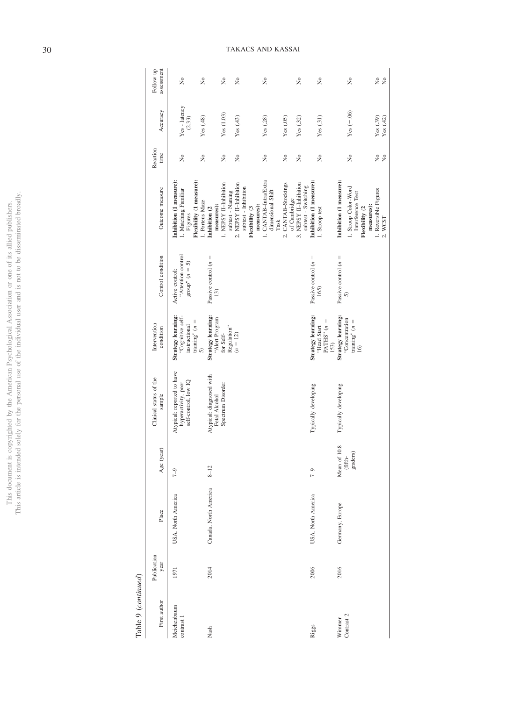|                          | ٠                    |
|--------------------------|----------------------|
|                          |                      |
|                          |                      |
| j<br>í                   | ¢<br>j               |
| ò                        |                      |
| ċ                        |                      |
| c,<br>ı                  |                      |
| ì                        |                      |
|                          | í                    |
|                          |                      |
|                          | j                    |
|                          |                      |
|                          |                      |
|                          | i                    |
|                          |                      |
|                          | ;                    |
|                          |                      |
| ì                        |                      |
|                          |                      |
|                          |                      |
|                          |                      |
| me                       |                      |
|                          |                      |
|                          |                      |
|                          |                      |
|                          |                      |
|                          |                      |
|                          |                      |
| í                        |                      |
|                          |                      |
|                          |                      |
|                          | j                    |
|                          |                      |
|                          |                      |
|                          |                      |
|                          | ¢                    |
|                          |                      |
| j                        |                      |
| c<br>1                   | $\ddot{\phantom{0}}$ |
| J.<br>J<br>I             |                      |
|                          |                      |
| ì                        |                      |
|                          |                      |
|                          |                      |
| $\frac{1}{1}$            |                      |
|                          |                      |
| ţ,                       |                      |
|                          | ن<br>پ               |
| こうしゃ こうこう                |                      |
|                          |                      |
| ì                        |                      |
|                          |                      |
| í                        |                      |
|                          |                      |
|                          |                      |
|                          |                      |
| ć                        |                      |
| i<br>Je<br>$\frac{1}{2}$ |                      |
|                          |                      |
|                          | l                    |
|                          |                      |
|                          | ś                    |
| I<br>Í                   | í                    |
|                          |                      |
| l<br>ļ<br>ℷ              |                      |
| ł                        | J                    |
| i                        |                      |
| ï                        |                      |
| J                        |                      |
|                          |                      |
|                          |                      |
|                          |                      |
| Ì                        |                      |
| $\overline{\phantom{a}}$ | ă                    |
| Í                        |                      |
|                          |                      |
|                          |                      |
| ciime                    |                      |
|                          |                      |
|                          |                      |
| his d                    |                      |
|                          | $\frac{1}{2}$        |
|                          |                      |
|                          |                      |
| ä                        | Ç                    |
|                          |                      |
|                          | Ë<br>É               |

U,

Table 9 (continued) Table 9 (*continued*)

| First author              | Publication<br>year | Place                 | Age (year)                          | Clinical status of the<br>sample                                          | Intervention<br>condition                                                         | Control condition                                                | Outcome measure                                                                                      | Reaction<br>time                   | Accuracy                | assessment<br>Follow-up      |
|---------------------------|---------------------|-----------------------|-------------------------------------|---------------------------------------------------------------------------|-----------------------------------------------------------------------------------|------------------------------------------------------------------|------------------------------------------------------------------------------------------------------|------------------------------------|-------------------------|------------------------------|
| Meichenbaum<br>contrast 1 | 1971                | USA, North America    | $7 - 9$                             | Atypical: reported to have<br>self-control, low IQ<br>hyperactivity, poor | Strategy learning:<br>"Cognitive self-<br>training" $(n =$<br>instructional<br>5) | "Attention control<br>$\text{group}^n(n = 5)$<br>Active control: | Flexibility (1 measure):<br>Inhibition (1 measure):<br>1. Matching Familiar<br>Figures               | $\frac{1}{2}$                      | Yes - latency<br>(2.33) | $\frac{1}{2}$                |
| Nash                      | 2014                | Canada, North America | $8 - 12$                            | Atypical: diagnosed with<br>Spectrum Disorder<br>Fetal Alcohol            | Strategy learning:<br>"Alert Program<br>Regulation"<br>for Self-                  | Passive control $(n =$<br>13)                                    | 1. NEPSY II-Inhibition<br>subtest - Naming<br>I. Porteus Maze<br>measures):<br>Inhibition (2         | $\frac{1}{2}$<br>$\frac{1}{2}$     | Yes (1.03)<br>Yes (.48) | $\frac{1}{2}$<br>$\tilde{z}$ |
|                           |                     |                       |                                     |                                                                           | $(n = 12)$                                                                        |                                                                  | 2. NEPSY II-Inhibition<br>subtest - Inhibition<br>measures):<br>Flexibility (3                       | $\rm \stackrel{\circ}{\mathbf{Z}}$ | Yes(43)                 | $\tilde{z}$                  |
|                           |                     |                       |                                     |                                                                           |                                                                                   |                                                                  | 1. CANTAB-Intra/Extra<br>dimensional Shift<br>Task                                                   | $\frac{1}{2}$                      | Yes (.28)               | $\tilde{z}$                  |
|                           |                     |                       |                                     |                                                                           |                                                                                   |                                                                  | 2. CANTAB-Stockings<br>of Cambridge                                                                  | $\frac{1}{2}$                      | Yes (.05)               |                              |
|                           |                     |                       |                                     |                                                                           |                                                                                   |                                                                  | 3. NEPSY II-Inhibition<br>subtest - Switching                                                        | $\tilde{R}$                        | Yes $(.32)$             | $\tilde{z}$                  |
| Riggs                     | 2006                | USA, North America    | $7 - 9$                             | Typically developing                                                      | Strategy learning:<br>PATHS" $(n =$<br>'Head Start<br>153)                        | Passive control $(n =$<br>165)                                   | Inhibition (1 measure):<br>1. Stroop test                                                            | $\frac{1}{2}$                      | Yes(.31)                | $\frac{1}{2}$                |
| Contrast 2<br>Winnner     | 2016                | Germany, Europe       | Mean of 10.8<br>graders)<br>(fifth- | Typically developing                                                      | Strategy learning:<br>"Concentration<br>training" $(n =$<br>16)                   | Passive control $(n =$<br>$\delta$                               | Inhibition (1 measure):<br>1. Stroop Color-Word<br>Interference Test<br>measures):<br>Flexibility (2 | $\tilde{z}$                        | Yes $(-.06)$            | $\tilde{z}$                  |
|                           |                     |                       |                                     |                                                                           |                                                                                   |                                                                  | 1. Reversible Figures<br>2. WCST                                                                     | 2 g                                | Yes(.39)<br>Yes (.42)   | 22                           |

# 30 TAKACS AND KASSAI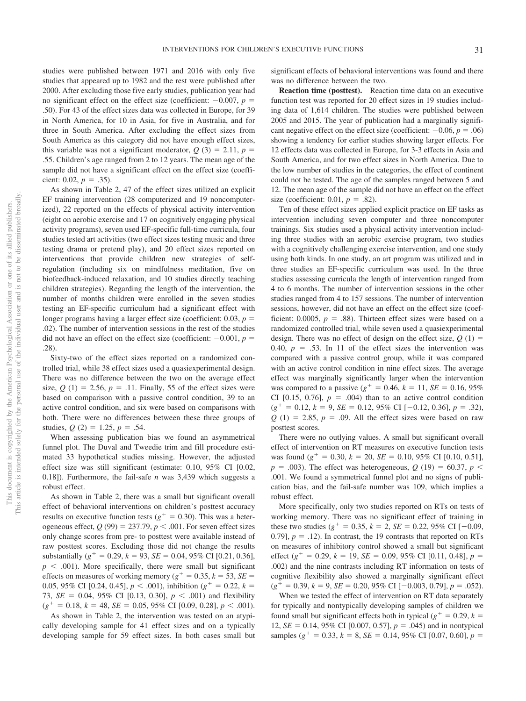studies were published between 1971 and 2016 with only five studies that appeared up to 1982 and the rest were published after 2000. After excluding those five early studies, publication year had no significant effect on the effect size (coefficient:  $-0.007$ ,  $p =$ .50). For 43 of the effect sizes data was collected in Europe, for 39 in North America, for 10 in Asia, for five in Australia, and for three in South America. After excluding the effect sizes from South America as this category did not have enough effect sizes, this variable was not a significant moderator,  $Q(3) = 2.11$ ,  $p =$ .55. Children's age ranged from 2 to 12 years. The mean age of the sample did not have a significant effect on the effect size (coefficient:  $0.02, p = .35$ ).

As shown in [Table 2,](#page-15-0) 47 of the effect sizes utilized an explicit EF training intervention (28 computerized and 19 noncomputerized), 22 reported on the effects of physical activity intervention (eight on aerobic exercise and 17 on cognitively engaging physical activity programs), seven used EF-specific full-time curricula, four studies tested art activities (two effect sizes testing music and three testing drama or pretend play), and 20 effect sizes reported on interventions that provide children new strategies of selfregulation (including six on mindfulness meditation, five on biofeedback-induced relaxation, and 10 studies directly teaching children strategies). Regarding the length of the intervention, the number of months children were enrolled in the seven studies testing an EF-specific curriculum had a significant effect with longer programs having a larger effect size (coefficient:  $0.03$ ,  $p =$ .02). The number of intervention sessions in the rest of the studies did not have an effect on the effect size (coefficient:  $-0.001$ ,  $p =$ .28).

Sixty-two of the effect sizes reported on a randomized controlled trial, while 38 effect sizes used a quasiexperimental design. There was no difference between the two on the average effect size,  $Q(1) = 2.56$ ,  $p = .11$ . Finally, 55 of the effect sizes were based on comparison with a passive control condition, 39 to an active control condition, and six were based on comparisons with both. There were no differences between these three groups of studies,  $Q(2) = 1.25$ ,  $p = .54$ .

When assessing publication bias we found an asymmetrical funnel plot. The Duval and Tweedie trim and fill procedure estimated 33 hypothetical studies missing. However, the adjusted effect size was still significant (estimate: 0.10, 95% CI [0.02, 0.18]). Furthermore, the fail-safe *n* was 3,439 which suggests a robust effect.

As shown in [Table 2,](#page-15-0) there was a small but significant overall effect of behavioral interventions on children's posttest accuracy results on executive function tests ( $g^+ = 0.30$ ). This was a heterogeneous effect,  $Q(99) = 237.79$ ,  $p < .001$ . For seven effect sizes only change scores from pre- to posttest were available instead of raw posttest scores. Excluding those did not change the results substantially ( $g^+ = 0.29$ ,  $k = 93$ ,  $SE = 0.04$ , 95% CI [0.21, 0.36],  $p < .001$ ). More specifically, there were small but significant effects on measures of working memory ( $g^+ = 0.35$ ,  $k = 53$ ,  $SE =$ 0.05, 95% CI [0.24, 0.45],  $p < .001$ ), inhibition ( $g^+ = 0.22$ ,  $k =$ 73,  $SE = 0.04$ , 95% CI [0.13, 0.30],  $p < .001$  and flexibility  $(g^{+} = 0.18, k = 48, SE = 0.05, 95\% \text{ CI} [0.09, 0.28], p < .001).$ 

As shown in [Table 2,](#page-15-0) the intervention was tested on an atypically developing sample for 41 effect sizes and on a typically developing sample for 59 effect sizes. In both cases small but

significant effects of behavioral interventions was found and there was no difference between the two.

**Reaction time (posttest).** Reaction time data on an executive function test was reported for 20 effect sizes in 19 studies including data of 1,614 children. The studies were published between 2005 and 2015. The year of publication had a marginally significant negative effect on the effect size (coefficient:  $-0.06$ ,  $p = .06$ ) showing a tendency for earlier studies showing larger effects. For 12 effects data was collected in Europe, for 3-3 effects in Asia and South America, and for two effect sizes in North America. Due to the low number of studies in the categories, the effect of continent could not be tested. The age of the samples ranged between 5 and 12. The mean age of the sample did not have an effect on the effect size (coefficient:  $0.01, p = .82$ ).

Ten of these effect sizes applied explicit practice on EF tasks as intervention including seven computer and three noncomputer trainings. Six studies used a physical activity intervention including three studies with an aerobic exercise program, two studies with a cognitively challenging exercise intervention, and one study using both kinds. In one study, an art program was utilized and in three studies an EF-specific curriculum was used. In the three studies assessing curricula the length of intervention ranged from 4 to 6 months. The number of intervention sessions in the other studies ranged from 4 to 157 sessions. The number of intervention sessions, however, did not have an effect on the effect size (coefficient:  $0.0005$ ,  $p = .88$ ). Thirteen effect sizes were based on a randomized controlled trial, while seven used a quasiexperimental design. There was no effect of design on the effect size,  $Q(1)$  = 0.40,  $p = .53$ . In 11 of the effect sizes the intervention was compared with a passive control group, while it was compared with an active control condition in nine effect sizes. The average effect was marginally significantly larger when the intervention was compared to a passive ( $g^+ = 0.46$ ,  $k = 11$ ,  $SE = 0.16$ ,  $95\%$ CI [0.15, 0.76],  $p = .004$ ) than to an active control condition  $(g^{+} = 0.12, k = 9, SE = 0.12, 95\% \text{ CI} [-0.12, 0.36], p = .32),$  $Q(1) = 2.85$ ,  $p = .09$ . All the effect sizes were based on raw posttest scores.

There were no outlying values. A small but significant overall effect of intervention on RT measures on executive function tests was found ( $g^+ = 0.30$ ,  $k = 20$ ,  $SE = 0.10$ ,  $95\%$  CI [0.10, 0.51],  $p = .003$ ). The effect was heterogeneous,  $Q(19) = 60.37$ ,  $p <$ .001. We found a symmetrical funnel plot and no signs of publication bias, and the fail-safe number was 109, which implies a robust effect.

More specifically, only two studies reported on RTs on tests of working memory. There was no significant effect of training in these two studies ( $g^+ = 0.35$ ,  $k = 2$ ,  $SE = 0.22$ , 95% CI [-0.09,  $(0.79)$ ,  $p = .12$ ). In contrast, the 19 contrasts that reported on RTs on measures of inhibitory control showed a small but significant effect ( $g^+ = 0.29$ ,  $k = 19$ ,  $SE = 0.09$ ,  $95\%$  CI [0.11, 0.48],  $p =$ .002) and the nine contrasts including RT information on tests of cognitive flexibility also showed a marginally significant effect  $(g^+ = 0.39, k = 9, SE = 0.20, 95\% \text{ CI} [-0.003, 0.79], p = .052).$ 

When we tested the effect of intervention on RT data separately for typically and nontypically developing samples of children we found small but significant effects both in typical ( $g^+ = 0.29$ ,  $k =$ 12,  $SE = 0.14$ , 95% CI [0.007, 0.57],  $p = .045$ ) and in nontypical samples ( $g^+ = 0.33$ ,  $k = 8$ ,  $SE = 0.14$ , 95% CI [0.07, 0.60],  $p =$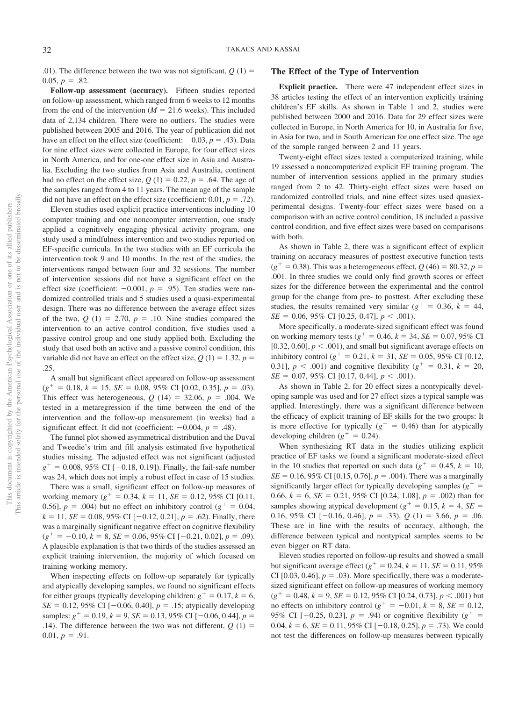.01). The difference between the two was not significant,  $Q(1)$  =  $0.05, p = .82.$ 

**Follow-up assessment (accuracy).** Fifteen studies reported on follow-up assessment, which ranged from 6 weeks to 12 months from the end of the intervention  $(M = 21.6$  weeks). This included data of 2,134 children. There were no outliers. The studies were published between 2005 and 2016. The year of publication did not have an effect on the effect size (coefficient:  $-0.03$ ,  $p = .43$ ). Data for nine effect sizes were collected in Europe, for four effect sizes in North America, and for one-one effect size in Asia and Australia. Excluding the two studies from Asia and Australia, continent had no effect on the effect size,  $Q(1) = 0.22$ ,  $p = .64$ . The age of the samples ranged from 4 to 11 years. The mean age of the sample did not have an effect on the effect size (coefficient:  $0.01, p = .72$ ).

Eleven studies used explicit practice interventions including 10 computer training and one noncomputer intervention, one study applied a cognitively engaging physical activity program, one study used a mindfulness intervention and two studies reported on EF-specific curricula. In the two studies with an EF curricula the intervention took 9 and 10 months. In the rest of the studies, the interventions ranged between four and 32 sessions. The number of intervention sessions did not have a significant effect on the effect size (coefficient:  $-0.001$ ,  $p = .95$ ). Ten studies were randomized controlled trials and 5 studies used a quasi-experimental design. There was no difference between the average effect sizes of the two,  $Q(1) = 2.70$ ,  $p = .10$ . Nine studies compared the intervention to an active control condition, five studies used a passive control group and one study applied both. Excluding the study that used both an active and a passive control condition, this variable did not have an effect on the effect size,  $Q(1) = 1.32$ ,  $p =$ .25.

A small but significant effect appeared on follow-up assessment  $(g^{+} = 0.18, k = 15, SE = 0.08, 95\% \text{ CI} [0.02, 0.35], p = .03).$ This effect was heterogeneous,  $Q(14) = 32.06$ ,  $p = .004$ . We tested in a metaregression if the time between the end of the intervention and the follow-up measurement (in weeks) had a significant effect. It did not (coefficient:  $-0.004$ ,  $p = .48$ ).

The funnel plot showed asymmetrical distribution and the Duval and Tweedie's trim and fill analysis estimated five hypothetical studies missing. The adjusted effect was not significant (adjusted  $g^+ = 0.008, 95\% \text{ CI} [-0.18, 0.19]$ . Finally, the fail-safe number was 24, which does not imply a robust effect in case of 15 studies.

There was a small, significant effect on follow-up measures of working memory ( $g^+ = 0.34$ ,  $k = 11$ ,  $SE = 0.12$ ,  $95\%$  CI [0.11, 0.56],  $p = .004$ ) but no effect on inhibitory control ( $g^+ = 0.04$ ,  $k = 11$ ,  $SE = 0.08$ ,  $95\%$  CI [-0.12, 0.21],  $p = .62$ ). Finally, there was a marginally significant negative effect on cognitive flexibility  $(g^{+} = -0.10, k = 8, SE = 0.06, 95\% \text{ CI} [-0.21, 0.02], p = .09).$ A plausible explanation is that two thirds of the studies assessed an explicit training intervention, the majority of which focused on training working memory.

When inspecting effects on follow-up separately for typically and atypically developing samples, we found no significant effects for either groups (typically developing children:  $g^+ = 0.17$ ,  $k = 6$ ,  $SE = 0.12, 95\% \text{ CI} [-0.06, 0.40], p = .15;$  atypically developing samples:  $g^+ = 0.19$ ,  $k = 9$ ,  $SE = 0.13$ ,  $95\%$  CI [-0.06, 0.44],  $p =$ .14). The difference between the two was not different,  $Q(1)$  =  $0.01, p = .91.$ 

## **The Effect of the Type of Intervention**

**Explicit practice.** There were 47 independent effect sizes in 38 articles testing the effect of an intervention explicitly training children's EF skills. As shown in Table 1 and [2,](#page-15-0) studies were published between 2000 and 2016. Data for 29 effect sizes were collected in Europe, in North America for 10, in Australia for five, in Asia for two, and in South American for one effect size. The age of the sample ranged between 2 and 11 years.

Twenty-eight effect sizes tested a computerized training, while 19 assessed a noncomputerized explicit EF training program. The number of intervention sessions applied in the primary studies ranged from 2 to 42. Thirty-eight effect sizes were based on randomized controlled trials, and nine effect sizes used quasiexperimental designs. Twenty-four effect sizes were based on a comparison with an active control condition, 18 included a passive control condition, and five effect sizes were based on comparisons with both.

As shown in [Table 2,](#page-15-0) there was a significant effect of explicit training on accuracy measures of posttest executive function tests  $(g^+ = 0.38)$ . This was a heterogeneous effect,  $Q(46) = 80.32$ ,  $p =$ .001. In three studies we could only find growth scores or effect sizes for the difference between the experimental and the control group for the change from pre- to posttest. After excluding these studies, the results remained very similar ( $g^+ = 0.36$ ,  $k = 44$ ,  $SE = 0.06, 95\% \text{ CI} [0.25, 0.47], p < .001$ .

More specifically, a moderate-sized significant effect was found on working memory tests ( $g^+ = 0.46$ ,  $k = 34$ ,  $SE = 0.07$ , 95% CI [0.32, 0.60],  $p < .001$ ), and small but significant average effects on inhibitory control ( $g^+ = 0.21$ ,  $k = 31$ ,  $SE = 0.05$ , 95% CI [0.12, 0.31],  $p < .001$  and cognitive flexibility ( $g^+ = 0.31$ ,  $k = 20$ ,  $SE = 0.07, 95\% \text{ CI} [0.17, 0.44], p < .001$ .

As shown in [Table 2,](#page-15-0) for 20 effect sizes a nontypically developing sample was used and for 27 effect sizes a typical sample was applied. Interestingly, there was a significant difference between the efficacy of explicit training of EF skills for the two groups: It is more effective for typically  $(g^+ = 0.46)$  than for atypically developing children  $(g^+ = 0.24)$ .

When synthesizing RT data in the studies utilizing explicit practice of EF tasks we found a significant moderate-sized effect in the 10 studies that reported on such data ( $g^+ = 0.45$ ,  $k = 10$ ,  $SE = 0.16, 95\% \text{ CI} [0.15, 0.76], p = .004$ ). There was a marginally significantly larger effect for typically developing samples ( $g^+$  = 0.66,  $k = 6$ ,  $SE = 0.21$ , 95% CI [0.24, 1.08],  $p = .002$ ) than for samples showing atypical development ( $g^+ = 0.15$ ,  $k = 4$ ,  $SE =$ 0.16, 95% CI  $[-0.16, 0.46]$ ,  $p = .33$ ),  $Q(1) = 3.66$ ,  $p = .06$ . These are in line with the results of accuracy, although, the difference between typical and nontypical samples seems to be even bigger on RT data.

Eleven studies reported on follow-up results and showed a small but significant average effect  $(g^+ = 0.24, k = 11, SE = 0.11, 95\%$ CI [0.03, 0.46],  $p = .03$ ). More specifically, there was a moderatesized significant effect on follow-up measures of working memory  $(g^{+} = 0.48, k = 9, SE = 0.12, 95\% \text{ CI} [0.24, 0.73], p < .001)$  but no effects on inhibitory control ( $g^+ = -0.01$ ,  $k = 8$ ,  $SE = 0.12$ , 95% CI  $[-0.25, 0.23]$ ,  $p = .94$ ) or cognitive flexibility ( $g^+$  =  $0.04, k = 6, SE = 0.11, 95\% \text{ CI} [-0.18, 0.25], p = .73)$ . We could not test the differences on follow-up measures between typically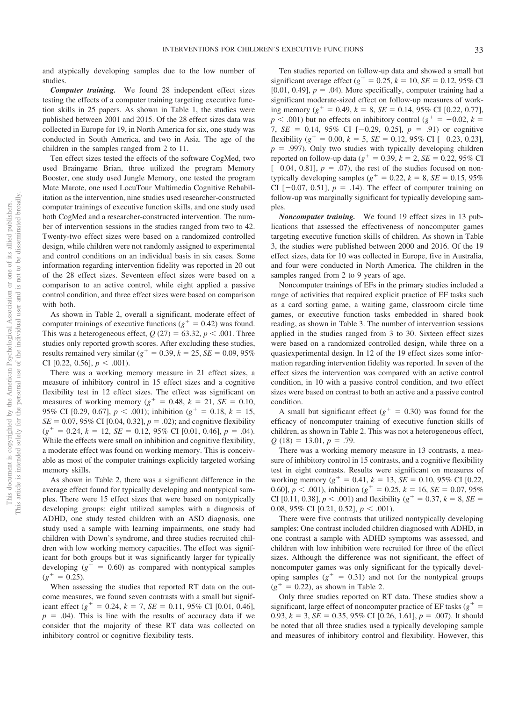and atypically developing samples due to the low number of studies.

*Computer training.* We found 28 independent effect sizes testing the effects of a computer training targeting executive function skills in 25 papers. As shown in Table 1, the studies were published between 2001 and 2015. Of the 28 effect sizes data was collected in Europe for 19, in North America for six, one study was conducted in South America, and two in Asia. The age of the children in the samples ranged from 2 to 11.

Ten effect sizes tested the effects of the software CogMed, two used Braingame Brian, three utilized the program Memory Booster, one study used Jungle Memory, one tested the program Mate Marote, one used LocuTour Multimedia Cognitive Rehabilitation as the intervention, nine studies used researcher-constructed computer trainings of executive function skills, and one study used both CogMed and a researcher-constructed intervention. The number of intervention sessions in the studies ranged from two to 42. Twenty-two effect sizes were based on a randomized controlled design, while children were not randomly assigned to experimental and control conditions on an individual basis in six cases. Some information regarding intervention fidelity was reported in 20 out of the 28 effect sizes. Seventeen effect sizes were based on a comparison to an active control, while eight applied a passive control condition, and three effect sizes were based on comparison with both.

As shown in [Table 2,](#page-15-0) overall a significant, moderate effect of computer trainings of executive functions ( $g^+ = 0.42$ ) was found. This was a heterogeneous effect,  $Q(27) = 63.32, p < .001$ . Three studies only reported growth scores. After excluding these studies, results remained very similar ( $g^+ = 0.39$ ,  $k = 25$ ,  $SE = 0.09$ , 95% CI [0.22, 0.56],  $p < .001$ ).

There was a working memory measure in 21 effect sizes, a measure of inhibitory control in 15 effect sizes and a cognitive flexibility test in 12 effect sizes. The effect was significant on measures of working memory ( $g^+ = 0.48$ ,  $k = 21$ ,  $SE = 0.10$ , 95% CI [0.29, 0.67],  $p < .001$ ); inhibition ( $g^+ = 0.18$ ,  $k = 15$ ,  $SE = 0.07, 95\% \text{ CI} [0.04, 0.32], p = .02$ ; and cognitive flexibility  $(g^{+} = 0.24, k = 12, SE = 0.12, 95\% \text{ CI} [0.01, 0.46], p = .04).$ While the effects were small on inhibition and cognitive flexibility, a moderate effect was found on working memory. This is conceivable as most of the computer trainings explicitly targeted working memory skills.

As shown in [Table 2,](#page-15-0) there was a significant difference in the average effect found for typically developing and nontypical samples. There were 15 effect sizes that were based on nontypically developing groups: eight utilized samples with a diagnosis of ADHD, one study tested children with an ASD diagnosis, one study used a sample with learning impairments, one study had children with Down's syndrome, and three studies recruited children with low working memory capacities. The effect was significant for both groups but it was significantly larger for typically developing  $(g^+ = 0.60)$  as compared with nontypical samples  $(g^+ = 0.25)$ .

When assessing the studies that reported RT data on the outcome measures, we found seven contrasts with a small but significant effect  $(g^+ = 0.24, k = 7, SE = 0.11, 95\% \text{ CI } [0.01, 0.46],$  $p = .04$ ). This is line with the results of accuracy data if we consider that the majority of these RT data was collected on inhibitory control or cognitive flexibility tests.

Ten studies reported on follow-up data and showed a small but significant average effect ( $g^+ = 0.25$ ,  $k = 10$ ,  $SE = 0.12$ , 95% CI [0.01, 0.49],  $p = .04$ ). More specifically, computer training had a significant moderate-sized effect on follow-up measures of working memory ( $g^+ = 0.49$ ,  $k = 8$ ,  $SE = 0.14$ , 95% CI [0.22, 0.77],  $p < .001$ ) but no effects on inhibitory control ( $g<sup>+</sup> = -0.02$ ,  $k =$ 7,  $SE = 0.14$ ,  $95\%$  CI  $[-0.29, 0.25]$ ,  $p = .91$  or cognitive flexibility ( $g^+ = 0.00$ ,  $k = 5$ ,  $SE = 0.12$ , 95% CI [-0.23, 0.23],  $p = .997$ ). Only two studies with typically developing children reported on follow-up data ( $g^+ = 0.39$ ,  $k = 2$ ,  $SE = 0.22$ , 95% CI  $[-0.04, 0.81]$ ,  $p = .07$ ), the rest of the studies focused on nontypically developing samples ( $g^+ = 0.22$ ,  $k = 8$ ,  $SE = 0.15$ , 95% CI  $[-0.07, 0.51]$ ,  $p = .14$ ). The effect of computer training on follow-up was marginally significant for typically developing samples.

*Noncomputer training.* We found 19 effect sizes in 13 publications that assessed the effectiveness of noncomputer games targeting executive function skills of children. As shown in Table 3, the studies were published between 2000 and 2016. Of the 19 effect sizes, data for 10 was collected in Europe, five in Australia, and four were conducted in North America. The children in the samples ranged from 2 to 9 years of age.

Noncomputer trainings of EFs in the primary studies included a range of activities that required explicit practice of EF tasks such as a card sorting game, a waiting game, classroom circle time games, or executive function tasks embedded in shared book reading, as shown in Table 3. The number of intervention sessions applied in the studies ranged from 3 to 30. Sixteen effect sizes were based on a randomized controlled design, while three on a quasiexperimental design. In 12 of the 19 effect sizes some information regarding intervention fidelity was reported. In seven of the effect sizes the intervention was compared with an active control condition, in 10 with a passive control condition, and two effect sizes were based on contrast to both an active and a passive control condition.

A small but significant effect  $(g^+ = 0.30)$  was found for the efficacy of noncomputer training of executive function skills of children, as shown in [Table 2.](#page-15-0) This was not a heterogeneous effect,  $Q(18) = 13.01, p = .79.$ 

There was a working memory measure in 13 contrasts, a measure of inhibitory control in 15 contrasts, and a cognitive flexibility test in eight contrasts. Results were significant on measures of working memory ( $g^+ = 0.41$ ,  $k = 13$ ,  $SE = 0.10$ , 95% CI [0.22, 0.60],  $p < .001$ ), inhibition ( $g^+ = 0.25$ ,  $k = 16$ ,  $SE = 0.07$ , 95% CI [0.11, 0.38],  $p < .001$ ) and flexibility ( $g^+ = 0.37$ ,  $k = 8$ , *SE* = 0.08, 95% CI  $[0.21, 0.52]$ ,  $p < .001$ ).

There were five contrasts that utilized nontypically developing samples: One contrast included children diagnosed with ADHD, in one contrast a sample with ADHD symptoms was assessed, and children with low inhibition were recruited for three of the effect sizes. Although the difference was not significant, the effect of noncomputer games was only significant for the typically developing samples  $(g^+ = 0.31)$  and not for the nontypical groups  $(g^{+} = 0.22)$ , as shown in [Table 2.](#page-15-0)

Only three studies reported on RT data. These studies show a significant, large effect of noncomputer practice of EF tasks ( $g^+$  = 0.93,  $k = 3$ ,  $SE = 0.35$ , 95% CI [0.26, 1.61],  $p = .007$ ). It should be noted that all three studies used a typically developing sample and measures of inhibitory control and flexibility. However, this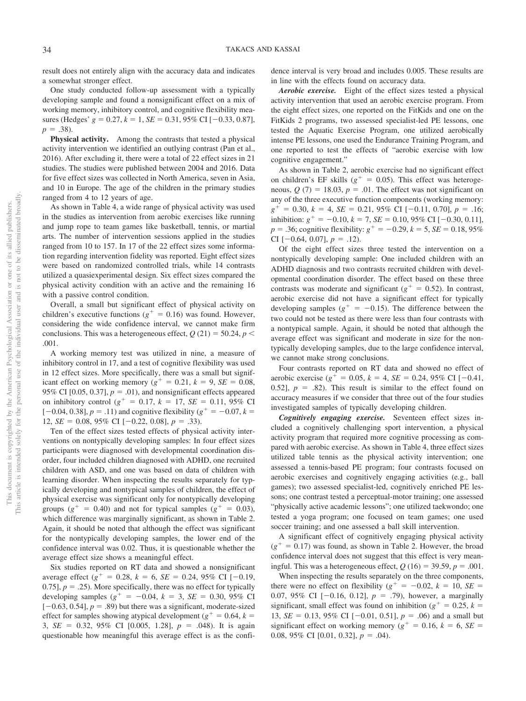result does not entirely align with the accuracy data and indicates a somewhat stronger effect.

One study conducted follow-up assessment with a typically developing sample and found a nonsignificant effect on a mix of working memory, inhibitory control, and cognitive flexibility measures (Hedges'  $g = 0.27$ ,  $k = 1$ ,  $SE = 0.31$ ,  $95\%$  CI [-0.33, 0.87],  $p = .38$ ).

**Physical activity.** Among the contrasts that tested a physical activity intervention we identified an outlying contrast (Pan et al., 2016). After excluding it, there were a total of 22 effect sizes in 21 studies. The studies were published between 2004 and 2016. Data for five effect sizes was collected in North America, seven in Asia, and 10 in Europe. The age of the children in the primary studies ranged from 4 to 12 years of age.

As shown in Table 4, a wide range of physical activity was used in the studies as intervention from aerobic exercises like running and jump rope to team games like basketball, tennis, or martial arts. The number of intervention sessions applied in the studies ranged from 10 to 157. In 17 of the 22 effect sizes some information regarding intervention fidelity was reported. Eight effect sizes were based on randomized controlled trials, while 14 contrasts utilized a quasiexperimental design. Six effect sizes compared the physical activity condition with an active and the remaining 16 with a passive control condition.

Overall, a small but significant effect of physical activity on children's executive functions ( $g^+ = 0.16$ ) was found. However, considering the wide confidence interval, we cannot make firm conclusions. This was a heterogeneous effect,  $Q(21) = 50.24$ ,  $p <$ .001.

A working memory test was utilized in nine, a measure of inhibitory control in 17, and a test of cognitive flexibility was used in 12 effect sizes. More specifically, there was a small but significant effect on working memory ( $g^+ = 0.21$ ,  $k = 9$ ,  $SE = 0.08$ , 95% CI [0.05, 0.37],  $p = .01$ ), and nonsignificant effects appeared on inhibitory control ( $g^+ = 0.17$ ,  $k = 17$ ,  $SE = 0.11$ , 95% CI  $[-0.04, 0.38], p = .11)$  and cognitive flexibility ( $g^+ = -0.07, k =$ 12,  $SE = 0.08$ , 95% CI [-0.22, 0.08],  $p = .33$ ).

Ten of the effect sizes tested effects of physical activity interventions on nontypically developing samples: In four effect sizes participants were diagnosed with developmental coordination disorder, four included children diagnosed with ADHD, one recruited children with ASD, and one was based on data of children with learning disorder. When inspecting the results separately for typically developing and nontypical samples of children, the effect of physical exercise was significant only for nontypically developing groups ( $g^+ = 0.40$ ) and not for typical samples ( $g^+ = 0.03$ ), which difference was marginally significant, as shown in [Table 2.](#page-15-0) Again, it should be noted that although the effect was significant for the nontypically developing samples, the lower end of the confidence interval was 0.02. Thus, it is questionable whether the average effect size shows a meaningful effect.

Six studies reported on RT data and showed a nonsignificant average effect  $(g^+ = 0.28, k = 6, SE = 0.24, 95\% \text{ CI } [-0.19,$ 0.75],  $p = 0.25$ . More specifically, there was no effect for typically developing samples ( $g^+ = -0.04$ ,  $k = 3$ ,  $SE = 0.30$ ,  $95\%$  CI  $[-0.63, 0.54]$ ,  $p = .89$ ) but there was a significant, moderate-sized effect for samples showing atypical development ( $g^+ = 0.64$ ,  $k =$ 3, *SE* = 0.32, 95% CI [0.005, 1.28], *p* = .048). It is again questionable how meaningful this average effect is as the confidence interval is very broad and includes 0.005. These results are in line with the effects found on accuracy data.

*Aerobic exercise.* Eight of the effect sizes tested a physical activity intervention that used an aerobic exercise program. From the eight effect sizes, one reported on the FitKids and one on the FitKids 2 programs, two assessed specialist-led PE lessons, one tested the Aquatic Exercise Program, one utilized aerobically intense PE lessons, one used the Endurance Training Program, and one reported to test the effects of "aerobic exercise with low cognitive engagement."

As shown in [Table 2,](#page-15-0) aerobic exercise had no significant effect on children's EF skills ( $g^+ = 0.05$ ). This effect was heterogeneous,  $Q(7) = 18.03$ ,  $p = .01$ . The effect was not significant on any of the three executive function components (working memory:  $g^+ = 0.30, k = 4, SE = 0.21, 95\% \text{ CI} [-0.11, 0.70], p = .16;$ inhibition:  $g^+ = -0.10$ ,  $k = 7$ ,  $SE = 0.10$ ,  $95\%$  CI [-0.30, 0.11],  $p = 0.36$ ; cognitive flexibility:  $g^+ = -0.29$ ,  $k = 5$ ,  $SE = 0.18$ , 95% CI  $[-0.64, 0.07], p = .12$ .

Of the eight effect sizes three tested the intervention on a nontypically developing sample: One included children with an ADHD diagnosis and two contrasts recruited children with developmental coordination disorder. The effect based on these three contrasts was moderate and significant ( $g^+ = 0.52$ ). In contrast, aerobic exercise did not have a significant effect for typically developing samples ( $g^+ = -0.15$ ). The difference between the two could not be tested as there were less than four contrasts with a nontypical sample. Again, it should be noted that although the average effect was significant and moderate in size for the nontypically developing samples, due to the large confidence interval, we cannot make strong conclusions.

Four contrasts reported on RT data and showed no effect of aerobic exercise ( $g^+ = 0.05$ ,  $k = 4$ ,  $SE = 0.24$ , 95% CI [-0.41, 0.52],  $p = .82$ ). This result is similar to the effect found on accuracy measures if we consider that three out of the four studies investigated samples of typically developing children.

*Cognitively engaging exercise.* Seventeen effect sizes included a cognitively challenging sport intervention, a physical activity program that required more cognitive processing as compared with aerobic exercise. As shown in Table 4, three effect sizes utilized table tennis as the physical activity intervention; one assessed a tennis-based PE program; four contrasts focused on aerobic exercises and cognitively engaging activities (e.g., ball games); two assessed specialist-led, cognitively enriched PE lessons; one contrast tested a perceptual-motor training; one assessed "physically active academic lessons"; one utilized taekwondo; one tested a yoga program; one focused on team games; one used soccer training; and one assessed a ball skill intervention.

A significant effect of cognitively engaging physical activity  $(g<sup>+</sup> = 0.17)$  was found, as shown in [Table 2.](#page-15-0) However, the broad confidence interval does not suggest that this effect is very meaningful. This was a heterogeneous effect,  $Q(16) = 39.59, p = .001$ .

When inspecting the results separately on the three components, there were no effect on flexibility ( $g^+ = -0.02$ ,  $k = 10$ ,  $SE =$ 0.07, 95% CI  $[-0.16, 0.12]$ ,  $p = .79$ ), however, a marginally significant, small effect was found on inhibition ( $g^+ = 0.25$ ,  $k =$ 13,  $SE = 0.13$ , 95% CI [-0.01, 0.51],  $p = .06$ ) and a small but significant effect on working memory ( $g^+ = 0.16$ ,  $k = 6$ ,  $SE =$ 0.08, 95% CI [0.01, 0.32],  $p = .04$ ).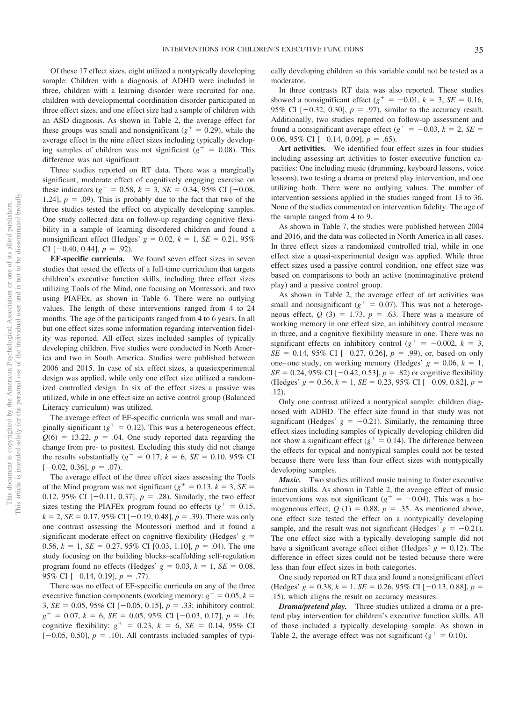Of these 17 effect sizes, eight utilized a nontypically developing sample: Children with a diagnosis of ADHD were included in three, children with a learning disorder were recruited for one, children with developmental coordination disorder participated in three effect sizes, and one effect size had a sample of children with an ASD diagnosis. As shown in [Table 2,](#page-15-0) the average effect for these groups was small and nonsignificant  $(g^+ = 0.29)$ , while the average effect in the nine effect sizes including typically developing samples of children was not significant ( $g^+ = 0.08$ ). This difference was not significant.

Three studies reported on RT data. There was a marginally significant, moderate effect of cognitively engaging exercise on these indicators ( $g^+ = 0.58$ ,  $k = 3$ ,  $SE = 0.34$ , 95% CI [-0.08, 1.24],  $p = .09$ ). This is probably due to the fact that two of the three studies tested the effect on atypically developing samples. One study collected data on follow-up regarding cognitive flexibility in a sample of learning disordered children and found a nonsignificant effect (Hedges'  $g = 0.02$ ,  $k = 1$ ,  $SE = 0.21$ ,  $95\%$ CI  $[-0.40, 0.44], p = .92$ .

**EF-specific curricula.** We found seven effect sizes in seven studies that tested the effects of a full-time curriculum that targets children's executive function skills, including three effect sizes utilizing Tools of the Mind, one focusing on Montessori, and two using PIAFEx, as shown in Table 6. There were no outlying values. The length of these interventions ranged from 4 to 24 months. The age of the participants ranged from 4 to 6 years. In all but one effect sizes some information regarding intervention fidelity was reported. All effect sizes included samples of typically developing children. Five studies were conducted in North America and two in South America. Studies were published between 2006 and 2015. In case of six effect sizes, a quasiexperimental design was applied, while only one effect size utilized a randomized controlled design. In six of the effect sizes a passive was utilized, while in one effect size an active control group (Balanced Literacy curriculum) was utilized.

The average effect of EF-specific curricula was small and marginally significant ( $g^+ = 0.12$ ). This was a heterogeneous effect,  $Q(6) = 13.22$ ,  $p = .04$ . One study reported data regarding the change from pre- to posttest. Excluding this study did not change the results substantially ( $g^+ = 0.17$ ,  $k = 6$ ,  $SE = 0.10$ , 95% CI  $[-0.02, 0.36], p = .07$ .

The average effect of the three effect sizes assessing the Tools of the Mind program was not significant ( $g^+ = 0.13$ ,  $k = 3$ ,  $SE =$ 0.12, 95% CI  $[-0.11, 0.37]$ ,  $p = .28$ ). Similarly, the two effect sizes testing the PIAFEx program found no effects ( $g^+ = 0.15$ ,  $k = 2$ ,  $SE = 0.17$ , 95% CI [-0.19, 0.48],  $p = .39$ ). There was only one contrast assessing the Montessori method and it found a significant moderate effect on cognitive flexibility (Hedges'  $g =$ 0.56,  $k = 1$ ,  $SE = 0.27$ , 95% CI [0.03, 1.10],  $p = .04$ ). The one study focusing on the building blocks–scaffolding self-regulation program found no effects (Hedges'  $g = 0.03$ ,  $k = 1$ ,  $SE = 0.08$ , 95% CI  $[-0.14, 0.19]$ ,  $p = .77$ ).

There was no effect of EF-specific curricula on any of the three executive function components (working memory:  $g^+ = 0.05$ ,  $k =$ 3,  $SE = 0.05$ ,  $95\%$  CI  $[-0.05, 0.15]$ ,  $p = .33$ ; inhibitory control:  $g^+ = 0.07$ ,  $k = 6$ ,  $SE = 0.05$ , 95% CI [-0.03, 0.17],  $p = .16$ ; cognitive flexibility:  $g^+ = 0.23$ ,  $k = 6$ ,  $SE = 0.14$ , 95% CI  $[-0.05, 0.50], p = .10$ . All contrasts included samples of typically developing children so this variable could not be tested as a moderator.

In three contrasts RT data was also reported. These studies showed a nonsignificant effect  $(g^+ = -0.01, k = 3, SE = 0.16,$ 95% CI  $[-0.32, 0.30]$ ,  $p = .97$ ), similar to the accuracy result. Additionally, two studies reported on follow-up assessment and found a nonsignificant average effect ( $g^+ = -0.03$ ,  $k = 2$ ,  $SE =$ 0.06, 95% CI  $[-0.14, 0.09]$ ,  $p = .65$ ).

**Art activities.** We identified four effect sizes in four studies including assessing art activities to foster executive function capacities: One including music (drumming, keyboard lessons, voice lessons), two testing a drama or pretend play intervention, and one utilizing both. There were no outlying values. The number of intervention sessions applied in the studies ranged from 13 to 36. None of the studies commented on intervention fidelity. The age of the sample ranged from 4 to 9.

As shown in Table 7, the studies were published between 2004 and 2016, and the data was collected in North America in all cases. In three effect sizes a randomized controlled trial, while in one effect size a quasi-experimental design was applied. While three effect sizes used a passive control condition, one effect size was based on comparisons to both an active (nonimaginative pretend play) and a passive control group.

As shown in [Table 2,](#page-15-0) the average effect of art activities was small and nonsignificant ( $g^+ = 0.07$ ). This was not a heterogeneous effect,  $Q(3) = 1.73$ ,  $p = .63$ . There was a measure of working memory in one effect size, an inhibitory control measure in three, and a cognitive flexibility measure in one. There was no significant effects on inhibitory control ( $g^+ = -0.002$ ,  $k = 3$ ,  $SE = 0.14, 95\% \text{ CI} [-0.27, 0.26], p = .99$ , or, based on only one–one study, on working memory (Hedges'  $g = 0.06$ ,  $k = 1$ ,  $SE = 0.24, 95\% \text{ CI} [-0.42, 0.53], p = .82$  or cognitive flexibility  $(Hedges' g = 0.36, k = 1, SE = 0.23, 95\% \text{ CI } [-0.09, 0.82], p =$ .12).

Only one contrast utilized a nontypical sample: children diagnosed with ADHD. The effect size found in that study was not significant (Hedges'  $g = -0.21$ ). Similarly, the remaining three effect sizes including samples of typically developing children did not show a significant effect ( $g^+ = 0.14$ ). The difference between the effects for typical and nontypical samples could not be tested because there were less than four effect sizes with nontypically developing samples.

*Music.* Two studies utilized music training to foster executive function skills. As shown in [Table 2,](#page-15-0) the average effect of music interventions was not significant ( $g^+ = -0.04$ ). This was a homogeneous effect,  $Q(1) = 0.88$ ,  $p = .35$ . As mentioned above, one effect size tested the effect on a nontypically developing sample, and the result was not significant (Hedges'  $g = -0.21$ ). The one effect size with a typically developing sample did not have a significant average effect either (Hedges'  $g = 0.12$ ). The difference in effect sizes could not be tested because there were less than four effect sizes in both categories.

One study reported on RT data and found a nonsignificant effect  $(Hedges' g = 0.38, k = 1, SE = 0.26, 95\% \text{ CI } [-0.13, 0.88], p =$ .15), which aligns the result on accuracy measures.

*Drama/pretend play.* Three studies utilized a drama or a pretend play intervention for children's executive function skills. All of those included a typically developing sample. As shown in [Table 2,](#page-15-0) the average effect was not significant  $(g^+ = 0.10)$ .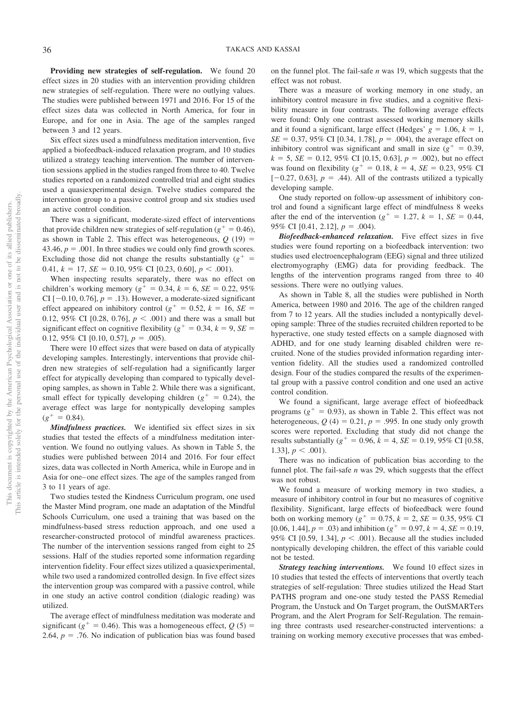**Providing new strategies of self-regulation.** We found 20 effect sizes in 20 studies with an intervention providing children new strategies of self-regulation. There were no outlying values. The studies were published between 1971 and 2016. For 15 of the effect sizes data was collected in North America, for four in Europe, and for one in Asia. The age of the samples ranged between 3 and 12 years.

Six effect sizes used a mindfulness meditation intervention, five applied a biofeedback-induced relaxation program, and 10 studies utilized a strategy teaching intervention. The number of intervention sessions applied in the studies ranged from three to 40. Twelve studies reported on a randomized controlled trial and eight studies used a quasiexperimental design. Twelve studies compared the intervention group to a passive control group and six studies used an active control condition.

There was a significant, moderate-sized effect of interventions that provide children new strategies of self-regulation ( $g^+ = 0.46$ ), as shown in [Table 2.](#page-15-0) This effect was heterogeneous,  $Q(19) =$ 43.46,  $p = .001$ . In three studies we could only find growth scores. Excluding those did not change the results substantially  $(g^+$  = 0.41,  $k = 17$ ,  $SE = 0.10$ ,  $95\%$  CI [0.23, 0.60],  $p < .001$ ).

When inspecting results separately, there was no effect on children's working memory ( $g^+ = 0.34$ ,  $k = 6$ ,  $SE = 0.22$ , 95% CI  $[-0.10, 0.76]$ ,  $p = .13$ ). However, a moderate-sized significant effect appeared on inhibitory control ( $g^+ = 0.52$ ,  $k = 16$ ,  $SE =$ 0.12, 95% CI [0.28, 0.76],  $p < .001$  and there was a small but significant effect on cognitive flexibility ( $g^+ = 0.34$ ,  $k = 9$ , *SE* = 0.12, 95% CI [0.10, 0.57],  $p = .005$ ).

There were 10 effect sizes that were based on data of atypically developing samples. Interestingly, interventions that provide children new strategies of self-regulation had a significantly larger effect for atypically developing than compared to typically developing samples, as shown in [Table 2.](#page-15-0) While there was a significant, small effect for typically developing children ( $g^+ = 0.24$ ), the average effect was large for nontypically developing samples  $(g^+ = 0.84)$ .

*Mindfulness practices.* We identified six effect sizes in six studies that tested the effects of a mindfulness meditation intervention. We found no outlying values. As shown in Table 5, the studies were published between 2014 and 2016. For four effect sizes, data was collected in North America, while in Europe and in Asia for one– one effect sizes. The age of the samples ranged from 3 to 11 years of age.

Two studies tested the Kindness Curriculum program, one used the Master Mind program, one made an adaptation of the Mindful Schools Curriculum, one used a training that was based on the mindfulness-based stress reduction approach, and one used a researcher-constructed protocol of mindful awareness practices. The number of the intervention sessions ranged from eight to 25 sessions. Half of the studies reported some information regarding intervention fidelity. Four effect sizes utilized a quasiexperimental, while two used a randomized controlled design. In five effect sizes the intervention group was compared with a passive control, while in one study an active control condition (dialogic reading) was utilized.

The average effect of mindfulness meditation was moderate and significant ( $g^+ = 0.46$ ). This was a homogeneous effect,  $Q(5) =$ 2.64,  $p = 0.76$ . No indication of publication bias was found based on the funnel plot. The fail-safe *n* was 19, which suggests that the effect was not robust.

There was a measure of working memory in one study, an inhibitory control measure in five studies, and a cognitive flexibility measure in four contrasts. The following average effects were found: Only one contrast assessed working memory skills and it found a significant, large effect (Hedges'  $g = 1.06$ ,  $k = 1$ ,  $SE = 0.37, 95\% \text{ CI}$  [0.34, 1.78],  $p = .004$ ), the average effect on inhibitory control was significant and small in size  $(g^+ = 0.39,$  $k = 5$ ,  $SE = 0.12$ , 95% CI [0.15, 0.63],  $p = .002$ ), but no effect was found on flexibility ( $g^+ = 0.18$ ,  $k = 4$ ,  $SE = 0.23$ , 95% CI  $[-0.27, 0.63]$ ,  $p = .44$ ). All of the contrasts utilized a typically developing sample.

One study reported on follow-up assessment of inhibitory control and found a significant large effect of mindfulness 8 weeks after the end of the intervention ( $g^+ = 1.27$ ,  $k = 1$ ,  $SE = 0.44$ ,  $95\%$  CI [0.41, 2.12],  $p = .004$ ).

*Biofeedback-enhanced relaxation.* Five effect sizes in five studies were found reporting on a biofeedback intervention: two studies used electroencephalogram (EEG) signal and three utilized electromyography (EMG) data for providing feedback. The lengths of the intervention programs ranged from three to 40 sessions. There were no outlying values.

As shown in Table 8, all the studies were published in North America, between 1980 and 2016. The age of the children ranged from 7 to 12 years. All the studies included a nontypically developing sample: Three of the studies recruited children reported to be hyperactive, one study tested effects on a sample diagnosed with ADHD, and for one study learning disabled children were recruited. None of the studies provided information regarding intervention fidelity. All the studies used a randomized controlled design. Four of the studies compared the results of the experimental group with a passive control condition and one used an active control condition.

We found a significant, large average effect of biofeedback programs  $(g^+ = 0.93)$ , as shown in [Table 2.](#page-15-0) This effect was not heterogeneous,  $Q(4) = 0.21$ ,  $p = .995$ . In one study only growth scores were reported. Excluding that study did not change the results substantially ( $g^+ = 0.96$ ,  $k = 4$ ,  $SE = 0.19$ , 95% CI [0.58, 1.33],  $p < .001$ ).

There was no indication of publication bias according to the funnel plot. The fail-safe *n* was 29, which suggests that the effect was not robust.

We found a measure of working memory in two studies, a measure of inhibitory control in four but no measures of cognitive flexibility. Significant, large effects of biofeedback were found both on working memory ( $g^+ = 0.75$ ,  $k = 2$ ,  $SE = 0.35$ , 95% CI [0.06, 1.44],  $p = .03$ ) and inhibition ( $g^+ = 0.97$ ,  $k = 4$ ,  $SE = 0.19$ , 95% CI [0.59, 1.34],  $p < .001$ ). Because all the studies included nontypically developing children, the effect of this variable could not be tested.

*Strategy teaching interventions.* We found 10 effect sizes in 10 studies that tested the effects of interventions that overtly teach strategies of self-regulation: Three studies utilized the Head Start PATHS program and one-one study tested the PASS Remedial Program, the Unstuck and On Target program, the OutSMARTers Program, and the Alert Program for Self-Regulation. The remaining three contrasts used researcher-constructed interventions: a training on working memory executive processes that was embed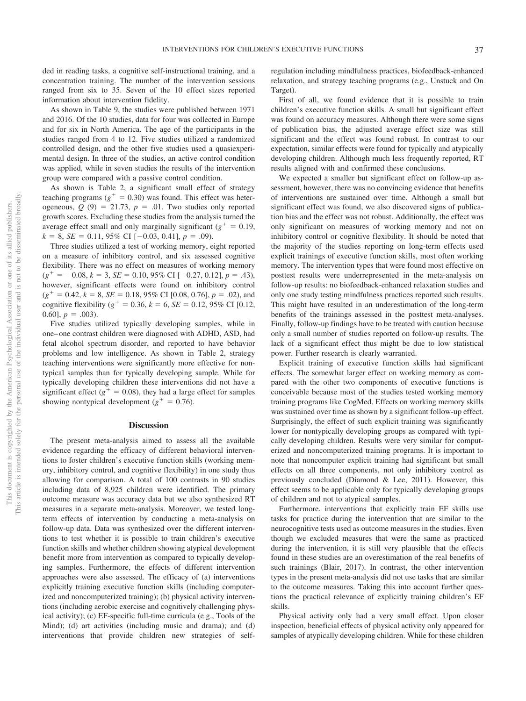ded in reading tasks, a cognitive self-instructional training, and a concentration training. The number of the intervention sessions ranged from six to 35. Seven of the 10 effect sizes reported information about intervention fidelity.

As shown in [Table 9,](#page-29-0) the studies were published between 1971 and 2016. Of the 10 studies, data for four was collected in Europe and for six in North America. The age of the participants in the studies ranged from 4 to 12. Five studies utilized a randomized controlled design, and the other five studies used a quasiexperimental design. In three of the studies, an active control condition was applied, while in seven studies the results of the intervention group were compared with a passive control condition.

As shown is [Table 2,](#page-15-0) a significant small effect of strategy teaching programs  $(g^+ = 0.30)$  was found. This effect was heterogeneous,  $Q(9) = 21.73$ ,  $p = .01$ . Two studies only reported growth scores. Excluding these studies from the analysis turned the average effect small and only marginally significant  $(g^+ = 0.19)$ ,  $k = 8$ , *SE* = 0.11, 95% CI [-0.03, 0.41],  $p = .09$ ).

Three studies utilized a test of working memory, eight reported on a measure of inhibitory control, and six assessed cognitive flexibility. There was no effect on measures of working memory  $(g^{+} = -0.08, k = 3, SE = 0.10, 95\% \text{ CI} [-0.27, 0.12], p = .43),$ however, significant effects were found on inhibitory control  $(g^{+} = 0.42, k = 8, SE = 0.18, 95\% \text{ CI} [0.08, 0.76], p = .02)$ , and cognitive flexibility ( $g^+ = 0.36$ ,  $k = 6$ ,  $SE = 0.12$ , 95% CI [0.12,  $[0.60], p = .003$ .

Five studies utilized typically developing samples, while in one– one contrast children were diagnosed with ADHD, ASD, had fetal alcohol spectrum disorder, and reported to have behavior problems and low intelligence. As shown in [Table 2,](#page-15-0) strategy teaching interventions were significantly more effective for nontypical samples than for typically developing sample. While for typically developing children these interventions did not have a significant effect ( $g^+ = 0.08$ ), they had a large effect for samples showing nontypical development  $(g^+ = 0.76)$ .

#### **Discussion**

The present meta-analysis aimed to assess all the available evidence regarding the efficacy of different behavioral interventions to foster children's executive function skills (working memory, inhibitory control, and cognitive flexibility) in one study thus allowing for comparison. A total of 100 contrasts in 90 studies including data of 8,925 children were identified. The primary outcome measure was accuracy data but we also synthesized RT measures in a separate meta-analysis. Moreover, we tested longterm effects of intervention by conducting a meta-analysis on follow-up data. Data was synthesized over the different interventions to test whether it is possible to train children's executive function skills and whether children showing atypical development benefit more from intervention as compared to typically developing samples. Furthermore, the effects of different intervention approaches were also assessed. The efficacy of (a) interventions explicitly training executive function skills (including computerized and noncomputerized training); (b) physical activity interventions (including aerobic exercise and cognitively challenging physical activity); (c) EF-specific full-time curricula (e.g., Tools of the Mind); (d) art activities (including music and drama); and (d) interventions that provide children new strategies of selfregulation including mindfulness practices, biofeedback-enhanced relaxation, and strategy teaching programs (e.g., Unstuck and On Target).

First of all, we found evidence that it is possible to train children's executive function skills. A small but significant effect was found on accuracy measures. Although there were some signs of publication bias, the adjusted average effect size was still significant and the effect was found robust. In contrast to our expectation, similar effects were found for typically and atypically developing children. Although much less frequently reported, RT results aligned with and confirmed these conclusions.

We expected a smaller but significant effect on follow-up assessment, however, there was no convincing evidence that benefits of interventions are sustained over time. Although a small but significant effect was found, we also discovered signs of publication bias and the effect was not robust. Additionally, the effect was only significant on measures of working memory and not on inhibitory control or cognitive flexibility. It should be noted that the majority of the studies reporting on long-term effects used explicit trainings of executive function skills, most often working memory. The intervention types that were found most effective on posttest results were underrepresented in the meta-analysis on follow-up results: no biofeedback-enhanced relaxation studies and only one study testing mindfulness practices reported such results. This might have resulted in an underestimation of the long-term benefits of the trainings assessed in the posttest meta-analyses. Finally, follow-up findings have to be treated with caution because only a small number of studies reported on follow-up results. The lack of a significant effect thus might be due to low statistical power. Further research is clearly warranted.

Explicit training of executive function skills had significant effects. The somewhat larger effect on working memory as compared with the other two components of executive functions is conceivable because most of the studies tested working memory training programs like CogMed. Effects on working memory skills was sustained over time as shown by a significant follow-up effect. Surprisingly, the effect of such explicit training was significantly lower for nontypically developing groups as compared with typically developing children. Results were very similar for computerized and noncomputerized training programs. It is important to note that noncomputer explicit training had significant but small effects on all three components, not only inhibitory control as previously concluded (Diamond & Lee, 2011). However, this effect seems to be applicable only for typically developing groups of children and not to atypical samples.

Furthermore, interventions that explicitly train EF skills use tasks for practice during the intervention that are similar to the neurocognitive tests used as outcome measures in the studies. Even though we excluded measures that were the same as practiced during the intervention, it is still very plausible that the effects found in these studies are an overestimation of the real benefits of such trainings (Blair, 2017). In contrast, the other intervention types in the present meta-analysis did not use tasks that are similar to the outcome measures. Taking this into account further questions the practical relevance of explicitly training children's EF skills.

Physical activity only had a very small effect. Upon closer inspection, beneficial effects of physical activity only appeared for samples of atypically developing children. While for these children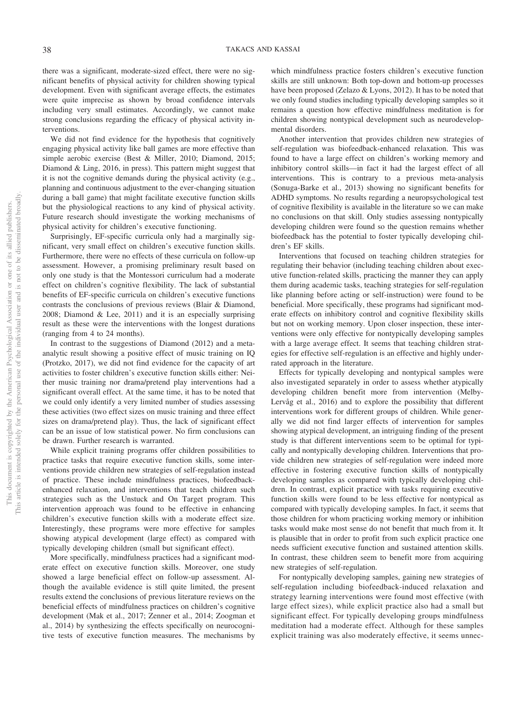there was a significant, moderate-sized effect, there were no significant benefits of physical activity for children showing typical development. Even with significant average effects, the estimates were quite imprecise as shown by broad confidence intervals including very small estimates. Accordingly, we cannot make strong conclusions regarding the efficacy of physical activity interventions.

We did not find evidence for the hypothesis that cognitively engaging physical activity like ball games are more effective than simple aerobic exercise (Best & Miller, 2010; Diamond, 2015; Diamond & Ling, 2016, in press). This pattern might suggest that it is not the cognitive demands during the physical activity (e.g., planning and continuous adjustment to the ever-changing situation during a ball game) that might facilitate executive function skills but the physiological reactions to any kind of physical activity. Future research should investigate the working mechanisms of physical activity for children's executive functioning.

Surprisingly, EF-specific curricula only had a marginally significant, very small effect on children's executive function skills. Furthermore, there were no effects of these curricula on follow-up assessment. However, a promising preliminary result based on only one study is that the Montessori curriculum had a moderate effect on children's cognitive flexibility. The lack of substantial benefits of EF-specific curricula on children's executive functions contrasts the conclusions of previous reviews (Blair & Diamond, 2008; Diamond & Lee, 2011) and it is an especially surprising result as these were the interventions with the longest durations (ranging from 4 to 24 months).

In contrast to the suggestions of Diamond (2012) and a metaanalytic result showing a positive effect of music training on IQ (Protzko, 2017), we did not find evidence for the capacity of art activities to foster children's executive function skills either: Neither music training nor drama/pretend play interventions had a significant overall effect. At the same time, it has to be noted that we could only identify a very limited number of studies assessing these activities (two effect sizes on music training and three effect sizes on drama/pretend play). Thus, the lack of significant effect can be an issue of low statistical power. No firm conclusions can be drawn. Further research is warranted.

While explicit training programs offer children possibilities to practice tasks that require executive function skills, some interventions provide children new strategies of self-regulation instead of practice. These include mindfulness practices, biofeedbackenhanced relaxation, and interventions that teach children such strategies such as the Unstuck and On Target program. This intervention approach was found to be effective in enhancing children's executive function skills with a moderate effect size. Interestingly, these programs were more effective for samples showing atypical development (large effect) as compared with typically developing children (small but significant effect).

More specifically, mindfulness practices had a significant moderate effect on executive function skills. Moreover, one study showed a large beneficial effect on follow-up assessment. Although the available evidence is still quite limited, the present results extend the conclusions of previous literature reviews on the beneficial effects of mindfulness practices on children's cognitive development (Mak et al., 2017; Zenner et al., 2014; Zoogman et al., 2014) by synthesizing the effects specifically on neurocognitive tests of executive function measures. The mechanisms by

which mindfulness practice fosters children's executive function skills are still unknown: Both top-down and bottom-up processes have been proposed (Zelazo & Lyons, 2012). It has to be noted that we only found studies including typically developing samples so it remains a question how effective mindfulness meditation is for children showing nontypical development such as neurodevelopmental disorders.

Another intervention that provides children new strategies of self-regulation was biofeedback-enhanced relaxation. This was found to have a large effect on children's working memory and inhibitory control skills—in fact it had the largest effect of all interventions. This is contrary to a previous meta-analysis (Sonuga-Barke et al., 2013) showing no significant benefits for ADHD symptoms. No results regarding a neuropsychological test of cognitive flexibility is available in the literature so we can make no conclusions on that skill. Only studies assessing nontypically developing children were found so the question remains whether biofeedback has the potential to foster typically developing children's EF skills.

Interventions that focused on teaching children strategies for regulating their behavior (including teaching children about executive function-related skills, practicing the manner they can apply them during academic tasks, teaching strategies for self-regulation like planning before acting or self-instruction) were found to be beneficial. More specifically, these programs had significant moderate effects on inhibitory control and cognitive flexibility skills but not on working memory. Upon closer inspection, these interventions were only effective for nontypically developing samples with a large average effect. It seems that teaching children strategies for effective self-regulation is an effective and highly underrated approach in the literature.

Effects for typically developing and nontypical samples were also investigated separately in order to assess whether atypically developing children benefit more from intervention (Melby-Lervåg et al., 2016) and to explore the possibility that different interventions work for different groups of children. While generally we did not find larger effects of intervention for samples showing atypical development, an intriguing finding of the present study is that different interventions seem to be optimal for typically and nontypically developing children. Interventions that provide children new strategies of self-regulation were indeed more effective in fostering executive function skills of nontypically developing samples as compared with typically developing children. In contrast, explicit practice with tasks requiring executive function skills were found to be less effective for nontypical as compared with typically developing samples. In fact, it seems that those children for whom practicing working memory or inhibition tasks would make most sense do not benefit that much from it. It is plausible that in order to profit from such explicit practice one needs sufficient executive function and sustained attention skills. In contrast, these children seem to benefit more from acquiring new strategies of self-regulation.

For nontypically developing samples, gaining new strategies of self-regulation including biofeedback-induced relaxation and strategy learning interventions were found most effective (with large effect sizes), while explicit practice also had a small but significant effect. For typically developing groups mindfulness meditation had a moderate effect. Although for these samples explicit training was also moderately effective, it seems unnec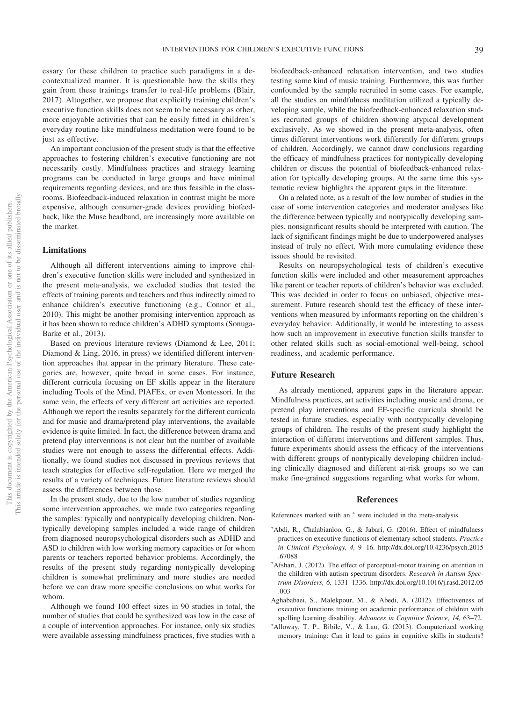essary for these children to practice such paradigms in a decontextualized manner. It is questionable how the skills they gain from these trainings transfer to real-life problems (Blair, 2017). Altogether, we propose that explicitly training children's executive function skills does not seem to be necessary as other, more enjoyable activities that can be easily fitted in children's everyday routine like mindfulness meditation were found to be just as effective.

An important conclusion of the present study is that the effective approaches to fostering children's executive functioning are not necessarily costly. Mindfulness practices and strategy learning programs can be conducted in large groups and have minimal requirements regarding devices, and are thus feasible in the classrooms. Biofeedback-induced relaxation in contrast might be more expensive, although consumer-grade devices providing biofeedback, like the Muse headband, are increasingly more available on the market.

## **Limitations**

Although all different interventions aiming to improve children's executive function skills were included and synthesized in the present meta-analysis, we excluded studies that tested the effects of training parents and teachers and thus indirectly aimed to enhance children's executive functioning (e.g., Connor et al., 2010). This might be another promising intervention approach as it has been shown to reduce children's ADHD symptoms (Sonuga-Barke et al., 2013).

Based on previous literature reviews (Diamond & Lee, 2011; Diamond & Ling, 2016, in press) we identified different intervention approaches that appear in the primary literature. These categories are, however, quite broad in some cases. For instance, different curricula focusing on EF skills appear in the literature including Tools of the Mind, PIAFEx, or even Montessori. In the same vein, the effects of very different art activities are reported. Although we report the results separately for the different curricula and for music and drama/pretend play interventions, the available evidence is quite limited. In fact, the difference between drama and pretend play interventions is not clear but the number of available studies were not enough to assess the differential effects. Additionally, we found studies not discussed in previous reviews that teach strategies for effective self-regulation. Here we merged the results of a variety of techniques. Future literature reviews should assess the differences between those.

In the present study, due to the low number of studies regarding some intervention approaches, we made two categories regarding the samples: typically and nontypically developing children. Nontypically developing samples included a wide range of children from diagnosed neuropsychological disorders such as ADHD and ASD to children with low working memory capacities or for whom parents or teachers reported behavior problems. Accordingly, the results of the present study regarding nontypically developing children is somewhat preliminary and more studies are needed before we can draw more specific conclusions on what works for whom.

Although we found 100 effect sizes in 90 studies in total, the number of studies that could be synthesized was low in the case of a couple of intervention approaches. For instance, only six studies were available assessing mindfulness practices, five studies with a biofeedback-enhanced relaxation intervention, and two studies testing some kind of music training. Furthermore, this was further confounded by the sample recruited in some cases. For example, all the studies on mindfulness meditation utilized a typically developing sample, while the biofeedback-enhanced relaxation studies recruited groups of children showing atypical development exclusively. As we showed in the present meta-analysis, often times different interventions work differently for different groups of children. Accordingly, we cannot draw conclusions regarding the efficacy of mindfulness practices for nontypically developing children or discuss the potential of biofeedback-enhanced relaxation for typically developing groups. At the same time this systematic review highlights the apparent gaps in the literature.

On a related note, as a result of the low number of studies in the case of some intervention categories and moderator analyses like the difference between typically and nontypically developing samples, nonsignificant results should be interpreted with caution. The lack of significant findings might be due to underpowered analyses instead of truly no effect. With more cumulating evidence these issues should be revisited.

Results on neuropsychological tests of children's executive function skills were included and other measurement approaches like parent or teacher reports of children's behavior was excluded. This was decided in order to focus on unbiased, objective measurement. Future research should test the efficacy of these interventions when measured by informants reporting on the children's everyday behavior. Additionally, it would be interesting to assess how such an improvement in executive function skills transfer to other related skills such as social-emotional well-being, school readiness, and academic performance.

## **Future Research**

As already mentioned, apparent gaps in the literature appear. Mindfulness practices, art activities including music and drama, or pretend play interventions and EF-specific curricula should be tested in future studies, especially with nontypically developing groups of children. The results of the present study highlight the interaction of different interventions and different samples. Thus, future experiments should assess the efficacy of the interventions with different groups of nontypically developing children including clinically diagnosed and different at-risk groups so we can make fine-grained suggestions regarding what works for whom.

#### **References**

References marked with an  $*$  were included in the meta-analysis.

- \*Abdi, R., Chalabianloo, G., & Jabari, G. (2016). Effect of mindfulness practices on executive functions of elementary school students. *Practice in Clinical Psychology, 4,* 9 –16. [http://dx.doi.org/10.4236/psych.2015](http://dx.doi.org/10.4236/psych.2015.67088) [.67088](http://dx.doi.org/10.4236/psych.2015.67088)
- \*Afshari, J. (2012). The effect of perceptual-motor training on attention in the children with autism spectrum disorders. *Research in Autism Spectrum Disorders, 6,* 1331–1336. [http://dx.doi.org/10.1016/j.rasd.2012.05](http://dx.doi.org/10.1016/j.rasd.2012.05.003) [.003](http://dx.doi.org/10.1016/j.rasd.2012.05.003)
- Aghababaei, S., Malekpour, M., & Abedi, A. (2012). Effectiveness of executive functions training on academic performance of children with spelling learning disability. *Advances in Cognitive Science, 14,* 63–72.
- \*Alloway, T. P., Bibile, V., & Lau, G. (2013). Computerized working memory training: Can it lead to gains in cognitive skills in students?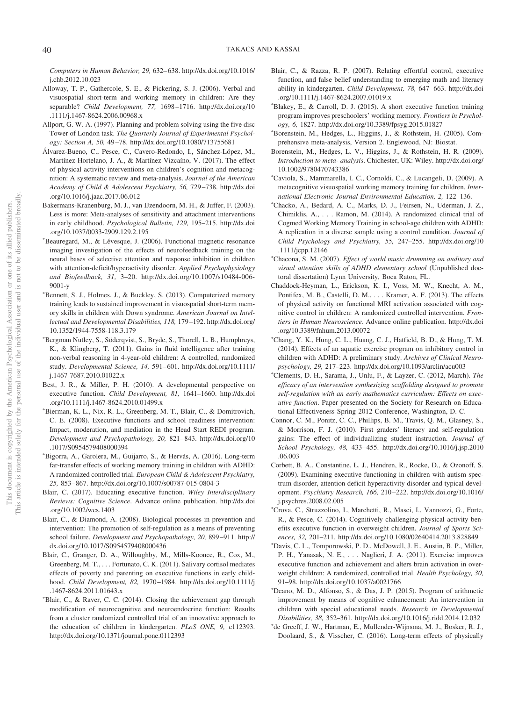*Computers in Human Behavior, 29,* 632– 638. [http://dx.doi.org/10.1016/](http://dx.doi.org/10.1016/j.chb.2012.10.023) [j.chb.2012.10.023](http://dx.doi.org/10.1016/j.chb.2012.10.023)

- Alloway, T. P., Gathercole, S. E., & Pickering, S. J. (2006). Verbal and visuospatial short-term and working memory in children: Are they separable? *Child Development, 77,* 1698 –1716. [http://dx.doi.org/10](http://dx.doi.org/10.1111/j.1467-8624.2006.00968.x) [.1111/j.1467-8624.2006.00968.x](http://dx.doi.org/10.1111/j.1467-8624.2006.00968.x)
- Allport, G. W. A. (1997). Planning and problem solving using the five disc Tower of London task. *The Quarterly Journal of Experimental Psychology: Section A, 50,* 49 –78.<http://dx.doi.org/10.1080/713755681>
- Álvarez-Bueno, C., Pesce, C., Cavero-Redondo, I., Sánchez-López, M., Martínez-Hortelano, J. A., & Martínez-Vizcaíno, V. (2017). The effect of physical activity interventions on children's cognition and metacognition: A systematic review and meta-analysis. *Journal of the American Academy of Child & Adolescent Psychiatry, 56,* 729 –738. [http://dx.doi](http://dx.doi.org/10.1016/j.jaac.2017.06.012) [.org/10.1016/j.jaac.2017.06.012](http://dx.doi.org/10.1016/j.jaac.2017.06.012)
- <span id="page-40-0"></span>Bakermans-Kranenburg, M. J., van IJzendoorn, M. H., & Juffer, F. (2003). Less is more: Meta-analyses of sensitivity and attachment interventions in early childhood. *Psychological Bulletin, 129,* 195–215. [http://dx.doi](http://dx.doi.org/10.1037/0033-2909.129.2.195) [.org/10.1037/0033-2909.129.2.195](http://dx.doi.org/10.1037/0033-2909.129.2.195)
- Beauregard, M., & Lévesque, J. (2006). Functional magnetic resonance imaging investigation of the effects of neurofeedback training on the neural bases of selective attention and response inhibition in children with attention-deficit/hyperactivity disorder. *Applied Psychophysiology and Biofeedback, 31,* 3–20. [http://dx.doi.org/10.1007/s10484-006-](http://dx.doi.org/10.1007/s10484-006-9001-y) [9001-y](http://dx.doi.org/10.1007/s10484-006-9001-y)
- Bennett, S. J., Holmes, J., & Buckley, S. (2013). Computerized memory training leads to sustained improvement in visuospatial short-term memory skills in children with Down syndrome. *American Journal on Intellectual and Developmental Disabilities, 118,* 179 –192. [http://dx.doi.org/](http://dx.doi.org/10.1352/1944-7558-118.3.179) [10.1352/1944-7558-118.3.179](http://dx.doi.org/10.1352/1944-7558-118.3.179)
- Bergman Nutley, S., Söderqvist, S., Bryde, S., Thorell, L. B., Humphreys, K., & Klingberg, T. (2011). Gains in fluid intelligence after training non-verbal reasoning in 4-year-old children: A controlled, randomized study. *Developmental Science, 14,* 591– 601. [http://dx.doi.org/10.1111/](http://dx.doi.org/10.1111/j.1467-7687.2010.01022.x) [j.1467-7687.2010.01022.x](http://dx.doi.org/10.1111/j.1467-7687.2010.01022.x)
- Best, J. R., & Miller, P. H. (2010). A developmental perspective on executive function. *Child Development, 81,* 1641–1660. [http://dx.doi](http://dx.doi.org/10.1111/j.1467-8624.2010.01499.x) [.org/10.1111/j.1467-8624.2010.01499.x](http://dx.doi.org/10.1111/j.1467-8624.2010.01499.x)
- Bierman, K. L., Nix, R. L., Greenberg, M. T., Blair, C., & Domitrovich, C. E. (2008). Executive functions and school readiness intervention: Impact, moderation, and mediation in the Head Start REDI program. *Development and Psychopathology, 20,* 821– 843. [http://dx.doi.org/10](http://dx.doi.org/10.1017/S0954579408000394) [.1017/S0954579408000394](http://dx.doi.org/10.1017/S0954579408000394)
- Bigorra, A., Garolera, M., Guijarro, S., & Hervás, A. (2016). Long-term far-transfer effects of working memory training in children with ADHD: A randomized controlled trial. *European Child & Adolescent Psychiatry, 25,* 853– 867.<http://dx.doi.org/10.1007/s00787-015-0804-3>
- Blair, C. (2017). Educating executive function. *Wiley Interdisciplinary Reviews: Cognitive Science*. Advance online publication. [http://dx.doi](http://dx.doi.org/10.1002/wcs.1403) [.org/10.1002/wcs.1403](http://dx.doi.org/10.1002/wcs.1403)
- Blair, C., & Diamond, A. (2008). Biological processes in prevention and intervention: The promotion of self-regulation as a means of preventing school failure. *Development and Psychopathology, 20,* 899 –911. [http://](http://dx.doi.org/10.1017/S0954579408000436) [dx.doi.org/10.1017/S0954579408000436](http://dx.doi.org/10.1017/S0954579408000436)
- Blair, C., Granger, D. A., Willoughby, M., Mills-Koonce, R., Cox, M., Greenberg, M. T.,... Fortunato, C. K. (2011). Salivary cortisol mediates effects of poverty and parenting on executive functions in early childhood. *Child Development, 82,* 1970 –1984. [http://dx.doi.org/10.1111/j](http://dx.doi.org/10.1111/j.1467-8624.2011.01643.x) [.1467-8624.2011.01643.x](http://dx.doi.org/10.1111/j.1467-8624.2011.01643.x)
- Blair, C., & Raver, C. C. (2014). Closing the achievement gap through modification of neurocognitive and neuroendocrine function: Results from a cluster randomized controlled trial of an innovative approach to the education of children in kindergarten. *PLoS ONE, 9,* e112393. <http://dx.doi.org/10.1371/journal.pone.0112393>
- Blair, C., & Razza, R. P. (2007). Relating effortful control, executive function, and false belief understanding to emerging math and literacy ability in kindergarten. *Child Development, 78,* 647– 663. [http://dx.doi](http://dx.doi.org/10.1111/j.1467-8624.2007.01019.x) [.org/10.1111/j.1467-8624.2007.01019.x](http://dx.doi.org/10.1111/j.1467-8624.2007.01019.x)
- Blakey, E., & Carroll, D. J. (2015). A short executive function training program improves preschoolers' working memory. *Frontiers in Psychology, 6,* 1827.<http://dx.doi.org/10.3389/fpsyg.2015.01827>
- Borenstein, M., Hedges, L., Higgins, J., & Rothstein, H. (2005). Comprehensive meta-analysis, Version 2. Englewood, NJ: Biostat.
- Borenstein, M., Hedges, L. V., Higgins, J., & Rothstein, H. R. (2009). *Introduction to meta- analysis*. Chichester, UK: Wiley. [http://dx.doi.org/](http://dx.doi.org/10.1002/9780470743386) [10.1002/9780470743386](http://dx.doi.org/10.1002/9780470743386)
- Caviola, S., Mammarella, I. C., Cornoldi, C., & Lucangeli, D. (2009). A metacognitive visuospatial working memory training for children. *International Electronic Journal Environmental Education, 2,* 122–136.
- Chacko, A., Bedard, A. C., Marks, D. J., Feirsen, N., Uderman, J. Z., Chimiklis, A.,... Ramon, M. (2014). A randomized clinical trial of Cogmed Working Memory Training in school-age children with ADHD: A replication in a diverse sample using a control condition. *Journal of Child Psychology and Psychiatry, 55,* 247–255. [http://dx.doi.org/10](http://dx.doi.org/10.1111/jcpp.12146) [.1111/jcpp.12146](http://dx.doi.org/10.1111/jcpp.12146)
- Chacona, S. M. (2007). *Effect of world music drumming on auditory and visual attention skills of ADHD elementary school* (Unpublished doctoral dissertation) Lynn University, Boca Raton, FL.
- Chaddock-Heyman, L., Erickson, K. I., Voss, M. W., Knecht, A. M., Pontifex, M. B., Castelli, D. M.,... Kramer, A. F. (2013). The effects of physical activity on functional MRI activation associated with cognitive control in children: A randomized controlled intervention. *Frontiers in Human Neuroscience*. Advance online publication. [http://dx.doi](http://dx.doi.org/10.3389/fnhum.2013.00072) [.org/10.3389/fnhum.2013.00072](http://dx.doi.org/10.3389/fnhum.2013.00072)
- Chang, Y. K., Hung, C. L., Huang, C. J., Hatfield, B. D., & Hung, T. M. (2014). Effects of an aquatic exercise program on inhibitory control in children with ADHD: A preliminary study. *Archives of Clinical Neuropsychology, 29,* 217–223.<http://dx.doi.org/10.1093/arclin/acu003>
- Clements, D. H., Sarama, J., Unlu, F., & Layzer, C. (2012, March). *The efficacy of an intervention synthesizing scaffolding designed to promote self-regulation with an early mathematics curriculum: Effects on executive function*. Paper presented on the Society for Research on Educational Effectiveness Spring 2012 Conference, Washington, D. C.
- Connor, C. M., Ponitz, C. C., Phillips, B. M., Travis, Q. M., Glasney, S., & Morrison, F. J. (2010). First graders' literacy and self-regulation gains: The effect of individualizing student instruction. *Journal of School Psychology, 48,* 433– 455. [http://dx.doi.org/10.1016/j.jsp.2010](http://dx.doi.org/10.1016/j.jsp.2010.06.003) [.06.003](http://dx.doi.org/10.1016/j.jsp.2010.06.003)
- Corbett, B. A., Constantine, L. J., Hendren, R., Rocke, D., & Ozonoff, S. (2009). Examining executive functioning in children with autism spectrum disorder, attention deficit hyperactivity disorder and typical development. *Psychiatry Research, 166,* 210 –222. [http://dx.doi.org/10.1016/](http://dx.doi.org/10.1016/j.psychres.2008.02.005) [j.psychres.2008.02.005](http://dx.doi.org/10.1016/j.psychres.2008.02.005)
- Crova, C., Struzzolino, I., Marchetti, R., Masci, I., Vannozzi, G., Forte, R., & Pesce, C. (2014). Cognitively challenging physical activity benefits executive function in overweight children. *Journal of Sports Sciences, 32,* 201–211.<http://dx.doi.org/10.1080/02640414.2013.828849>
- Davis, C. L., Tomporowski, P. D., McDowell, J. E., Austin, B. P., Miller, P. H., Yanasak, N. E.,... Naglieri, J. A. (2011). Exercise improves executive function and achievement and alters brain activation in overweight children: A randomized, controlled trial. *Health Psychology, 30,* 91–98.<http://dx.doi.org/10.1037/a0021766>
- Deano, M. D., Alfonso, S., & Das, J. P. (2015). Program of arithmetic improvement by means of cognitive enhancement: An intervention in children with special educational needs. *Research in Developmental Disabilities, 38,* 352–361.<http://dx.doi.org/10.1016/j.ridd.2014.12.032>
- de Greeff, J. W., Hartman, E., Mullender-Wijnsma, M. J., Bosker, R. J., Doolaard, S., & Visscher, C. (2016). Long-term effects of physically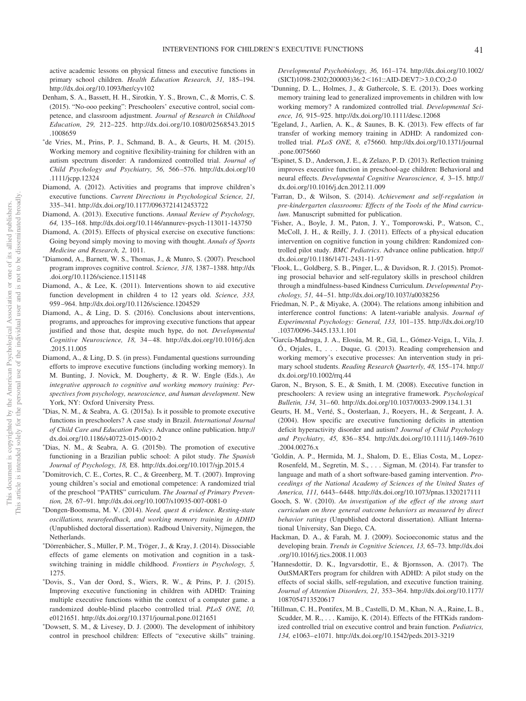active academic lessons on physical fitness and executive functions in primary school children. *Health Education Research, 31,* 185–194. <http://dx.doi.org/10.1093/her/cyv102>

- Denham, S. A., Bassett, H. H., Sirotkin, Y. S., Brown, C., & Morris, C. S. (2015). "No-ooo peeking": Preschoolers' executive control, social competence, and classroom adjustment. *Journal of Research in Childhood Education, 29,* 212–225. [http://dx.doi.org/10.1080/02568543.2015](http://dx.doi.org/10.1080/02568543.2015.1008659) [.1008659](http://dx.doi.org/10.1080/02568543.2015.1008659)
- de Vries, M., Prins, P. J., Schmand, B. A., & Geurts, H. M. (2015). Working memory and cognitive flexibility-training for children with an autism spectrum disorder: A randomized controlled trial. *Journal of Child Psychology and Psychiatry, 56,* 566 –576. [http://dx.doi.org/10](http://dx.doi.org/10.1111/jcpp.12324) [.1111/jcpp.12324](http://dx.doi.org/10.1111/jcpp.12324)
- Diamond, A. (2012). Activities and programs that improve children's executive functions. *Current Directions in Psychological Science, 21,* 335–341.<http://dx.doi.org/10.1177/0963721412453722>
- Diamond, A. (2013). Executive functions. *Annual Review of Psychology, 64,* 135–168.<http://dx.doi.org/10.1146/annurev-psych-113011-143750>
- Diamond, A. (2015). Effects of physical exercise on executive functions: Going beyond simply moving to moving with thought. *Annals of Sports Medicine and Research, 2,* 1011.
- Diamond, A., Barnett, W. S., Thomas, J., & Munro, S. (2007). Preschool program improves cognitive control. *Science, 318,* 1387–1388. [http://dx](http://dx.doi.org/10.1126/science.1151148) [.doi.org/10.1126/science.1151148](http://dx.doi.org/10.1126/science.1151148)
- Diamond, A., & Lee, K. (2011). Interventions shown to aid executive function development in children 4 to 12 years old. *Science, 333,* 959 –964.<http://dx.doi.org/10.1126/science.1204529>
- Diamond, A., & Ling, D. S. (2016). Conclusions about interventions, programs, and approaches for improving executive functions that appear justified and those that, despite much hype, do not. *Developmental Cognitive Neuroscience, 18,* 34 – 48. [http://dx.doi.org/10.1016/j.dcn](http://dx.doi.org/10.1016/j.dcn.2015.11.005) [.2015.11.005](http://dx.doi.org/10.1016/j.dcn.2015.11.005)
- Diamond, A., & Ling, D. S. (in press). Fundamental questions surrounding efforts to improve executive functions (including working memory). In M. Bunting, J. Novick, M. Dougherty, & R. W. Engle (Eds.), *An integrative approach to cognitive and working memory training: Perspectives from psychology, neuroscience, and human development*. New York, NY: Oxford University Press.
- Dias, N. M., & Seabra, A. G. (2015a). Is it possible to promote executive functions in preschoolers? A case study in Brazil. *International Journal of Child Care and Education Policy*. Advance online publication. [http://](http://dx.doi.org/10.1186/s40723-015-0010-2) [dx.doi.org/10.1186/s40723-015-0010-2](http://dx.doi.org/10.1186/s40723-015-0010-2)
- Dias, N. M., & Seabra, A. G. (2015b). The promotion of executive functioning in a Brazilian public school: A pilot study. *The Spanish Journal of Psychology, 18,* E8.<http://dx.doi.org/10.1017/sjp.2015.4>
- Domitrovich, C. E., Cortes, R. C., & Greenberg, M. T. (2007). Improving young children's social and emotional competence: A randomized trial of the preschool "PATHS" curriculum. *The Journal of Primary Prevention, 28,* 67–91.<http://dx.doi.org/10.1007/s10935-007-0081-0>
- Dongen-Boomsma, M. V. (2014). *Need, quest & evidence. Resting-state oscillations, neurofeedback, and working memory training in ADHD* (Unpublished doctoral dissertation). Radboud University, Nijmegen, the Netherlands.
- Dörrenbächer, S., Müller, P. M., Tröger, J., & Kray, J. (2014). Dissociable effects of game elements on motivation and cognition in a taskswitching training in middle childhood. *Frontiers in Psychology, 5,* 1275.
- Dovis, S., Van der Oord, S., Wiers, R. W., & Prins, P. J. (2015). Improving executive functioning in children with ADHD: Training multiple executive functions within the context of a computer game. a randomized double-blind placebo controlled trial. *PLoS ONE, 10,* e0121651.<http://dx.doi.org/10.1371/journal.pone.0121651>
- Dowsett, S. M., & Livesey, D. J. (2000). The development of inhibitory control in preschool children: Effects of "executive skills" training.

*Developmental Psychobiology, 36,* 161–174. [http://dx.doi.org/10.1002/](http://dx.doi.org/10.1002/%28SICI%291098-2302%28200003%2936:2%3C161::AID-DEV7%3E3.0.CO;2-0) [\(SICI\)1098-2302\(200003\)36:2](http://dx.doi.org/10.1002/%28SICI%291098-2302%28200003%2936:2%3C161::AID-DEV7%3E3.0.CO;2-0)<161::AID-DEV7>3.0.CO;2-0

- Dunning, D. L., Holmes, J., & Gathercole, S. E. (2013). Does working memory training lead to generalized improvements in children with low working memory? A randomized controlled trial. *Developmental Science, 16,* 915–925.<http://dx.doi.org/10.1111/desc.12068>
- Egeland, J., Aarlien, A. K., & Saunes, B. K. (2013). Few effects of far transfer of working memory training in ADHD: A randomized controlled trial. *PLoS ONE, 8,* e75660. [http://dx.doi.org/10.1371/journal](http://dx.doi.org/10.1371/journal.pone.0075660) [.pone.0075660](http://dx.doi.org/10.1371/journal.pone.0075660)
- Espinet, S. D., Anderson, J. E., & Zelazo, P. D. (2013). Reflection training improves executive function in preschool-age children: Behavioral and neural effects. *Developmental Cognitive Neuroscience, 4,* 3–15. [http://](http://dx.doi.org/10.1016/j.dcn.2012.11.009) [dx.doi.org/10.1016/j.dcn.2012.11.009](http://dx.doi.org/10.1016/j.dcn.2012.11.009)
- Farran, D., & Wilson, S. (2014). *Achievement and self-regulation in pre-kindergarten classrooms: Effects of the Tools of the Mind curriculum*. Manuscript submitted for publication.
- Fisher, A., Boyle, J. M., Paton, J. Y., Tomporowski, P., Watson, C., McColl, J. H., & Reilly, J. J. (2011). Effects of a physical education intervention on cognitive function in young children: Randomized controlled pilot study. *BMC Pediatrics*. Advance online publication. [http://](http://dx.doi.org/10.1186/1471-2431-11-97) [dx.doi.org/10.1186/1471-2431-11-97](http://dx.doi.org/10.1186/1471-2431-11-97)
- Flook, L., Goldberg, S. B., Pinger, L., & Davidson, R. J. (2015). Promoting prosocial behavior and self-regulatory skills in preschool children through a mindfulness-based Kindness Curriculum. *Developmental Psychology, 51,* 44 –51.<http://dx.doi.org/10.1037/a0038256>
- Friedman, N. P., & Miyake, A. (2004). The relations among inhibition and interference control functions: A latent-variable analysis. *Journal of Experimental Psychology: General, 133,* 101–135. [http://dx.doi.org/10](http://dx.doi.org/10.1037/0096-3445.133.1.101) [.1037/0096-3445.133.1.101](http://dx.doi.org/10.1037/0096-3445.133.1.101)
- García-Madruga, J. A., Elosúa, M. R., Gil, L., Gómez-Veiga, I., Vila, J. Ó., Orjales, I.,... Duque, G. (2013). Reading comprehension and working memory's executive processes: An intervention study in primary school students. *Reading Research Quarterly, 48,* 155–174. [http://](http://dx.doi.org/10.1002/rrq.44) [dx.doi.org/10.1002/rrq.44](http://dx.doi.org/10.1002/rrq.44)
- Garon, N., Bryson, S. E., & Smith, I. M. (2008). Executive function in preschoolers: A review using an integrative framework. *Psychological Bulletin, 134,* 31– 60.<http://dx.doi.org/10.1037/0033-2909.134.1.31>
- Geurts, H. M., Verté, S., Oosterlaan, J., Roeyers, H., & Sergeant, J. A. (2004). How specific are executive functioning deficits in attention deficit hyperactivity disorder and autism? *Journal of Child Psychology and Psychiatry, 45,* 836 – 854. [http://dx.doi.org/10.1111/j.1469-7610](http://dx.doi.org/10.1111/j.1469-7610.2004.00276.x) [.2004.00276.x](http://dx.doi.org/10.1111/j.1469-7610.2004.00276.x)
- Goldin, A. P., Hermida, M. J., Shalom, D. E., Elias Costa, M., Lopez-Rosenfeld, M., Segretin, M. S.,... Sigman, M. (2014). Far transfer to language and math of a short software-based gaming intervention. *Proceedings of the National Academy of Sciences of the United States of America, 111,* 6443– 6448.<http://dx.doi.org/10.1073/pnas.1320217111>
- Gooch, S. W. (2010). *An investigation of the effect of the strong start curriculum on three general outcome behaviors as measured by direct behavior ratings* (Unpublished doctoral dissertation). Alliant International University, San Diego, CA.
- Hackman, D. A., & Farah, M. J. (2009). Socioeconomic status and the developing brain. *Trends in Cognitive Sciences, 13,* 65–73. [http://dx.doi](http://dx.doi.org/10.1016/j.tics.2008.11.003) [.org/10.1016/j.tics.2008.11.003](http://dx.doi.org/10.1016/j.tics.2008.11.003)
- Hannesdottir, D. K., Ingvarsdottir, E., & Bjornsson, A. (2017). The OutSMARTers program for children with ADHD: A pilot study on the effects of social skills, self-regulation, and executive function training. *Journal of Attention Disorders, 21,* 353–364. [http://dx.doi.org/10.1177/](http://dx.doi.org/10.1177/1087054713520617) [1087054713520617](http://dx.doi.org/10.1177/1087054713520617)
- Hillman, C. H., Pontifex, M. B., Castelli, D. M., Khan, N. A., Raine, L. B., Scudder, M. R., ... Kamijo, K. (2014). Effects of the FITKids randomized controlled trial on executive control and brain function. *Pediatrics, 134,* e1063– e1071.<http://dx.doi.org/10.1542/peds.2013-3219>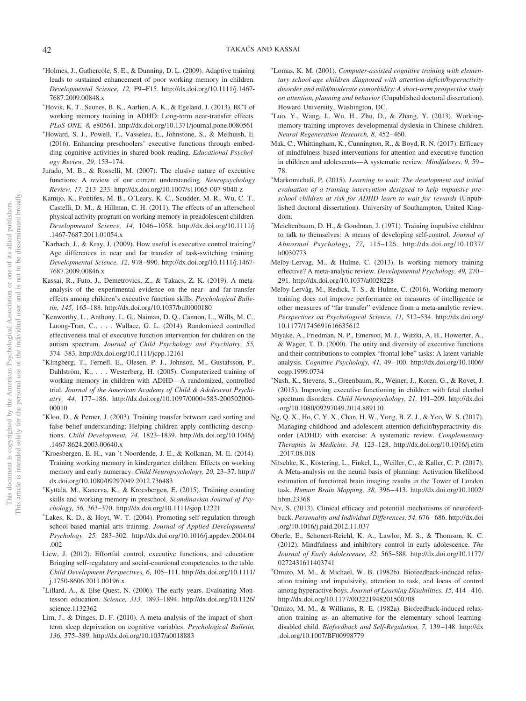- -Holmes, J., Gathercole, S. E., & Dunning, D. L. (2009). Adaptive training leads to sustained enhancement of poor working memory in children. *Developmental Science, 12,* F9 –F15. [http://dx.doi.org/10.1111/j.1467-](http://dx.doi.org/10.1111/j.1467-7687.2009.00848.x) [7687.2009.00848.x](http://dx.doi.org/10.1111/j.1467-7687.2009.00848.x)
- Hovik, K. T., Saunes, B. K., Aarlien, A. K., & Egeland, J. (2013). RCT of working memory training in ADHD: Long-term near-transfer effects. *PLoS ONE, 8,* e80561.<http://dx.doi.org/10.1371/journal.pone.0080561>
- Howard, S. J., Powell, T., Vasseleu, E., Johnstone, S., & Melhuish, E. (2016). Enhancing preschoolers' executive functions through embedding cognitive activities in shared book reading. *Educational Psychology Review, 29,* 153–174.
- Jurado, M. B., & Rosselli, M. (2007). The elusive nature of executive functions: A review of our current understanding. *Neuropsychology Review, 17,* 213–233.<http://dx.doi.org/10.1007/s11065-007-9040-z>
- <span id="page-42-2"></span>Kamijo, K., Pontifex, M. B., O'Leary, K. C., Scudder, M. R., Wu, C. T., Castelli, D. M., & Hillman, C. H. (2011). The effects of an afterschool physical activity program on working memory in preadolescent children. *Developmental Science, 14,* 1046 –1058. [http://dx.doi.org/10.1111/j](http://dx.doi.org/10.1111/j.1467-7687.2011.01054.x) [.1467-7687.2011.01054.x](http://dx.doi.org/10.1111/j.1467-7687.2011.01054.x)
- Karbach, J., & Kray, J. (2009). How useful is executive control training? Age differences in near and far transfer of task-switching training. *Developmental Science, 12,* 978 –990. [http://dx.doi.org/10.1111/j.1467-](http://dx.doi.org/10.1111/j.1467-7687.2009.00846.x) [7687.2009.00846.x](http://dx.doi.org/10.1111/j.1467-7687.2009.00846.x)
- Kassai, R., Futo, J., Demetrovics, Z., & Takacs, Z. K. (2019). A metaanalysis of the experimental evidence on the near- and far-transfer effects among children's executive function skills. *Psychological Bulletin, 145,* 165–188.<http://dx.doi.org/10.1037/bul0000180>
- Kenworthy, L., Anthony, L. G., Naiman, D. Q., Cannon, L., Wills, M. C., Luong-Tran, C.,... Wallace, G. L. (2014). Randomized controlled effectiveness trial of executive function intervention for children on the autism spectrum. *Journal of Child Psychology and Psychiatry, 55,* 374 –383.<http://dx.doi.org/10.1111/jcpp.12161>
- Klingberg, T., Fernell, E., Olesen, P. J., Johnson, M., Gustafsson, P., Dahlström, K.,... Westerberg, H. (2005). Computerized training of working memory in children with ADHD—A randomized, controlled trial. *Journal of the American Academy of Child & Adolescent Psychiatry, 44,* 177–186. [http://dx.doi.org/10.1097/00004583-200502000-](http://dx.doi.org/10.1097/00004583-200502000-00010) [00010](http://dx.doi.org/10.1097/00004583-200502000-00010)
- Kloo, D., & Perner, J. (2003). Training transfer between card sorting and false belief understanding: Helping children apply conflicting descriptions. *Child Development, 74,* 1823–1839. [http://dx.doi.org/10.1046/j](http://dx.doi.org/10.1046/j.1467-8624.2003.00640.x) [.1467-8624.2003.00640.x](http://dx.doi.org/10.1046/j.1467-8624.2003.00640.x)
- Kroesbergen, E. H., van 't Noordende, J. E., & Kolkman, M. E. (2014). Training working memory in kindergarten children: Effects on working memory and early numeracy. *Child Neuropsychology, 20,* 23–37. [http://](http://dx.doi.org/10.1080/09297049.2012.736483) [dx.doi.org/10.1080/09297049.2012.736483](http://dx.doi.org/10.1080/09297049.2012.736483)
- <span id="page-42-1"></span>- Kyttälä, M., Kanerva, K., & Kroesbergen, E. (2015). Training counting skills and working memory in preschool. *Scandinavian Journal of Psychology, 56,* 363–370.<http://dx.doi.org/10.1111/sjop.12221>
- Lakes, K. D., & Hoyt, W. T. (2004). Promoting self-regulation through school-based martial arts training. *Journal of Applied Developmental Psychology, 25,* 283–302. [http://dx.doi.org/10.1016/j.appdev.2004.04](http://dx.doi.org/10.1016/j.appdev.2004.04.002) [.002](http://dx.doi.org/10.1016/j.appdev.2004.04.002)
- <span id="page-42-0"></span>Liew, J. (2012). Effortful control, executive functions, and education: Bringing self-regulatory and social-emotional competencies to the table. *Child Development Perspectives, 6,* 105–111. [http://dx.doi.org/10.1111/](http://dx.doi.org/10.1111/j.1750-8606.2011.00196.x) [j.1750-8606.2011.00196.x](http://dx.doi.org/10.1111/j.1750-8606.2011.00196.x)
- Lillard, A., & Else-Quest, N. (2006). The early years. Evaluating Montessori education. *Science, 313,* 1893–1894. [http://dx.doi.org/10.1126/](http://dx.doi.org/10.1126/science.1132362) [science.1132362](http://dx.doi.org/10.1126/science.1132362)
- Lim, J., & Dinges, D. F. (2010). A meta-analysis of the impact of shortterm sleep deprivation on cognitive variables. *Psychological Bulletin, 136,* 375–389.<http://dx.doi.org/10.1037/a0018883>
- Lomas, K. M. (2001). *Computer-assisted cognitive training with elementary school-age children diagnosed with attention-deficit/hyperactivity disorder and mild/moderate comorbidity: A short-term prospective study on attention, planning and behavior* (Unpublished doctoral dissertation). Howard University, Washington, DC.
- Luo, Y., Wang, J., Wu, H., Zhu, D., & Zhang, Y. (2013). Workingmemory training improves developmental dyslexia in Chinese children. *Neural Regeneration Research, 8,* 452– 460.
- Mak, C., Whittingham, K., Cunnington, R., & Boyd, R. N. (2017). Efficacy of mindfulness-based interventions for attention and executive function in children and adolescents—A systematic review. *Mindfulness, 9,* 59 – 78.
- Markomichali, P. (2015). *Learning to wait: The development and initial evaluation of a training intervention designed to help impulsive preschool children at risk for ADHD learn to wait for rewards* (Unpublished doctoral dissertation). University of Southampton, United Kingdom.
- \*Meichenbaum, D. H., & Goodman, J. (1971). Training impulsive children to talk to themselves: A means of developing self-control. *Journal of Abnormal Psychology, 77,* 115–126. [http://dx.doi.org/10.1037/](http://dx.doi.org/10.1037/h0030773) [h0030773](http://dx.doi.org/10.1037/h0030773)
- Melby-Lervag, M., & Hulme, C. (2013). Is working memory training effective? A meta-analytic review. *Developmental Psychology, 49,* 270 – 291.<http://dx.doi.org/10.1037/a0028228>
- Melby-Lervåg, M., Redick, T. S., & Hulme, C. (2016). Working memory training does not improve performance on measures of intelligence or other measures of "far transfer" evidence from a meta-analytic review. *Perspectives on Psychological Science, 11,* 512–534. [http://dx.doi.org/](http://dx.doi.org/10.1177/1745691616635612) [10.1177/1745691616635612](http://dx.doi.org/10.1177/1745691616635612)
- Miyake, A., Friedman, N. P., Emerson, M. J., Witzki, A. H., Howerter, A., & Wager, T. D. (2000). The unity and diversity of executive functions and their contributions to complex "frontal lobe" tasks: A latent variable analysis. *Cognitive Psychology, 41,* 49 –100. [http://dx.doi.org/10.1006/](http://dx.doi.org/10.1006/cogp.1999.0734) [cogp.1999.0734](http://dx.doi.org/10.1006/cogp.1999.0734)
- Nash, K., Stevens, S., Greenbaum, R., Weiner, J., Koren, G., & Rovet, J. (2015). Improving executive functioning in children with fetal alcohol spectrum disorders. *Child Neuropsychology, 21,* 191–209. [http://dx.doi](http://dx.doi.org/10.1080/09297049.2014.889110) [.org/10.1080/09297049.2014.889110](http://dx.doi.org/10.1080/09297049.2014.889110)
- Ng, Q. X., Ho, C. Y. X., Chan, H. W., Yong, B. Z. J., & Yeo, W. S. (2017). Managing childhood and adolescent attention-deficit/hyperactivity disorder (ADHD) with exercise: A systematic review. *Complementary Therapies in Medicine, 34,* 123–128. [http://dx.doi.org/10.1016/j.ctim](http://dx.doi.org/10.1016/j.ctim.2017.08.018) [.2017.08.018](http://dx.doi.org/10.1016/j.ctim.2017.08.018)
- Nitschke, K., Köstering, L., Finkel, L., Weiller, C., & Kaller, C. P. (2017). A Meta-analysis on the neural basis of planning: Activation likelihood estimation of functional brain imaging results in the Tower of London task. *Human Brain Mapping, 38,* 396 – 413. [http://dx.doi.org/10.1002/](http://dx.doi.org/10.1002/hbm.23368) [hbm.23368](http://dx.doi.org/10.1002/hbm.23368)
- Niv, S. (2013). Clinical efficacy and potential mechanisms of neurofeedback. *Personality and Individual Differences, 54,* 676 – 686. [http://dx.doi](http://dx.doi.org/10.1016/j.paid.2012.11.037) [.org/10.1016/j.paid.2012.11.037](http://dx.doi.org/10.1016/j.paid.2012.11.037)
- Oberle, E., Schonert-Reichl, K. A., Lawlor, M. S., & Thomson, K. C. (2012). Mindfulness and inhibitory control in early adolescence. *The Journal of Early Adolescence, 32,* 565–588. [http://dx.doi.org/10.1177/](http://dx.doi.org/10.1177/0272431611403741) [0272431611403741](http://dx.doi.org/10.1177/0272431611403741)
- Omizo, M. M., & Michael, W. B. (1982b). Biofeedback-induced relaxation training and impulsivity, attention to task, and locus of control among hyperactive boys. *Journal of Learning Disabilities, 15,* 414 – 416. <http://dx.doi.org/10.1177/002221948201500708>
- Omizo, M. M., & Williams, R. E. (1982a). Biofeedback-induced relaxation training as an alternative for the elementary school learningdisabled child. *Biofeedback and Self-Regulation, 7,* 139 –148. [http://dx](http://dx.doi.org/10.1007/BF00998779) [.doi.org/10.1007/BF00998779](http://dx.doi.org/10.1007/BF00998779)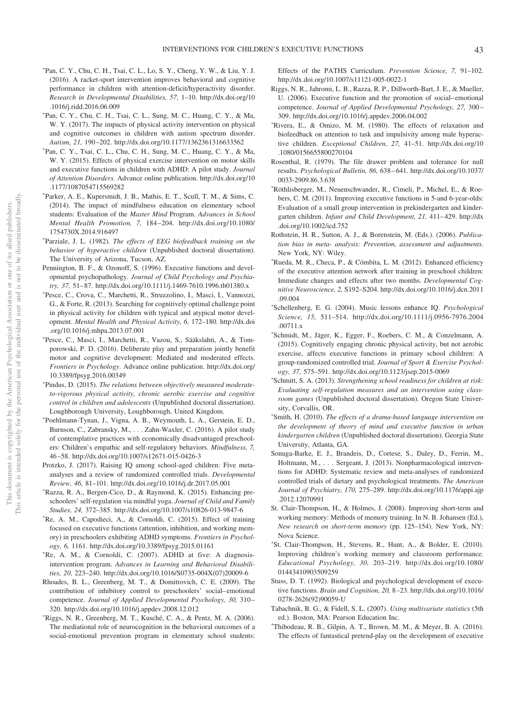- -Pan, C. Y., Chu, C. H., Tsai, C. L., Lo, S. Y., Cheng, Y. W., & Liu, Y. J. (2016). A racket-sport intervention improves behavioral and cognitive performance in children with attention-deficit/hyperactivity disorder. *Research in Developmental Disabilities, 57,* 1–10. [http://dx.doi.org/10](http://dx.doi.org/10.1016/j.ridd.2016.06.009) [.1016/j.ridd.2016.06.009](http://dx.doi.org/10.1016/j.ridd.2016.06.009)
- Pan, C. Y., Chu, C. H., Tsai, C. L., Sung, M. C., Huang, C. Y., & Ma, W. Y. (2017). The impacts of physical activity intervention on physical and cognitive outcomes in children with autism spectrum disorder. *Autism, 21,* 190 –202.<http://dx.doi.org/10.1177/1362361316633562>
- Pan, C. Y., Tsai, C. L., Chu, C. H., Sung, M. C., Huang, C. Y., & Ma, W. Y. (2015). Effects of physical exercise intervention on motor skills and executive functions in children with ADHD: A pilot study. *Journal of Attention Disorders*. Advance online publication. [http://dx.doi.org/10](http://dx.doi.org/10.1177/1087054715569282) [.1177/1087054715569282](http://dx.doi.org/10.1177/1087054715569282)
- Parker, A. E., Kupersmidt, J. B., Mathis, E. T., Scull, T. M., & Sims, C. (2014). The impact of mindfulness education on elementary school students: Evaluation of the *Master Mind* Program. *Advances in School Mental Health Promotion, 7,* 184 –204. [http://dx.doi.org/10.1080/](http://dx.doi.org/10.1080/1754730X.2014.916497) [1754730X.2014.916497](http://dx.doi.org/10.1080/1754730X.2014.916497)
- <sup>\*</sup>Parziale, J. L. (1982). *The effects of EEG biofeedback training on the behavior of hyperactive children* (Unpublished doctoral dissertation). The University of Arizona, Tucson, AZ.
- Pennington, B. F., & Ozonoff, S. (1996). Executive functions and developmental psychopathology. *Journal of Child Psychology and Psychiatry, 37,* 51– 87.<http://dx.doi.org/10.1111/j.1469-7610.1996.tb01380.x>
- Pesce, C., Crova, C., Marchetti, R., Struzzolino, I., Masci, I., Vannozzi, G., & Forte, R. (2013). Searching for cognitively optimal challenge point in physical activity for children with typical and atypical motor development. *Mental Health and Physical Activity, 6,* 172–180. [http://dx.doi](http://dx.doi.org/10.1016/j.mhpa.2013.07.001) [.org/10.1016/j.mhpa.2013.07.001](http://dx.doi.org/10.1016/j.mhpa.2013.07.001)
- Pesce, C., Masci, I., Marchetti, R., Vazou, S., Sääkslahti, A., & Tomporowski, P. D. (2016). Deliberate play and preparation jointly benefit motor and cognitive development: Mediated and moderated effects. *Frontiers in Psychology*. Advance online publication. [http://dx.doi.org/](http://dx.doi.org/10.3389/fpsyg.2016.00349) [10.3389/fpsyg.2016.00349](http://dx.doi.org/10.3389/fpsyg.2016.00349)
- Pindus, D. (2015). *The relations between objectively measured moderateto-vigorous physical activity, chronic aerobic exercise and cognitive control in children and adolescents* (Unpublished doctoral dissertation). Loughborough University, Loughborough, United Kingdom.
- Poehlmann-Tynan, J., Vigna, A. B., Weymouth, L. A., Gerstein, E. D., Burnson, C., Zabransky, M.,... Zahn-Waxler, C. (2016). A pilot study of contemplative practices with economically disadvantaged preschoolers: Children's empathic and self-regulatory behaviors. *Mindfulness, 7,* 46 –58.<http://dx.doi.org/10.1007/s12671-015-0426-3>
- Protzko, J. (2017). Raising IQ among school-aged children: Five metaanalyses and a review of randomized controlled trials. *Developmental Review, 46,* 81–101.<http://dx.doi.org/10.1016/j.dr.2017.05.001>
- Razza, R. A., Bergen-Cico, D., & Raymond, K. (2015). Enhancing preschoolers' self-regulation via mindful yoga. *Journal of Child and Family Studies, 24,* 372–385.<http://dx.doi.org/10.1007/s10826-013-9847-6>
- Re, A. M., Capodieci, A., & Cornoldi, C. (2015). Effect of training focused on executive functions (attention, inhibition, and working memory) in preschoolers exhibiting ADHD symptoms. *Frontiers in Psychology, 6,* 1161.<http://dx.doi.org/10.3389/fpsyg.2015.01161>
- Re, A. M., & Cornoldi, C. (2007). ADHD at five: A diagnosisintervention program. *Advances in Learning and Behavioral Disabilities, 20,* 223–240. [http://dx.doi.org/10.1016/S0735-004X\(07\)20009-6](http://dx.doi.org/10.1016/S0735-004X%2807%2920009-6)
- Rhoades, B. L., Greenberg, M. T., & Domitrovich, C. E. (2009). The contribution of inhibitory control to preschoolers' social– emotional competence. *Journal of Applied Developmental Psychology, 30,* 310 – 320.<http://dx.doi.org/10.1016/j.appdev.2008.12.012>
- Riggs, N. R., Greenberg, M. T., Kusché, C. A., & Pentz, M. A. (2006). The mediational role of neurocognition in the behavioral outcomes of a social-emotional prevention program in elementary school students:

Effects of the PATHS Curriculum. *Prevention Science, 7,* 91–102. <http://dx.doi.org/10.1007/s11121-005-0022-1>

- Riggs, N. R., Jahromi, L. B., Razza, R. P., Dillworth-Bart, J. E., & Mueller, U. (2006). Executive function and the promotion of social– emotional competence. *Journal of Applied Developmental Psychology, 27,* 300 – 309.<http://dx.doi.org/10.1016/j.appdev.2006.04.002>
- Rivera, E., & Omizo, M. M. (1980). The effects of relaxation and biofeedback on attention to task and impulsivity among male hyperactive children. *Exceptional Children, 27,* 41–51. [http://dx.doi.org/10](http://dx.doi.org/10.1080/0156655800270104) [.1080/0156655800270104](http://dx.doi.org/10.1080/0156655800270104)
- Rosenthal, R. (1979). The file drawer problem and tolerance for null results. *Psychological Bulletin, 86,* 638 – 641. [http://dx.doi.org/10.1037/](http://dx.doi.org/10.1037/0033-2909.86.3.638) [0033-2909.86.3.638](http://dx.doi.org/10.1037/0033-2909.86.3.638)
- Röthlisberger, M., Neuenschwander, R., Cimeli, P., Michel, E., & Roebers, C. M. (2011). Improving executive functions in 5-and 6-year-olds: Evaluation of a small group intervention in prekindergarten and kindergarten children. *Infant and Child Development, 21,* 411– 429. [http://dx](http://dx.doi.org/10.1002/icd.752) [.doi.org/10.1002/icd.752](http://dx.doi.org/10.1002/icd.752)
- Rothstein, H. R., Sutton, A. J., & Borenstein, M. (Eds.). (2006). *Publication bias in meta- analysis: Prevention, assessment and adjustments*. New York, NY: Wiley.
- Rueda, M. R., Checa, P., & Cómbita, L. M. (2012). Enhanced efficiency of the executive attention network after training in preschool children: Immediate changes and effects after two months. *Developmental Cognitive Neuroscience, 2,* S192–S204. [http://dx.doi.org/10.1016/j.dcn.2011](http://dx.doi.org/10.1016/j.dcn.2011.09.004) [.09.004](http://dx.doi.org/10.1016/j.dcn.2011.09.004)
- Schellenberg, E. G. (2004). Music lessons enhance IQ. *Psychological Science, 15,* 511–514. [http://dx.doi.org/10.1111/j.0956-7976.2004](http://dx.doi.org/10.1111/j.0956-7976.2004.00711.x) [.00711.x](http://dx.doi.org/10.1111/j.0956-7976.2004.00711.x)
- Schmidt, M., Jäger, K., Egger, F., Roebers, C. M., & Conzelmann, A. (2015). Cognitively engaging chronic physical activity, but not aerobic exercise, affects executive functions in primary school children: A group-randomized controlled trial. *Journal of Sport & Exercise Psychology, 37,* 575–591.<http://dx.doi.org/10.1123/jsep.2015-0069>
- Schmitt, S. A. (2013). *Strengthening school readiness for children at risk: Evaluating self-regulation measures and an intervention using classroom games* (Unpublished doctoral dissertation). Oregon State University, Corvallis, OR.
- Smith, H. (2010). *The effects of a drama-based language intervention on the development of theory of mind and executive function in urban kindergarten children* (Unpublished doctoral dissertation). Georgia State University, Atlanta, GA.
- Sonuga-Barke, E. J., Brandeis, D., Cortese, S., Daley, D., Ferrin, M., Holtmann, M., ... Sergeant, J. (2013). Nonpharmacological interventions for ADHD: Systematic review and meta-analyses of randomized controlled trials of dietary and psychological treatments. *The American Journal of Psychiatry, 170,* 275–289. [http://dx.doi.org/10.1176/appi.ajp](http://dx.doi.org/10.1176/appi.ajp.2012.12070991) [.2012.12070991](http://dx.doi.org/10.1176/appi.ajp.2012.12070991)
- St. Clair-Thompson, H., & Holmes, J. (2008). Improving short-term and working memory: Methods of memory training. In N. B. Johansen (Ed.), *New research on short-term memory* (pp. 125–154). New York, NY: Nova Science.
- St. Clair-Thompson, H., Stevens, R., Hunt, A., & Bolder, E. (2010). Improving children's working memory and classroom performance. *Educational Psychology, 30,* 203–219. [http://dx.doi.org/10.1080/](http://dx.doi.org/10.1080/01443410903509259) [01443410903509259](http://dx.doi.org/10.1080/01443410903509259)
- Stuss, D. T. (1992). Biological and psychological development of executive functions. *Brain and Cognition, 20,* 8 –23. [http://dx.doi.org/10.1016/](http://dx.doi.org/10.1016/0278-2626%2892%2990059-U) [0278-2626\(92\)90059-U](http://dx.doi.org/10.1016/0278-2626%2892%2990059-U)
- Tabachnik, B. G., & Fidell, S. L. (2007). *Using multivariate statistics* (5th ed.). Boston, MA: Pearson Education Inc.
- Thibodeau, R. B., Gilpin, A. T., Brown, M. M., & Meyer, B. A. (2016). The effects of fantastical pretend-play on the development of executive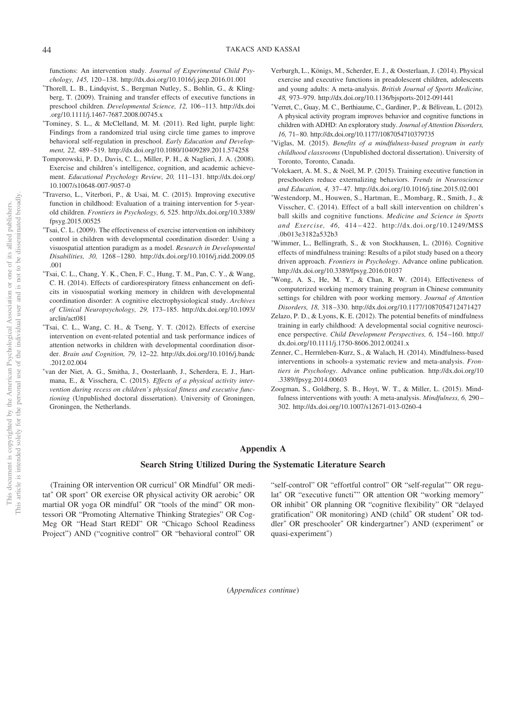functions: An intervention study. *Journal of Experimental Child Psychology, 145,* 120 –138.<http://dx.doi.org/10.1016/j.jecp.2016.01.001>

- -Thorell, L. B., Lindqvist, S., Bergman Nutley, S., Bohlin, G., & Klingberg, T. (2009). Training and transfer effects of executive functions in preschool children. *Developmental Science, 12,* 106 –113. [http://dx.doi](http://dx.doi.org/10.1111/j.1467-7687.2008.00745.x) [.org/10.1111/j.1467-7687.2008.00745.x](http://dx.doi.org/10.1111/j.1467-7687.2008.00745.x)
- Tominey, S. L., & McClelland, M. M. (2011). Red light, purple light: Findings from a randomized trial using circle time games to improve behavioral self-regulation in preschool. *Early Education and Development, 22,* 489 –519.<http://dx.doi.org/10.1080/10409289.2011.574258>
- Tomporowski, P. D., Davis, C. L., Miller, P. H., & Naglieri, J. A. (2008). Exercise and children's intelligence, cognition, and academic achievement. *Educational Psychology Review, 20,* 111–131. [http://dx.doi.org/](http://dx.doi.org/10.1007/s10648-007-9057-0) [10.1007/s10648-007-9057-0](http://dx.doi.org/10.1007/s10648-007-9057-0)
- Traverso, L., Viterbori, P., & Usai, M. C. (2015). Improving executive function in childhood: Evaluation of a training intervention for 5-yearold children. *Frontiers in Psychology, 6,* 525. [http://dx.doi.org/10.3389/](http://dx.doi.org/10.3389/fpsyg.2015.00525) [fpsyg.2015.00525](http://dx.doi.org/10.3389/fpsyg.2015.00525)
- Tsai, C. L. (2009). The effectiveness of exercise intervention on inhibitory control in children with developmental coordination disorder: Using a visuospatial attention paradigm as a model. *Research in Developmental Disabilities, 30,* 1268 –1280. [http://dx.doi.org/10.1016/j.ridd.2009.05](http://dx.doi.org/10.1016/j.ridd.2009.05.001) [.001](http://dx.doi.org/10.1016/j.ridd.2009.05.001)
- Tsai, C. L., Chang, Y. K., Chen, F. C., Hung, T. M., Pan, C. Y., & Wang, C. H. (2014). Effects of cardiorespiratory fitness enhancement on deficits in visuospatial working memory in children with developmental coordination disorder: A cognitive electrophysiological study. *Archives of Clinical Neuropsychology, 29,* 173–185. [http://dx.doi.org/10.1093/](http://dx.doi.org/10.1093/arclin/act081) [arclin/act081](http://dx.doi.org/10.1093/arclin/act081)
- Tsai, C. L., Wang, C. H., & Tseng, Y. T. (2012). Effects of exercise intervention on event-related potential and task performance indices of attention networks in children with developmental coordination disorder. *Brain and Cognition, 79,* 12–22. [http://dx.doi.org/10.1016/j.bandc](http://dx.doi.org/10.1016/j.bandc.2012.02.004) [.2012.02.004](http://dx.doi.org/10.1016/j.bandc.2012.02.004)
- van der Niet, A. G., Smitha, J., Oosterlaanb, J., Scherdera, E. J., Hartmana, E., & Visschera, C. (2015). *Effects of a physical activity intervention during recess on children's physical fitness and executive functioning* (Unpublished doctoral dissertation). University of Groningen, Groningen, the Netherlands.
- Verburgh, L., Königs, M., Scherder, E. J., & Oosterlaan, J. (2014). Physical exercise and executive functions in preadolescent children, adolescents and young adults: A meta-analysis. *British Journal of Sports Medicine, 48,* 973–979.<http://dx.doi.org/10.1136/bjsports-2012-091441>
- -Verret, C., Guay, M. C., Berthiaume, C., Gardiner, P., & Béliveau, L. (2012). A physical activity program improves behavior and cognitive functions in children with ADHD: An exploratory study. *Journal of Attention Disorders, 16,* 71– 80.<http://dx.doi.org/10.1177/1087054710379735>
- -Viglas, M. (2015). *Benefits of a mindfulness-based program in early childhood classrooms* (Unpublished doctoral dissertation). University of Toronto, Toronto, Canada.
- Volckaert, A. M. S., & Noël, M. P. (2015). Training executive function in preschoolers reduce externalizing behaviors. *Trends in Neuroscience* and Education, 4, 37-47.<http://dx.doi.org/10.1016/j.tine.2015.02.001>
- -Westendorp, M., Houwen, S., Hartman, E., Mombarg, R., Smith, J., & Visscher, C. (2014). Effect of a ball skill intervention on children's ball skills and cognitive functions. *Medicine and Science in Sports and Exercise, 46,* 414 – 422. [http://dx.doi.org/10.1249/MSS](http://dx.doi.org/10.1249/MSS.0b013e3182a532b3) [.0b013e3182a532b3](http://dx.doi.org/10.1249/MSS.0b013e3182a532b3)
- Wimmer, L., Bellingrath, S., & von Stockhausen, L. (2016). Cognitive effects of mindfulness training: Results of a pilot study based on a theory driven approach. *Frontiers in Psychology*. Advance online publication. <http://dx.doi.org/10.3389/fpsyg.2016.01037>
- Wong, A. S., He, M. Y., & Chan, R. W. (2014). Effectiveness of computerized working memory training program in Chinese community settings for children with poor working memory. *Journal of Attention Disorders, 18,* 318 –330.<http://dx.doi.org/10.1177/1087054712471427>
- Zelazo, P. D., & Lyons, K. E. (2012). The potential benefits of mindfulness training in early childhood: A developmental social cognitive neuroscience perspective. *Child Development Perspectives, 6,* 154 –160. [http://](http://dx.doi.org/10.1111/j.1750-8606.2012.00241.x) [dx.doi.org/10.1111/j.1750-8606.2012.00241.x](http://dx.doi.org/10.1111/j.1750-8606.2012.00241.x)
- Zenner, C., Herrnleben-Kurz, S., & Walach, H. (2014). Mindfulness-based interventions in schools-a systematic review and meta-analysis. *Frontiers in Psychology*. Advance online publication. [http://dx.doi.org/10](http://dx.doi.org/10.3389/fpsyg.2014.00603) [.3389/fpsyg.2014.00603](http://dx.doi.org/10.3389/fpsyg.2014.00603)
- Zoogman, S., Goldberg, S. B., Hoyt, W. T., & Miller, L. (2015). Mindfulness interventions with youth: A meta-analysis. *Mindfulness, 6,* 290 – 302.<http://dx.doi.org/10.1007/s12671-013-0260-4>

## **Appendix A**

## **Search String Utilized During the Systematic Literature Search**

(Training OR intervention OR curricul<sup>\*</sup> OR Mindful<sup>\*</sup> OR meditat<sup>\*</sup> OR sport<sup>\*</sup> OR exercise OR physical activity OR aerobic<sup>\*</sup> OR martial OR yoga OR mindful<sup>\*</sup> OR "tools of the mind" OR montessori OR "Promoting Alternative Thinking Strategies" OR Cog-Meg OR "Head Start REDI" OR "Chicago School Readiness Project") AND ("cognitive control" OR "behavioral control" OR "self-control" OR "effortful control" OR "self-regulat"" OR regulat<sup>\*</sup> OR "executive functi<sup>\*</sup>" OR attention OR "working memory" OR inhibit\* OR planning OR "cognitive flexibility" OR "delayed gratification" OR monitoring) AND (child<sup>\*</sup> OR student<sup>\*</sup> OR toddler<sup>\*</sup> OR preschooler<sup>\*</sup> OR kindergartner<sup>\*</sup>) AND (experiment<sup>\*</sup> or quasi-experiment\*)